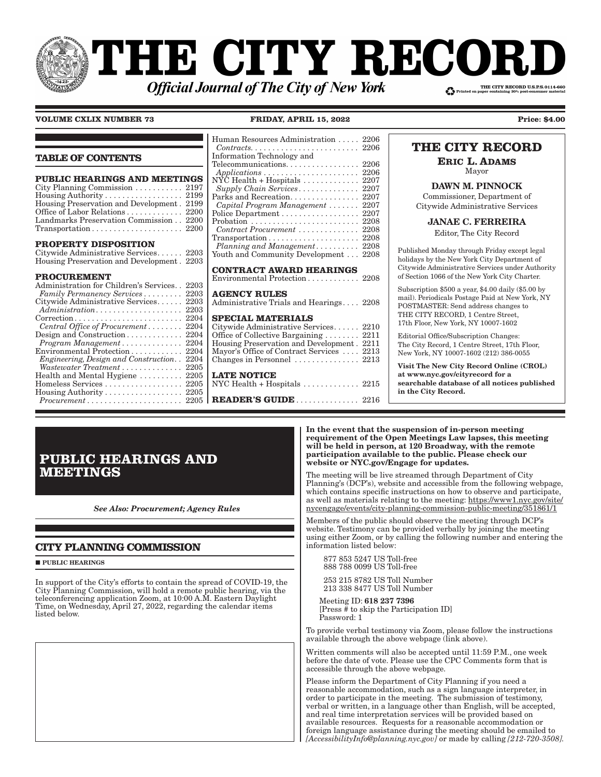# **THE CITY RECOI** THE CITY RECORD U.S.P.S.0114-660 **Official Journal of The City of New York**

### **VOLUME CXLIX NUMBER 73 FRIDAY, APRIL 15, 2022 Price: \$4.00**

|                                                                                   | Contracts                |
|-----------------------------------------------------------------------------------|--------------------------|
| <b>TABLE OF CONTENTS</b>                                                          | Informatio               |
|                                                                                   | Telecommu                |
| PUBLIC HEARINGS AND MEETINGS                                                      | Application<br>NÝC Healt |
| City Planning Commission  2197                                                    | Supply C                 |
| Housing Authority 2199                                                            | Parks and                |
| Housing Preservation and Development. 2199                                        | Capital P                |
| Office of Labor Relations 2200                                                    | Police Dep               |
| Landmarks Preservation Commission 2200                                            | Probation                |
| $Transportation \ldots \ldots \ldots \ldots \ldots \ldots \ldots 2200$            | Contract.                |
|                                                                                   | Transporta               |
| PROPERTY DISPOSITION                                                              | Planning                 |
| Citywide Administrative Services 2203                                             | Youth and                |
| Housing Preservation and Development. 2203                                        |                          |
|                                                                                   | <b>CONTRA</b>            |
| <b>PROCUREMENT</b>                                                                | Environme                |
| Administration for Children's Services<br>2203                                    |                          |
| Family Permanency Services<br>2203                                                | <b>AGENCY</b>            |
| Citywide Administrative Services<br>2203                                          | Administra               |
| Administration<br>2203                                                            |                          |
| 2204<br>$\text{Correction} \dots \dots \dots \dots \dots \dots \dots \dots \dots$ | <b>SPECIAI</b>           |
| Central Office of Procurement<br>2204                                             | Citywide A               |
| Design and Construction<br>2204                                                   | Office of C              |
| Program Management 2204                                                           | Housing P                |
| Environmental Protection 2204                                                     | Mayor's Of               |
| Engineering, Design and Construction<br>2204                                      | Changes in               |
| Wastewater Treatment  2205                                                        |                          |
| Health and Mental Hygiene  2205                                                   | <b>LATE NO</b>           |
| Homeless Services  2205                                                           | NYC Healt                |
| Housing Authority 2205                                                            |                          |
| $Procurrent \ldots \ldots \ldots \ldots \ldots \ldots \ldots 2205$                | <b>READER</b>            |

### Human Resources Administration . . . . . 2206  $Contracts. \ldots \ldots \ldots \ldots \ldots \ldots \ldots 2206$ Information Technology and unications. . . . . . . . . . . . . . . . 2206 *<i>bns* **... ... ... ... ... ... ... ... ... 2206**  $th + Hospitals$  . . . . . . . . . . . . 2207 *Supply Chain Services � � � � � � � � � � � � � �* 2207 Recreation. . . . . . . . . . . . . . . 2207 *Capital Program Management � � � � � � �* 2207 artment . . . . . . . . . . . . . . . . . 2207 Probation . . . . . . . . . . . . . . . . . . . . . . . . . 2208 *Contract Procurement � � � � � � � � � � � � � �* 2208  $\text{ation} \dots \dots \dots \dots \dots \dots \dots \ 2208$ *Planning and Management� � � � � � � � � �* 2208 Community Development . . . 2208 **CT AWARD HEARINGS**  $\text{ental Protection} \dots \dots \dots \dots \dots$  2208 **AGENCY RULES**

ative Trials and Hearings . . . . 2208

### **SPECIALS**

| Citywide Administrative Services 2210                      |  |
|------------------------------------------------------------|--|
| Office of Collective Bargaining $\ldots \ldots$ 2211       |  |
| Housing Preservation and Development. 2211                 |  |
| Mayor's Office of Contract Services  2213                  |  |
| Changes in Personnel $\ldots$ , $\ldots$ , $\ldots$ , 2213 |  |
|                                                            |  |

### **LATE NOTICE**

 $th + H$ ospitals  $\ldots \ldots \ldots$  . . . . . 2215 ... 2205 | **READER'S GUIDE** ............... 2216

|  | <b>THE CITY RECORD</b> |
|--|------------------------|
|  |                        |

**ERIC L. ADAMS** Mayor

DAWN M. PINNOCK Commissioner, Department of Citywide Administrative Services

JANAE C. FERREIRA

Editor, The City Record

Published Monday through Friday except legal holidays by the New York City Department of Citywide Administrative Services under Authority of Section 1066 of the New York City Charter.

Subscription \$500 a year, \$4.00 daily (\$5.00 by mail). Periodicals Postage Paid at New York, NY POSTMASTER: Send address changes to THE CITY RECORD, 1 Centre Street, 17th Floor, New York, NY 10007-1602

Editorial Office/Subscription Changes: The City Record, 1 Centre Street, 17th Floor, New York, NY 10007-1602 (212) 386-0055

Visit The New City Record Online (CROL) at www.nyc.gov/cityrecord for a searchable database of all notices published in the City Record.

# **PUBLIC HEARINGS AND MEETINGS**

*See Also: Procurement; Agency Rules*

### **CITY PLANNING COMMISSION**

**PUBLIC HEARINGS** 

In support of the City's efforts to contain the spread of COVID-19, the City Planning Commission, will hold a remote public hearing, via the teleconferencing application Zoom, at 10:00 A.M. Eastern Daylight Time, on Wednesday, April 27, 2022, regarding the calendar items listed below.

In the event that the suspension of in-person meeting requirement of the Open Meetings Law lapses, this meeting will be held in person, at 120 Broadway, with the remote participation available to the public. Please check our website or NYC.gov/Engage for updates.

The meeting will be live streamed through Department of City Planning's (DCP's), website and accessible from the following webpage, which contains specific instructions on how to observe and participate, as well as materials relating to the meeting: https://www1.nyc.gov/site/ nycengage/events/city-planning-commission-public-meeting/351861/1

Members of the public should observe the meeting through DCP's website. Testimony can be provided verbally by joining the meeting using either Zoom, or by calling the following number and entering the information listed below:

 877 853 5247 US Toll-free 888 788 0099 US Toll-free

 253 215 8782 US Toll Number 213 338 8477 US Toll Number

 Meeting ID: 618 237 7396 [Press # to skip the Participation ID] Password: 1

To provide verbal testimony via Zoom, please follow the instructions available through the above webpage (link above).

Written comments will also be accepted until 11:59 P.M., one week before the date of vote. Please use the CPC Comments form that is accessible through the above webpage.

Please inform the Department of City Planning if you need a reasonable accommodation, such as a sign language interpreter, in order to participate in the meeting. The submission of testimony, verbal or written, in a language other than English, will be accepted, and real time interpretation services will be provided based on available resources. Requests for a reasonable accommodation or foreign language assistance during the meeting should be emailed to *[AccessibilityInfo@planning.nyc.gov]* or made by calling *[212-720-3508].*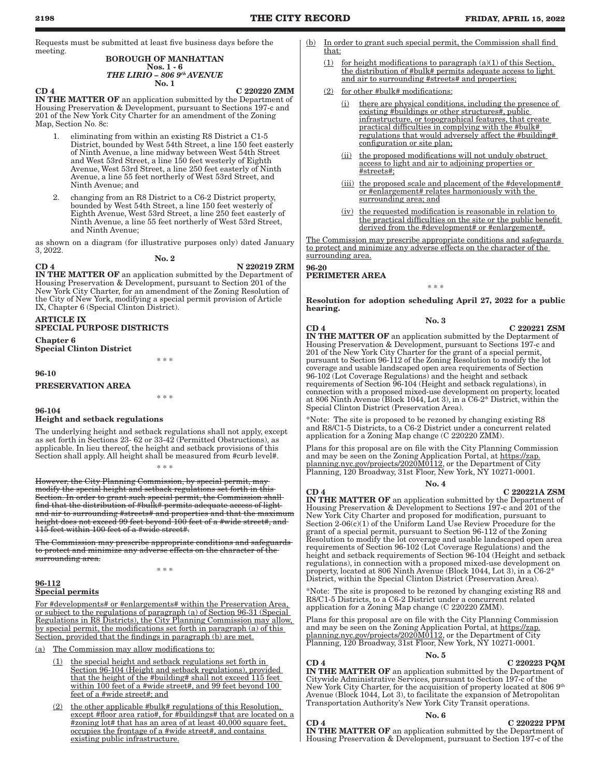Requests must be submitted at least five business days before the meeting.

### BOROUGH OF MANHATTAN

#### Nos. 1 - 6 *THE LIRIO – 806 9th AVENUE* No. 1

 $CD$  4 C 220220 ZMM

IN THE MATTER OF an application submitted by the Department of Housing Preservation & Development, pursuant to Sections 197-c and 201 of the New York City Charter for an amendment of the Zoning Map, Section No. 8c:

- 1. eliminating from within an existing R8 District a C1-5 District, bounded by West 54th Street, a line 150 feet easterly of Ninth Avenue, a line midway between West 54th Street and West 53rd Street, a line 150 feet westerly of Eighth Avenue, West 53rd Street, a line 250 feet easterly of Ninth Avenue, a line 55 feet northerly of West 53rd Street, and Ninth Avenue; and
- 2. changing from an R8 District to a C6-2 District property, bounded by West 54th Street, a line 150 feet westerly of Eighth Avenue, West 53rd Street, a line 250 feet easterly of Ninth Avenue, a line 55 feet northerly of West 53rd Street, and Ninth Avenue;

as shown on a diagram (for illustrative purposes only) dated January 3, 2022.

No. 2

 $CD 4$  N  $220219 ZRM$ 

IN THE MATTER OF an application submitted by the Department of Housing Preservation & Development, pursuant to Section 201 of the New York City Charter, for an amendment of the Zoning Resolution of the City of New York, modifying a special permit provision of Article IX, Chapter 6 (Special Clinton District).

#### ARTICLE IX SPECIAL PURPOSE DISTRICTS

Chapter 6 Special Clinton District

\* \* \*

### 96-10

### PRESERVATION AREA

\* \* \*

### 96-104 Height and setback regulations

The underlying height and setback regulations shall not apply, except as set forth in Sections 23- 62 or 33-42 (Permitted Obstructions), as applicable. In lieu thereof, the height and setback provisions of this Section shall apply. All height shall be measured from #curb level#.

However, the City Planning Commission, by special permit, may modify the special height and setback regulations set forth in this Section. In order to grant such special permit, the Commission shall find that the distribution of #bulk# permits adequate access of light and air to surrounding #streets# and properties and that the maximum height does not exceed 99 feet beyond 100 feet of a #wide street#, and 115 feet within 100 feet of a #wide street#.

\* \* \*

The Commission may prescribe appropriate conditions and safeguards to protect and minimize any adverse effects on the character of the surrounding area.

\* \* \*

#### 96-112 Special permits

For #developments# or #enlargements# within the Preservation Area, or subject to the regulations of paragraph (a) of Section 96-31 (Special Regulations in R8 Districts), the City Planning Commission may allow, by special permit, the modifications set forth in paragraph (a) of this Section, provided that the findings in paragraph (b) are met.

(a) The Commission may allow modifications to:

- the special height and setback regulations set forth in Section 96-104 (Height and setback regulations), provided that the height of the #building# shall not exceed 115 feet within 100 feet of a #wide street#, and 99 feet beyond 100 feet of a #wide street#; and
- (2) the other applicable #bulk# regulations of this Resolution, except #floor area ratio#, for #buildings# that are located on a #zoning lot# that has an area of at least 40,000 square feet, occupies the frontage of a #wide street#, and contains existing public infrastructure.
- (b) In order to grant such special permit, the Commission shall find that:
	- $(1)$  for height modifications to paragraph  $(a)(1)$  of this Section, the distribution of #bulk# permits adequate access to light and air to surrounding #streets# and properties;
	- (2) for other #bulk# modifications:
		- (i) there are physical conditions, including the presence of existing #buildings or other structures#, public infrastructure, or topographical features, that create practical difficulties in complying with the #bulk# regulations that would adversely affect the #building# configuration or site plan;
		- (ii) the proposed modifications will not unduly obstruct access to light and air to adjoining properties or #streets#;
		- (iii) the proposed scale and placement of the #development# or #enlargement# relates harmoniously with the surrounding area; and
		- (iv) the requested modification is reasonable in relation to the practical difficulties on the site or the public benefit derived from the #development# or #enlargement#.

The Commission may prescribe appropriate conditions and safeguards to protect and minimize any adverse effects on the character of the surrounding area.

## 96-20

PERIMETER AREA

Resolution for adoption scheduling April 27, 2022 for a public hearing.

\* \* \*

#### No. 3

 $CD 4$   $C 220221 ZSM$ 

IN THE MATTER OF an application submitted by the Deptarment of Housing Preservation & Development, pursuant to Sections 197-c and 201 of the New York City Charter for the grant of a special permit, pursuant to Section 96-112 of the Zoning Resolution to modify the lot coverage and usable landscaped open area requirements of Section 96-102 (Lot Coverage Regulations) and the height and setback requirements of Section 96-104 (Height and setback regulations), in connection with a proposed mixed-use development on property, located at 806 Ninth Avenue (Block 1044, Lot 3), in a C6-2\* District, within the Special Clinton District (Preservation Area).

\*Note: The site is proposed to be rezoned by changing existing R8 and R8/C1-5 Districts, to a C6-2 District under a concurrent related application for a Zoning Map change (C 220220 ZMM).

Plans for this proposal are on file with the City Planning Commission and may be seen on the Zoning Application Portal, at https://zap. planning.nyc.gov/projects/2020M0112, or the Department of City Planning, 120 Broadway, 31st Floor, New York, NY 10271-0001.

#### No. 4

 $CD 4$   $C 220221A ZSM$ 

IN THE MATTER OF an application submitted by the Department of Housing Preservation & Development to Sections 197-c and 201 of the New York City Charter and proposed for modification, pursuant to Section 2-06(c)(1) of the Uniform Land Use Review Procedure for the grant of a special permit, pursuant to Section 96-112 of the Zoning Resolution to modify the lot coverage and usable landscaped open area requirements of Section 96-102 (Lot Coverage Regulations) and the height and setback requirements of Section 96-104 (Height and setback regulations), in connection with a proposed mixed-use development on property, located at 806 Ninth Avenue (Block 1044, Lot 3), in a C6-2\* District, within the Special Clinton District (Preservation Area).

\*Note: The site is proposed to be rezoned by changing existing R8 and R8/C1-5 Districts, to a C6-2 District under a concurrent related application for a Zoning Map change (C 220220 ZMM).

Plans for this proposal are on file with the City Planning Commission and may be seen on the Zoning Application Portal, at https://zap. planning.nyc.gov/projects/2020M0112, or the Department of City Planning, 120 Broadway, 31st Floor, New York, NY 10271-0001.

### No. 5

### $CD 4$   $C 220223$  PQM

IN THE MATTER OF an application submitted by the Department of Citywide Administrative Services, pursuant to Section 197-c of the New York City Charter, for the acquisition of property located at 806 9<sup>th</sup> Avenue (Block 1044, Lot 3), to facilitate the expansion of Metropolitan Transportation Authority's New York City Transit operations.

#### No. 6

 $CD 4$   $C 220222$  PPM IN THE MATTER OF an application submitted by the Department of Housing Preservation & Development, pursuant to Section 197-c of the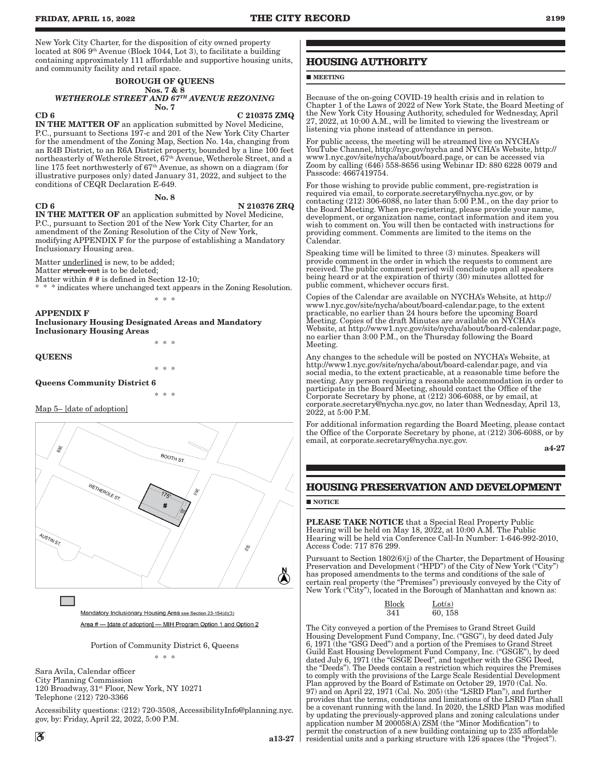#### BOROUGH OF QUEENS Nos. 7 & 8 *WETHEROLE STREET AND 67TH AVENUE REZONING* No. 7

#### $CD 6$  C 210375 ZMQ

IN THE MATTER OF an application submitted by Novel Medicine, P.C., pursuant to Sections 197-c and 201 of the New York City Charter for the amendment of the Zoning Map, Section No. 14a, changing from an R4B District, to an R6A District property, bounded by a line 100 feet northeasterly of Wetherole Street, 67th Avenue, Wetherole Street, and a line 175 feet northwesterly of 67th Avenue, as shown on a diagram (for illustrative purposes only) dated January 31, 2022, and subject to the conditions of CEQR Declaration E-649.

No. 8

### $CD 6$  N  $210376 ZRQ$

IN THE MATTER OF an application submitted by Novel Medicine, P.C., pursuant to Section 201 of the New York City Charter, for an amendment of the Zoning Resolution of the City of New York, modifying APPENDIX F for the purpose of establishing a Mandatory Inclusionary Housing area.

Matter underlined is new, to be added;

Matter struck out is to be deleted;

Matter within # # is defined in Section 12-10;

\* \* \* indicates where unchanged text appears in the Zoning Resolution.

#### APPENDIX F

Inclusionary Housing Designated Areas and Mandatory Inclusionary Housing Areas

\* \* \*

\* \* \*

\* \* \*

\* \* \*

### QUEENS

Queens Community District 6

### Map 5– [date of adoption]



Mandatory Inclusionary Housing Area see Section 23-154(d)(3) Area # - [date of adoption] - MIH Program Option 1 and Option 2

Portion of Community District 6, Queens \* \* \*

Sara Avila, Calendar officer City Planning Commission 120 Broadway, 31st Floor, New York, NY 10271 Telephone (212) 720-3366

Accessibility questions: (212) 720-3508, AccessibilityInfo@planning.nyc. gov, by: Friday, April 22, 2022, 5:00 P.M.

### **HOUSING AUTHORITY**

**MEETING** 

Because of the on-going COVID-19 health crisis and in relation to Chapter 1 of the Laws of 2022 of New York State, the Board Meeting of the New York City Housing Authority, scheduled for Wednesday, April 27, 2022, at 10:00 A.M., will be limited to viewing the livestream or listening via phone instead of attendance in person.

For public access, the meeting will be streamed live on NYCHA's YouTube Channel, http://nyc.gov/nycha and NYCHA's Website, http:// www1.nyc.gov/site/nycha/about/board.page, or can be accessed via Zoom by calling (646) 558-8656 using Webinar ID: 880 6228 0079 and Passcode: 4667419754.

For those wishing to provide public comment, pre-registration is required via email, to corporate.secretary@nycha.nyc.gov, or by contacting (212) 306-6088, no later than 5:00 P.M., on the day prior to the Board Meeting. When pre-registering, please provide your name, development, or organization name, contact information and item you wish to comment on. You will then be contacted with instructions for providing comment. Comments are limited to the items on the Calendar.

Speaking time will be limited to three (3) minutes. Speakers will provide comment in the order in which the requests to comment are received. The public comment period will conclude upon all speakers being heard or at the expiration of thirty (30) minutes allotted for public comment, whichever occurs first.

Copies of the Calendar are available on NYCHA's Website, at http:// www1.nyc.gov/site/nycha/about/board-calendar.page, to the extent practicable, no earlier than 24 hours before the upcoming Board Meeting. Copies of the draft Minutes are available on NYCHA's Website, at http://www1.nyc.gov/site/nycha/about/board-calendar.page, no earlier than 3:00 P.M., on the Thursday following the Board Meeting.

Any changes to the schedule will be posted on NYCHA's Website, at http://www1.nyc.gov/site/nycha/about/board-calendar.page, and via social media, to the extent practicable, at a reasonable time before the meeting. Any person requiring a reasonable accommodation in order to participate in the Board Meeting, should contact the Office of the Corporate Secretary by phone, at (212) 306-6088, or by email, at corporate.secretary@nycha.nyc.gov, no later than Wednesday, April 13, 2022, at 5:00 P.M.

For additional information regarding the Board Meeting, please contact the Office of the Corporate Secretary by phone, at (212) 306-6088, or by email, at corporate.secretary@nycha.nyc.gov.

a4-27

### **HOUSING PRESERVATION AND DEVELOPMENT**

### **NOTICE**

PLEASE TAKE NOTICE that a Special Real Property Public Hearing will be held on May 18, 2022, at 10:00 A.M. The Public Hearing will be held via Conference Call-In Number: 1-646-992-2010, Access Code: 717 876 299.

Pursuant to Section 1802(6)(j) of the Charter, the Department of Housing Preservation and Development ("HPD") of the City of New York ("City" has proposed amendments to the terms and conditions of the sale of certain real property (the "Premises") previously conveyed by the City of New York ("City"), located in the Borough of Manhattan and known as:

| Block | Lot(s)  |
|-------|---------|
| 341   | 60, 158 |

The City conveyed a portion of the Premises to Grand Street Guild Housing Development Fund Company, Inc. ("GSG"), by deed dated July 6, 1971 (the "GSG Deed") and a portion of the Premises to Grand Street Guild East Housing Development Fund Company, Inc. ("GSGE"), by deed dated July 6, 1971 (the "GSGE Deed", and together with the GSG Deed, the "Deeds"). The Deeds contain a restriction which requires the Premises to comply with the provisions of the Large Scale Residential Development Plan approved by the Board of Estimate on October 29, 1970 (Cal. No. 97) and on April 22, 1971 (Cal. No. 205) (the "LSRD Plan"), and further provides that the terms, conditions and limitations of the LSRD Plan shall be a covenant running with the land. In 2020, the LSRD Plan was modified by updating the previously-approved plans and zoning calculations under application number M 200058(A) ZSM (the "Minor Modification") to permit the construction of a new building containing up to 235 affordable residential units and a parking structure with 126 spaces (the "Project").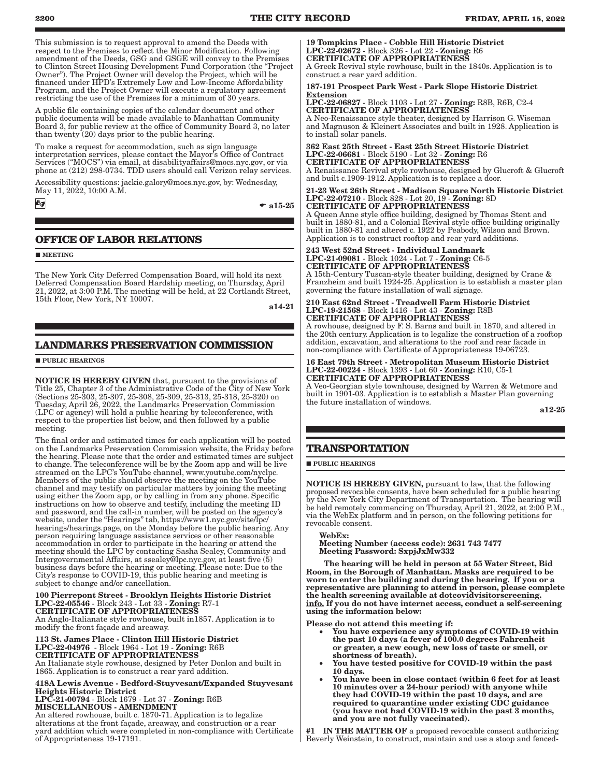This submission is to request approval to amend the Deeds with respect to the Premises to reflect the Minor Modification. Following amendment of the Deeds, GSG and GSGE will convey to the Premises to Clinton Street Housing Development Fund Corporation (the "Project Owner"). The Project Owner will develop the Project, which will be financed under HPD's Extremely Low and Low-Income Affordability Program, and the Project Owner will execute a regulatory agreement restricting the use of the Premises for a minimum of 30 years.

A public file containing copies of the calendar document and other public documents will be made available to Manhattan Community Board 3, for public review at the office of Community Board 3, no later than twenty (20) days prior to the public hearing.

To make a request for accommodation, such as sign language interpretation services, please contact the Mayor's Office of Contract Services ("MOCS") via email, at disabilityaffairs@mocs.nyc.gov, or via phone at (212) 298-0734. TDD users should call Verizon relay services.

Accessibility questions: jackie.galory@mocs.nyc.gov, by: Wednesday, May 11, 2022, 10:00 A.M.

бg

### $\bullet$  a15-25

### **OFFICE OF LABOR RELATIONS**

**MEETING** 

The New York City Deferred Compensation Board, will hold its next Deferred Compensation Board Hardship meeting, on Thursday, April 21, 2022, at 3:00 P.M. The meeting will be held, at 22 Cortlandt Street, 15th Floor, New York, NY 10007.

a14-21

### **LANDMARKS PRESERVATION COMMISSION**

**PUBLIC HEARINGS** 

NOTICE IS HEREBY GIVEN that, pursuant to the provisions of Title 25, Chapter 3 of the Administrative Code of the City of New York (Sections 25-303, 25-307, 25-308, 25-309, 25-313, 25-318, 25-320) on Tuesday, April 26, 2022, the Landmarks Preservation Commission (LPC or agency) will hold a public hearing by teleconference, with respect to the properties list below, and then followed by a public meeting.

The final order and estimated times for each application will be posted on the Landmarks Preservation Commission website, the Friday before the hearing. Please note that the order and estimated times are subject to change. The teleconference will be by the Zoom app and will be live streamed on the LPC's YouTube channel, www.youtube.com/nyclpc. Members of the public should observe the meeting on the YouTube channel and may testify on particular matters by joining the meeting using either the Zoom app, or by calling in from any phone. Specific instructions on how to observe and testify, including the meeting ID and password, and the call-in number, will be posted on the agency's website, under the "Hearings" tab, https://www1.nyc.gov/site/lpc/ hearings/hearings.page, on the Monday before the public hearing. Any person requiring language assistance services or other reasonable accommodation in order to participate in the hearing or attend the meeting should the LPC by contacting Sasha Sealey, Community and Intergovernmental Affairs, at ssealey@lpc.nyc.gov, at least five (5) business days before the hearing or meeting. Please note: Due to the City's response to COVID-19, this public hearing and meeting is subject to change and/or cancellation.

#### 100 Pierrepont Street - Brooklyn Heights Historic District LPC-22-05546 - Block 243 - Lot 33 - Zoning: R7-1 CERTIFICATE OF APPROPRIATENESS

An Anglo-Italianate style rowhouse, built in1857. Application is to modify the front façade and areaway.

#### 113 St. James Place - Clinton Hill Historic District LPC-22-04976 - Block 1964 - Lot 19 - Zoning: R6B CERTIFICATE OF APPROPRIATENESS

An Italianate style rowhouse, designed by Peter Donlon and built in 1865. Application is to construct a rear yard addition.

418A Lewis Avenue - Bedford-Stuyvesant/Expanded Stuyvesant Heights Historic District LPC-21-00794 - Block 1679 - Lot 37 - Zoning: R6B MISCELLANEOUS - AMENDMENT

An altered rowhouse, built c. 1870-71. Application is to legalize alterations at the front façade, areaway, and construction or a rear yard addition which were completed in non-compliance with Certificate of Appropriateness 19-17191.

19 Tompkins Place - Cobble Hill Historic District LPC-22-02672 - Block 326 - Lot 22 - Zoning: R6 CERTIFICATE OF APPROPRIATENESS

A Greek Revival style rowhouse, built in the 1840s. Application is to construct a rear yard addition.

#### 187-191 Prospect Park West - Park Slope Historic District Extension

LPC-22-06827 - Block 1103 - Lot 27 - Zoning: R8B, R6B, C2-4 CERTIFICATE OF APPROPRIATENESS

A Neo-Renaissance style theater, designed by Harrison G. Wiseman and Magnuson & Kleinert Associates and built in 1928. Application is to install solar panels.

362 East 25th Street - East 25th Street Historic District LPC-22-06681 - Block 5190 - Lot 32 - Zoning: R6 CERTIFICATE OF APPROPRIATENESS A Renaissance Revival style rowhouse, designed by Glucroft & Glucroft

and built c.1909-1912. Application is to replace a door.

#### 21-23 West 26th Street - Madison Square North Historic District LPC-22-07210 - Block 828 - Lot 20, 19 - Zoning: 8D CERTIFICATE OF APPROPRIATENESS

A Queen Anne style office building, designed by Thomas Stent and built in 1880-81, and a Colonial Revival style office building originally built in 1880-81 and altered c. 1922 by Peabody, Wilson and Brown. Application is to construct rooftop and rear yard additions.

#### 243 West 52nd Street - Individual Landmark LPC-21-09081 - Block 1024 - Lot 7 - Zoning: C6-5 CERTIFICATE OF APPROPRIATENESS

A 15th-Century Tuscan-style theater building, designed by Crane & Franzheim and built 1924-25. Application is to establish a master plan governing the future installation of wall signage.

#### 210 East 62nd Street - Treadwell Farm Historic District LPC-19-21568 - Block 1416 - Lot 43 - Zoning: R8B CERTIFICATE OF APPROPRIATENESS

A rowhouse, designed by F. S. Barns and built in 1870, and altered in the 20th century. Application is to legalize the construction of a rooftop addition, excavation, and alterations to the roof and rear facade in non-compliance with Certificate of Appropriateness 19-06723.

#### 16 East 79th Street - Metropolitan Museum Historic District LPC-22-00224 - Block 1393 - Lot 60 - Zoning: R10, C5-1 CERTIFICATE OF APPROPRIATENESS

A Veo-Georgian style townhouse, designed by Warren & Wetmore and built in 1901-03. Application is to establish a Master Plan governing the future installation of windows.

a12-25

### **TRANSPORTATION**

**PUBLIC HEARINGS** 

NOTICE IS HEREBY GIVEN, pursuant to law, that the following proposed revocable consents, have been scheduled for a public hearing by the New York City Department of Transportation. The hearing will be held remotely commencing on Thursday, April 21, 2022, at 2:00 P.M., via the WebEx platform and in person, on the following petitions for revocable consent.

### WebEx:

Meeting Number (access code): 2631 743 7477 Meeting Password: SxpjJxMw332

The hearing will be held in person at 55 Water Street, Bid Room, in the Borough of Manhattan. Masks are required to be worn to enter the building and during the hearing. If you or a representative are planning to attend in person, please complete the health screening available at dotcovidvisitorscreening. info. If you do not have internet access, conduct a self-screening using the information below:

Please do not attend this meeting if:

- You have experience any symptoms of COVID-19 within the past 10 days (a fever of 100.0 degrees Fahrenheit or greater, a new cough, new loss of taste or smell, or shortness of breath).
- You have tested positive for COVID-19 within the past 10 days.
- • You have been in close contact (within 6 feet for at least 10 minutes over a 24-hour period) with anyone while they had COVID-19 within the past 10 days, and are required to quarantine under existing CDC guidance (you have not had COVID-19 within the past 3 months, and you are not fully vaccinated).

#1 IN THE MATTER OF a proposed revocable consent authorizing Beverly Weinstein, to construct, maintain and use a stoop and fenced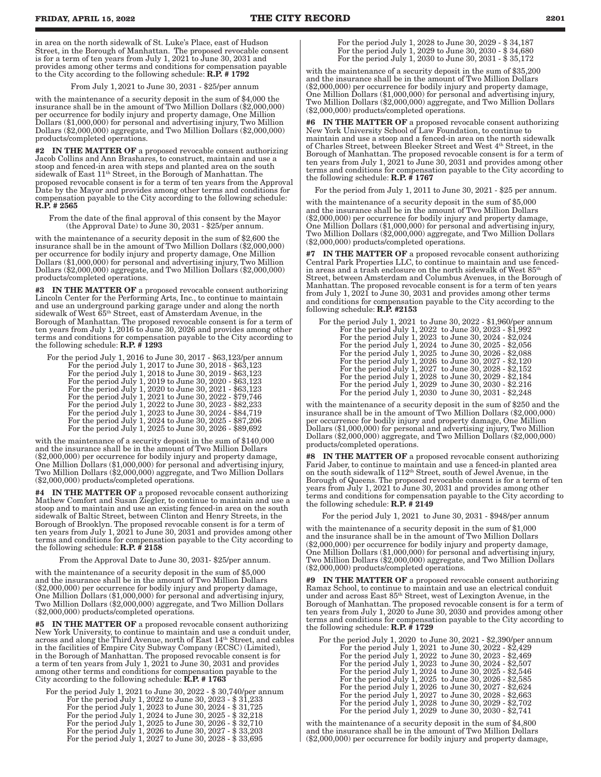in area on the north sidewalk of St. Luke's Place, east of Hudson Street, in the Borough of Manhattan. The proposed revocable consent is for a term of ten years from July 1, 2021 to June 30, 2031 and provides among other terms and conditions for compensation payable to the City according to the following schedule: R.P. # 1792

From July 1,2021 to June 30, 2031 - \$25/per annum

with the maintenance of a security deposit in the sum of \$4,000 the insurance shall be in the amount of Two Million Dollars (\$2,000,000) per occurrence for bodily injury and property damage, One Million Dollars (\$1,000,000) for personal and advertising injury, Two Million Dollars (\$2,000,000) aggregate, and Two Million Dollars (\$2,000,000) products/completed operations.

#2 IN THE MATTER OF a proposed revocable consent authorizing Jacob Collins and Ann Brashares, to construct, maintain and use a stoop and fenced-in area with steps and planted area on the south sidewalk of East 11<sup>th</sup> Street, in the Borough of Manhattan. The proposed revocable consent is for a term of ten years from the Approval Date by the Mayor and provides among other terms and conditions for compensation payable to the City according to the following schedule: R.P. # 2565

From the date of the final approval of this consent by the Mayor (the Approval Date) to  $\tilde{J}$ une 30, 2031 - \$25/per annum.

with the maintenance of a security deposit in the sum of \$2,600 the insurance shall be in the amount of Two Million Dollars (\$2,000,000) per occurrence for bodily injury and property damage, One Million Dollars (\$1,000,000) for personal and advertising injury, Two Million Dollars (\$2,000,000) aggregate, and Two Million Dollars (\$2,000,000) products/completed operations.

#3 IN THE MATTER OF a proposed revocable consent authorizing Lincoln Center for the Performing Arts, Inc., to continue to maintain and use an underground parking garage under and along the north sidewalk of West 65th Street, east of Amsterdam Avenue, in the Borough of Manhattan. The proposed revocable consent is for a term of ten years from July 1, 2016 to June 30, 2026 and provides among other terms and conditions for compensation payable to the City according to the following schedule: R.P. # 1293

| For the period July 1, 2016 to June 30, 2017 - \$63,123/per annum |
|-------------------------------------------------------------------|
| For the period July 1, 2017 to June 30, 2018 - \$63,123           |
| For the period July 1, 2018 to June 30, 2019 - \$63,123           |
| For the period July 1, 2019 to June 30, 2020 - \$63,123           |
| For the period July 1, 2020 to June 30, 2021 - \$63,123           |
| For the period July 1, 2021 to June 30, 2022 - \$79,746           |
| For the period July 1, 2022 to June 30, 2023 - \$82,233           |
| For the period July 1, 2023 to June 30, 2024 - \$84,719           |
| For the period July 1, 2024 to June 30, 2025 - \$87,206           |
| For the period July 1, 2025 to June 30, 2026 - \$89,692           |
|                                                                   |

with the maintenance of a security deposit in the sum of \$140,000 and the insurance shall be in the amount of Two Million Dollars (\$2,000,000) per occurrence for bodily injury and property damage, One Million Dollars (\$1,000,000) for personal and advertising injury, Two Million Dollars (\$2,000,000) aggregate, and Two Million Dollars (\$2,000,000) products/completed operations.

#4 IN THE MATTER OF a proposed revocable consent authorizing Mathew Comfort and Susan Ziegler, to continue to maintain and use a stoop and to maintain and use an existing fenced-in area on the south sidewalk of Baltic Street, between Clinton and Henry Streets, in the Borough of Brooklyn. The proposed revocable consent is for a term of ten years from July 1, 2021 to June 30, 2031 and provides among other terms and conditions for compensation payable to the City according to the following schedule:  $R.P. \# 2158$ 

From the Approval Date to June 30, 2031- \$25/per annum.

with the maintenance of a security deposit in the sum of \$5,000 and the insurance shall be in the amount of Two Million Dollars (\$2,000,000) per occurrence for bodily injury and property damage, One Million Dollars (\$1,000,000) for personal and advertising injury, Two Million Dollars (\$2,000,000) aggregate, and Two Million Dollars (\$2,000,000) products/completed operations.

#5 IN THE MATTER OF a proposed revocable consent authorizing New York University, to continue to maintain and use a conduit under, across and along the Third Avenue, north of East 14<sup>th</sup> Street, and cables in the facilities of Empire City Subway Company (ECSC) (Limited), in the Borough of Manhattan. The proposed revocable consent is for a term of ten years from July 1, 2021 to June 30, 2031 and provides among other terms and conditions for compensation payable to the City according to the following schedule: R.P. # 1763

For the period July 1, 2021 to June 30, 2022 - \$ 30,740/per annum For the period July 1, 2022 to June 30, 2023 - \$ 31,233 For the period July 1, 2023 to June 30, 2024 - \$ 31,725 For the period July 1, 2024 to June 30, 2025 - \$ 32,218 For the period July 1, 2025 to June 30, 2026 - \$ 32,710 For the period July 1, 2026 to June 30, 2027 - \$ 33,203 For the period July 1, 2027 to June 30, 2028 - \$ 33,695

For the period July 1, 2028 to June 30, 2029 - \$ 34,187 For the period July 1, 2029 to June 30, 2030 - \$ 34,680 For the period July 1, 2030 to June 30, 2031 - \$ 35,172

with the maintenance of a security deposit in the sum of \$35,200 and the insurance shall be in the amount of Two Million Dollars (\$2,000,000) per occurrence for bodily injury and property damage, One Million Dollars (\$1,000,000) for personal and advertising injury, Two Million Dollars (\$2,000,000) aggregate, and Two Million Dollars (\$2,000,000) products/completed operations.

#6 IN THE MATTER OF a proposed revocable consent authorizing New York University School of Law Foundation, to continue to maintain and use a stoop and a fenced-in area on the north sidewalk of Charles Street, between Bleeker Street and West 4<sup>th</sup> Street, in the Borough of Manhattan. The proposed revocable consent is for a term of ten years from July 1, 2021 to June 30, 2031 and provides among other terms and conditions for compensation payable to the City according to the following schedule:  $R.P. \# 1767$ 

For the period from July 1, 2011 to June 30, 2021 - \$25 per annum.

with the maintenance of a security deposit in the sum of \$5,000 and the insurance shall be in the amount of Two Million Dollars (\$2,000,000) per occurrence for bodily injury and property damage, One Million Dollars (\$1,000,000) for personal and advertising injury, Two Million Dollars (\$2,000,000) aggregate, and Two Million Dollars (\$2,000,000) products/completed operations.

#7 IN THE MATTER OF a proposed revocable consent authorizing Central Park Properties LLC, to continue to maintain and use fencedin areas and a trash enclosure on the north sidewalk of West  $85^{\rm th}$ Street, between Amsterdam and Columbus Avenues, in the Borough of Manhattan. The proposed revocable consent is for a term of ten years from July 1, 2021 to June 30, 2031 and provides among other terms and conditions for compensation payable to the City according to the following schedule:  $R.\overline{P}$ . #2153

| For the period July 1, 2021 to June 30, 2022 - \$1,960/per annum |  |
|------------------------------------------------------------------|--|
| For the period July 1, 2022 to June 30, 2023 - \$1,992           |  |
| For the period July 1, 2023 to June 30, 2024 - \$2,024           |  |
| For the period July 1, 2024 to June 30, 2025 - \$2,056           |  |
| For the period July 1, 2025 to June 30, 2026 - \$2,088           |  |
| For the period July 1, 2026 to June 30, 2027 - \$2,120           |  |
| For the period July 1, 2027 to June 30, 2028 - \$2,152           |  |
| For the period July 1, 2028 to June 30, 2029 - \$2,184           |  |
| For the period July 1, 2029 to June 30, 2030 - \$2.216           |  |
| For the period July 1, 2030 to June 30, 2031 - \$2,248           |  |

with the maintenance of a security deposit in the sum of \$250 and the insurance shall be in the amount of Two Million Dollars (\$2,000,000) per occurrence for bodily injury and property damage, One Million Dollars (\$1,000,000) for personal and advertising injury, Two Million Dollars (\$2,000,000) aggregate, and Two Million Dollars (\$2,000,000) products/completed operations.

#8 IN THE MATTER OF a proposed revocable consent authorizing Farid Jaber, to continue to maintain and use a fenced-in planted area on the south sidewalk of 112th Street, south of Jewel Avenue, in the Borough of Queens. The proposed revocable consent is for a term of ten years from July 1, 2021 to June 30, 2031 and provides among other terms and conditions for compensation payable to the City according to the following schedule:  $R.P. \# 2149$ 

For the period July 1, 2021 to June 30, 2031 - \$948/per annum

with the maintenance of a security deposit in the sum of \$1,000 and the insurance shall be in the amount of Two Million Dollars (\$2,000,000) per occurrence for bodily injury and property damage, One Million Dollars (\$1,000,000) for personal and advertising injury, Two Million Dollars (\$2,000,000) aggregate, and Two Million Dollars (\$2,000,000) products/completed operations.

**#9** IN THE MATTER OF a proposed revocable consent authorizing Ramaz School, to continue to maintain and use an electrical conduit under and across East  $85<sup>th</sup>$  Street, west of Lexington Avenue, in the Borough of Manhattan. The proposed revocable consent is for a term of ten years from July 1, 2020 to June 30, 2030 and provides among other terms and conditions for compensation payable to the City according to the following schedule: R.P. # 1729

| For the period July 1, 2020 to June 30, 2021 - \$2,390/per annum |  |
|------------------------------------------------------------------|--|
| For the period July 1, 2021 to June 30, 2022 - \$2,429           |  |
| For the period July 1, 2022 to June 30, 2023 - \$2,469           |  |
| For the period July 1, 2023 to June 30, 2024 - \$2,507           |  |
| For the period July 1, 2024 to June 30, 2025 - \$2,546           |  |
| For the period July 1, 2025 to June 30, 2026 - \$2,585           |  |
| For the period July 1, 2026 to June 30, 2027 - \$2,624           |  |
| For the period July 1, 2027 to June 30, 2028 - \$2,663           |  |
| For the period July 1, 2028 to June 30, 2029 - \$2,702           |  |
| For the period July 1, 2029 to June 30, 2030 - \$2,741           |  |

with the maintenance of a security deposit in the sum of \$4,800 and the insurance shall be in the amount of Two Million Dollars (\$2,000,000) per occurrence for bodily injury and property damage,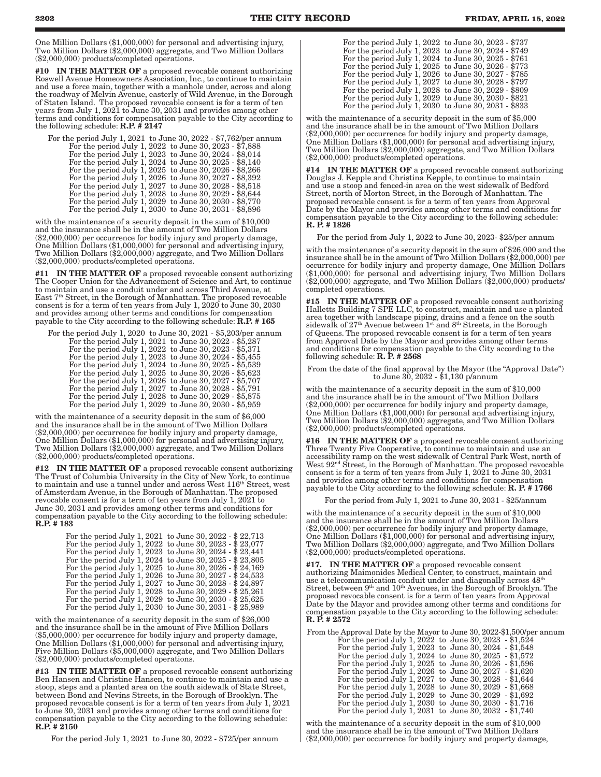One Million Dollars (\$1,000,000) for personal and advertising injury, Two Million Dollars (\$2,000,000) aggregate, and Two Million Dollars (\$2,000,000) products/completed operations.

#10 IN THE MATTER OF a proposed revocable consent authorizing Roswell Avenue Homeowners Association, Inc., to continue to maintain and use a force main, together with a manhole under, across and along the roadway of Melvin Avenue, easterly of Wild Avenue, in the Borough of Staten Island. The proposed revocable consent is for a term of ten years from July 1, 2021 to June 30, 2031 and provides among other terms and conditions for compensation payable to the City according to the following schedule:  $R.P. \# 2147$ 

| For the period July 1, 2021 to June 30, 2022 - \$7,762/per annum |  |
|------------------------------------------------------------------|--|
| For the period July 1, 2022 to June 30, 2023 - \$7,888           |  |
| For the period July 1, 2023 to June 30, 2024 - \$8,014           |  |
| For the period July 1, 2024 to June 30, 2025 - \$8,140           |  |
| For the period July 1, 2025 to June 30, 2026 - \$8,266           |  |
| For the period July 1, 2026 to June 30, 2027 - \$8,392           |  |
| For the period July 1, 2027 to June 30, 2028 - \$8,518           |  |
| For the period July 1, 2028 to June 30, 2029 - \$8,644           |  |
| For the period July 1, 2029 to June 30, 2030 - \$8,770           |  |
| For the period July 1, 2030 to June 30, 2031 - \$8,896           |  |

with the maintenance of a security deposit in the sum of \$10,000 and the insurance shall be in the amount of Two Million Dollars (\$2,000,000) per occurrence for bodily injury and property damage, One Million Dollars (\$1,000,000) for personal and advertising injury, Two Million Dollars (\$2,000,000) aggregate, and Two Million Dollars (\$2,000,000) products/completed operations.

#11 IN THE MATTER OF a proposed revocable consent authorizing The Cooper Union for the Advancement of Science and Art, to continue to maintain and use a conduit under and across Third Avenue, at East 7th Street, in the Borough of Manhattan. The proposed revocable consent is for a term of ten years from July 1, 2020 to June 30, 2030 and provides among other terms and conditions for compensation payable to the City according to the following schedule: R.P. # 165

For the period July 1, 2020 to June 30, 2021 - \$5,203/per annum For the period July 1, 2021 to June 30, 2022 - \$5,287 For the period July 1, 2022 to June 30, 2023 - \$5,371 For the period July 1, 2023 to June 30, 2024 - \$5,455 For the period July 1, 2024 to June 30, 2025 - \$5,539 For the period July 1, 2025 to June 30, 2026 - \$5,623 For the period July 1, 2026 to June 30, 2027 - \$5,707 For the period July 1, 2027 to June 30, 2028 - \$5,791 For the period July 1, 2028 to June 30, 2029 - \$5,875

For the period July 1, 2029 to June 30, 2030 - \$5,959

with the maintenance of a security deposit in the sum of \$6,000 and the insurance shall be in the amount of Two Million Dollars (\$2,000,000) per occurrence for bodily injury and property damage, One Million Dollars (\$1,000,000) for personal and advertising injury, Two Million Dollars (\$2,000,000) aggregate, and Two Million Dollars (\$2,000,000) products/completed operations.

#12 IN THE MATTER OF a proposed revocable consent authorizing The Trust of Columbia University in the City of New York, to continue to maintain and use a tunnel under and across West 116th Street, west of Amsterdam Avenue, in the Borough of Manhattan. The proposed revocable consent is for a term of ten years from July 1, 2021 to June 30, 2031 and provides among other terms and conditions for compensation payable to the City according to the following schedule: R.P. # 183

| For the period July 1, 2021 to June 30, 2022 - \$22,713 |  |
|---------------------------------------------------------|--|
| For the period July 1, 2022 to June 30, 2023 - \$23,077 |  |
| For the period July 1, 2023 to June 30, 2024 - \$23,441 |  |
| For the period July 1, 2024 to June 30, 2025 - \$23,805 |  |
| For the period July 1, 2025 to June 30, 2026 - \$24,169 |  |
| For the period July 1, 2026 to June 30, 2027 - \$24,533 |  |
| For the period July 1, 2027 to June 30, 2028 - \$24,897 |  |
| For the period July 1, 2028 to June 30, 2029 - \$25,261 |  |
| For the period July 1, 2029 to June 30, 2030 - \$25,625 |  |
| For the period July 1, 2030 to June 30, 2031 - \$25,989 |  |

with the maintenance of a security deposit in the sum of \$26,000 and the insurance shall be in the amount of Five Million Dollars (\$5,000,000) per occurrence for bodily injury and property damage, One Million Dollars (\$1,000,000) for personal and advertising injury, Five Million Dollars (\$5,000,000) aggregate, and Two Million Dollars (\$2,000,000) products/completed operations.

#13 IN THE MATTER OF a proposed revocable consent authorizing Ben Hansen and Christine Hansen, to continue to maintain and use a stoop, steps and a planted area on the south sidewalk of State Street, between Bond and Nevins Streets, in the Borough of Brooklyn. The proposed revocable consent is for a term of ten years from July 1, 2021 to June 30, 2031 and provides among other terms and conditions for compensation payable to the City according to the following schedule: R.P. # 2150

For the period July 1, 2021 to June 30, 2022 - \$725/per annum

with the maintenance of a security deposit in the sum of \$5,000 and the insurance shall be in the amount of Two Million Dollars (\$2,000,000) per occurrence for bodily injury and property damage, One Million Dollars (\$1,000,000) for personal and advertising injury, Two Million Dollars (\$2,000,000) aggregate, and Two Million Dollars (\$2,000,000) products/completed operations.

#14 IN THE MATTER OF a proposed revocable consent authorizing Douglas J. Kepple and Christina Kepple, to continue to maintain and use a stoop and fenced-in area on the west sidewalk of Bedford Street, north of Morton Street, in the Borough of Manhattan. The proposed revocable consent is for a term of ten years from Approval Date by the Mayor and provides among other terms and conditions for compensation payable to the City according to the following schedule: R. P. # 1826

For the period from July 1, 2022 to June 30, 2023- \$25/per annum

with the maintenance of a security deposit in the sum of \$26,000 and the insurance shall be in the amount of Two Million Dollars (\$2,000,000) per occurrence for bodily injury and property damage, One Million Dollars (\$1,000,000) for personal and advertising injury, Two Million Dollars (\$2,000,000) aggregate, and Two Million Dollars (\$2,000,000) products/ completed operations.

#15 IN THE MATTER OF a proposed revocable consent authorizing Halletts Building 7 SPE LLC, to construct, maintain and use a planted area together with landscape piping, drains and a fence on the south sidewalk of  $27<sup>th</sup>$  Avenue between  $1<sup>st</sup>$  and  $8<sup>th</sup>$  Streets, in the Borough of Queens. The proposed revocable consent is for a term of ten years from Approval Date by the Mayor and provides among other terms and conditions for compensation payable to the City according to the following schedule:  $\mathbf{R.}$   $\mathbf{\bar{P.}}$  # 2568

From the date of the final approval by the Mayor (the "Approval Date") to June 30, 2032 - \$1,130 p/annum

with the maintenance of a security deposit in the sum of \$10,000 and the insurance shall be in the amount of Two Million Dollars (\$2,000,000) per occurrence for bodily injury and property damage, One Million Dollars (\$1,000,000) for personal and advertising injury, Two Million Dollars (\$2,000,000) aggregate, and Two Million Dollars (\$2,000,000) products/completed operations.

#16 IN THE MATTER OF a proposed revocable consent authorizing Three Twenty Five Cooperative, to continue to maintain and use an accessibility ramp on the west sidewalk of Central Park West, north of West 92<sup>nd</sup> Street, in the Borough of Manhattan. The proposed revocable consent is for a term of ten years from July 1, 2021 to June 30, 2031 and provides among other terms and conditions for compensation payable to the City according to the following schedule: R. P. # 1766

For the period from July 1, 2021 to June 30, 2031 - \$25/annum

with the maintenance of a security deposit in the sum of \$10,000 and the insurance shall be in the amount of Two Million Dollars (\$2,000,000) per occurrence for bodily injury and property damage, One Million Dollars (\$1,000,000) for personal and advertising injury, Two Million Dollars (\$2,000,000) aggregate, and Two Million Dollars (\$2,000,000) products/completed operations.

#17. IN THE MATTER OF a proposed revocable consent authorizing Maimonides Medical Center, to construct, maintain and use a telecommunication conduit under and diagonally across 48th Street, between 9<sup>th</sup> and 10<sup>th</sup> Avenues, in the Borough of Brooklyn. The proposed revocable consent is for a term of ten years from Approval Date by the Mayor and provides among other terms and conditions for compensation payable to the City according to the following schedule: R. P. # 2572

From the Approval Date by the Mayor to June 30, 2022-\$1,500/per annum For the period July 1, 2022 to June 30, 2023 - \$1,524

| For the period July 1, 2023 to June 30, 2024 - \$1,548   |  |
|----------------------------------------------------------|--|
| For the period July 1, 2024 to June 30, 2025 - \$1,572   |  |
| For the period July 1, 2025 to June 30, 2026 - \$1,596   |  |
| For the period July 1, 2026 to June 30, 2027 $-$ \$1,620 |  |
| For the period July 1, 2027 to June 30, 2028 - \$1,644   |  |
| For the period July 1, 2028 to June 30, 2029 - \$1,668   |  |
| For the period July 1, 2029 to June 30, 2029 - \$1,692   |  |
| For the period July 1, 2030 to June 30, 2030 - \$1.716   |  |
| For the period July 1, 2031 to June 30, 2032 $-$ \$1,740 |  |

with the maintenance of a security deposit in the sum of \$10,000 and the insurance shall be in the amount of Two Million Dollars (\$2,000,000) per occurrence for bodily injury and property damage,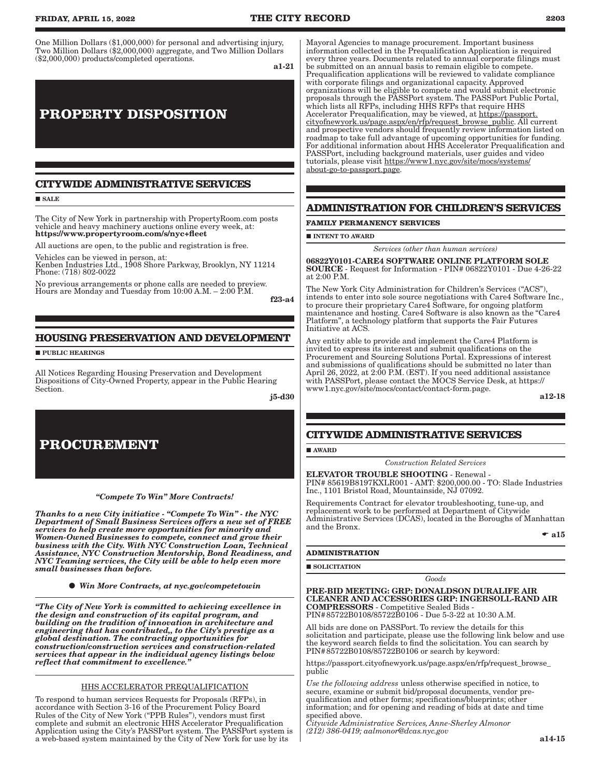One Million Dollars (\$1,000,000) for personal and advertising injury, Two Million Dollars (\$2,000,000) aggregate, and Two Million Dollars (\$2,000,000) products/completed operations.

a1-21

# **PROPERTY DISPOSITION**

### **CITYWIDE ADMINISTRATIVE SERVICES**

**SALE** 

The City of New York in partnership with PropertyRoom.com posts vehicle and heavy machinery auctions online every week, at: https://www.propertyroom.com/s/nyc+fleet

All auctions are open, to the public and registration is free.

Vehicles can be viewed in person, at: Kenben Industries Ltd., 1908 Shore Parkway, Brooklyn, NY 11214 Phone: (718) 802-0022

No previous arrangements or phone calls are needed to preview. Hours are Monday and Tuesday from 10:00 A.M. – 2:00 P.M.

f23-a4

### **HOUSING PRESERVATION AND DEVELOPMENT**

**PUBLIC HEARINGS** 

All Notices Regarding Housing Preservation and Development Dispositions of City-Owned Property, appear in the Public Hearing Section.

j5-d30

# **PROCUREMENT**

*"Compete To Win" More Contracts!* 

*Thanks to a new City initiative - "Compete To Win" - the NYC Department of Small Business Services offers a new set of FREE services to help create more opportunities for minority and Women-Owned Businesses to compete, connect and grow their business with the City. With NYC Construction Loan, Technical Assistance, NYC Construction Mentorship, Bond Readiness, and NYC Teaming services, the City will be able to help even more small businesses than before.*

*Win More Contracts, at nyc.gov/competetowin*

*"The City of New York is committed to achieving excellence in the design and construction of its capital program, and building on the tradition of innovation in architecture and engineering that has contributed,, to the City's prestige as a global destination. The contracting opportunities for construction/construction services and construction-related services that appear in the individual agency listings below reflect that commitment to excellence."*

### HHS ACCELERATOR PREQUALIFICATION

To respond to human services Requests for Proposals (RFPs), in accordance with Section 3-16 of the Procurement Policy Board Rules of the City of New York ("PPB Rules"), vendors must first complete and submit an electronic HHS Accelerator Prequalification Application using the City's PASSPort system. The PASSPort system is a web-based system maintained by the City of New York for use by its

Mayoral Agencies to manage procurement. Important business information collected in the Prequalification Application is required every three years. Documents related to annual corporate filings must be submitted on an annual basis to remain eligible to compete. Prequalification applications will be reviewed to validate compliance with corporate filings and organizational capacity. Approved organizations will be eligible to compete and would submit electronic proposals through the PASSPort system. The PASSPort Public Portal, which lists all RFPs, including HHS RFPs that require HHS Accelerator Prequalification, may be viewed, at https://passport. cityofnewyork.us/page.aspx/en/rfp/request\_browse\_public. All current and prospective vendors should frequently review information listed on roadmap to take full advantage of upcoming opportunities for funding. For additional information about HHS Accelerator Prequalification and PASSPort, including background materials, user guides and video tutorials, please visit https://www1.nyc.gov/site/mocs/systems/ about-go-to-passport.page.

### **ADMINISTRATION FOR CHILDREN'S SERVICES**

**FAMILY PERMANENCY SERVICES**

 $\blacksquare$  INTENT TO AWARD

*Services (other than human services)*

06822Y0101-CARE4 SOFTWARE ONLINE PLATFORM SOLE SOURCE - Request for Information - PIN# 06822Y0101 - Due 4-26-22 at 2:00 P.M.

The New York City Administration for Children's Services ("ACS"), intends to enter into sole source negotiations with Care4 Software Inc., to procure their proprietary Care4 Software, for ongoing platform maintenance and hosting. Care4 Software is also known as the "Care4 Platform", a technology platform that supports the Fair Futures Initiative at ACS.

Any entity able to provide and implement the Care4 Platform is invited to express its interest and submit qualifications on the Procurement and Sourcing Solutions Portal. Expressions of interest and submissions of qualifications should be submitted no later than April 26, 2022, at 2:00 P.M. (EST). If you need additional assistance with PASSPort, please contact the MOCS Service Desk, at https:// www1.nyc.gov/site/mocs/contact/contact-form.page.

a12-18

### **CITYWIDE ADMINISTRATIVE SERVICES**

### **AWARD**

*Construction Related Services*

ELEVATOR TROUBLE SHOOTING - Renewal - PIN# 85619B8197KXLR001 - AMT: \$200,000.00 - TO: Slade Industries Inc., 1101 Bristol Road, Mountainside, NJ 07092.

Requirements Contract for elevator troubleshooting, tune-up, and replacement work to be performed at Department of Citywide Administrative Services (DCAS), located in the Boroughs of Manhattan and the Bronx.

| ×<br>× | . .<br>٠ |
|--------|----------|
|--------|----------|

### **ADMINISTRATION**

**SOLICITATION** 

*Goods*

PRE-BID MEETING: GRP: DONALDSON DURALIFE AIR CLEANER AND ACCESSORIES GRP: INGERSOLL-RAND AIR COMPRESSORS - Competitive Sealed Bids -

PIN#85722B0108/85722B0106 - Due 5-3-22 at 10:30 A.M.

All bids are done on PASSPort. To review the details for this solicitation and participate, please use the following link below and use the keyword search fields to find the solicitation. You can search by PIN#85722B0108/85722B0106 or search by keyword:

https://passport.cityofnewyork.us/page.aspx/en/rfp/request\_browse\_ public

*Use the following address* unless otherwise specified in notice, to secure, examine or submit bid/proposal documents, vendor prequalification and other forms; specifications/blueprints; other information; and for opening and reading of bids at date and time specified above.

*Citywide Administrative Services, Anne-Sherley Almonor (212) 386-0419; aalmonor@dcas.nyc.gov*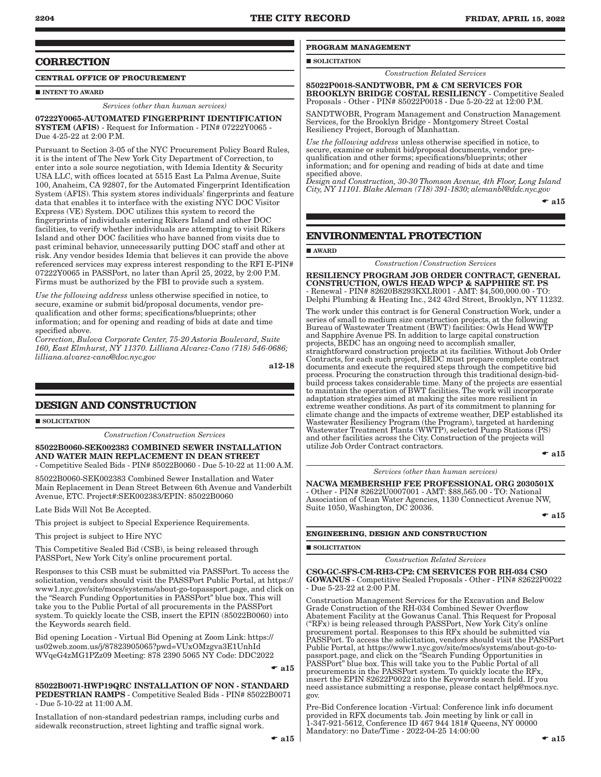### **CORRECTION**

### **CENTRAL OFFICE OF PROCUREMENT**

### **INTENT TO AWARD**

#### *Services (other than human services)*

07222Y0065-AUTOMATED FINGERPRINT IDENTIFICATION SYSTEM (AFIS) - Request for Information - PIN# 07222Y0065 - Due 4-25-22 at 2:00 P.M.

Pursuant to Section 3-05 of the NYC Procurement Policy Board Rules, it is the intent of The New York City Department of Correction, to enter into a sole source negotiation, with Idemia Identity & Security USA LLC, with offices located at 5515 East La Palma Avenue, Suite 100, Anaheim, CA 92807, for the Automated Fingerprint Identification System (AFIS). This system stores individuals' fingerprints and feature data that enables it to interface with the existing NYC DOC Visitor Express (VE) System. DOC utilizes this system to record the fingerprints of individuals entering Rikers Island and other DOC facilities, to verify whether individuals are attempting to visit Rikers Island and other DOC facilities who have banned from visits due to past criminal behavior, unnecessarily putting DOC staff and other at risk. Any vendor besides Idemia that believes it can provide the above referenced services may express interest responding to the RFI E-PIN# 07222Y0065 in PASSPort, no later than April 25, 2022, by 2:00 P.M. Firms must be authorized by the FBI to provide such a system.

*Use the following address* unless otherwise specified in notice, to secure, examine or submit bid/proposal documents, vendor prequalification and other forms; specifications/blueprints; other information; and for opening and reading of bids at date and time specified above.

*Correction, Bulova Corporate Center, 75-20 Astoria Boulevard, Suite 160, East Elmhurst, NY 11370. Lilliana Alvarez-Cano (718) 546-0686; lilliana.alvarez-cano@doc.nyc.gov*

a12-18

### **DESIGN AND CONSTRUCTION**

**SOLICITATION** 

*Construction/Construction Services*

### 85022B0060-SEK002383 COMBINED SEWER INSTALLATION AND WATER MAIN REPLACEMENT IN DEAN STREET

- Competitive Sealed Bids - PIN# 85022B0060 - Due 5-10-22 at 11:00 A.M.

85022B0060-SEK002383 Combined Sewer Installation and Water Main Replacement in Dean Street Between 6th Avenue and Vanderbilt Avenue, ETC. Project#:SEK002383/EPIN: 85022B0060

Late Bids Will Not Be Accepted.

This project is subject to Special Experience Requirements.

This project is subject to Hire NYC

This Competitive Sealed Bid (CSB), is being released through PASSPort, New York City's online procurement portal.

Responses to this CSB must be submitted via PASSPort. To access the solicitation, vendors should visit the PASSPort Public Portal, at https:// www1.nyc.gov/site/mocs/systems/about-go-topassport.page, and click on the "Search Funding Opportunities in PASSPort" blue box. This will take you to the Public Portal of all procurements in the PASSPort system. To quickly locate the CSB, insert the EPIN (85022B0060) into the Keywords search field.

Bid opening Location - Virtual Bid Opening at Zoom Link: https:// us02web.zoom.us/j/87823905065?pwd=VUxOMzgva3E1UnhId WVqeG4zMG1PZz09 Meeting: 878 2390 5065 NY Code: DDC2022

 $\bullet$  a15

85022B0071-HWP19QRC INSTALLATION OF NON - STANDARD PEDESTRIAN RAMPS - Competitive Sealed Bids - PIN# 85022B0071 - Due 5-10-22 at 11:00 A.M.

Installation of non-standard pedestrian ramps, including curbs and sidewalk reconstruction, street lighting and traffic signal work.

### **PROGRAM MANAGEMENT**

**SOLICITATION** 

85022P0018-SANDTWOBR, PM & CM SERVICES FOR BROOKLYN BRIDGE COSTAL RESILIENCY - Competitive Sealed Proposals - Other - PIN# 85022P0018 - Due 5-20-22 at 12:00 P.M.

*Construction Related Services*

SANDTWOBR, Program Management and Construction Management Services, for the Brooklyn Bridge - Montgomery Street Costal Resiliency Project, Borough of Manhattan.

*Use the following address* unless otherwise specified in notice, to secure, examine or submit bid/proposal documents, vendor prequalification and other forms; specifications/blueprints; other information; and for opening and reading of bids at date and time specified above.

*Design and Construction, 30-30 Thomson Avenue, 4th Floor, Long Island City, NY 11101. Blake Aleman (718) 391-1830; alemanbl@ddc.nyc.gov*

 $-$ a $15$ 

### **ENVIRONMENTAL PROTECTION**

#### AWARD

*Construction/Construction Services*

RESILIENCY PROGRAM JOB ORDER CONTRACT, GENERAL CONSTRUCTION, OWL'S HEAD WPCP & SAPPHIRE ST. PS - Renewal - PIN# 82620B8293KXLR001 - AMT: \$4,500,000.00 - TO: Delphi Plumbing & Heating Inc., 242 43rd Street, Brooklyn, NY 11232.

The work under this contract is for General Construction Work, under a series of small to medium size construction projects, at the following Bureau of Wastewater Treatment (BWT) facilities: Owls Head WWTP and Sapphire Avenue PS. In addition to large capital construction projects, BEDC has an ongoing need to accomplish smaller, straightforward construction projects at its facilities. Without Job Order Contracts, for each such project, BEDC must prepare complete contract documents and execute the required steps through the competitive bid process. Procuring the construction through this traditional design-bidbuild process takes considerable time. Many of the projects are essential to maintain the operation of BWT facilities. The work will incorporate adaptation strategies aimed at making the sites more resilient in extreme weather conditions. As part of its commitment to planning for climate change and the impacts of extreme weather, DEP established its Wastewater Resiliency Program (the Program), targeted at hardening Wastewater Treatment Plants (WWTP), selected Pump Stations (PS) and other facilities across the City. Construction of the projects will utilize Job Order Contract contractors.

 $\bullet$  a15

#### *Services (other than human services)*

NACWA MEMBERSHIP FEE PROFESSIONAL ORG 2030501X - Other - PIN# 82622U0007001 - AMT: \$88,565.00 - TO: National Association of Clean Water Agencies, 1130 Connecticut Avenue NW, Suite 1050, Washington, DC 20036.

 $\bullet$  a15

### **ENGINEERING, DESIGN AND CONSTRUCTION**

#### SOLICITATION

*Construction Related Services*

CSO-GC-SFS-CM-RH3-CP2: CM SERVICES FOR RH-034 CSO GOWANUS - Competitive Sealed Proposals - Other - PIN# 82622P0022 - Due 5-23-22 at 2:00 P.M.

Construction Management Services for the Excavation and Below Grade Construction of the RH-034 Combined Sewer Overflow Abatement Facility at the Gowanus Canal. This Request for Proposal ("RFx) is being released through PASSPort, New York City's online procurement portal. Responses to this RFx should be submitted via PASSPort. To access the solicitation, vendors should visit the PASSPort Public Portal, at https://www1.nyc.gov/site/mocs/systems/about-go-topassport.page, and click on the "Search Funding Opportunities in PASSPort" blue box. This will take you to the Public Portal of all procurements in the PASSPort system. To quickly locate the RFx, insert the EPIN 82622P0022 into the Keywords search field. If you need assistance submitting a response, please contact help@mocs.nyc. gov.

Pre-Bid Conference location -Virtual: Conference link info document provided in RFX documents tab. Join meeting by link or call in 1-347-921-5612, Conference ID 467 944 181# Queens, NY 00000 Mandatory: no Date/Time - 2022-04-25 14:00:00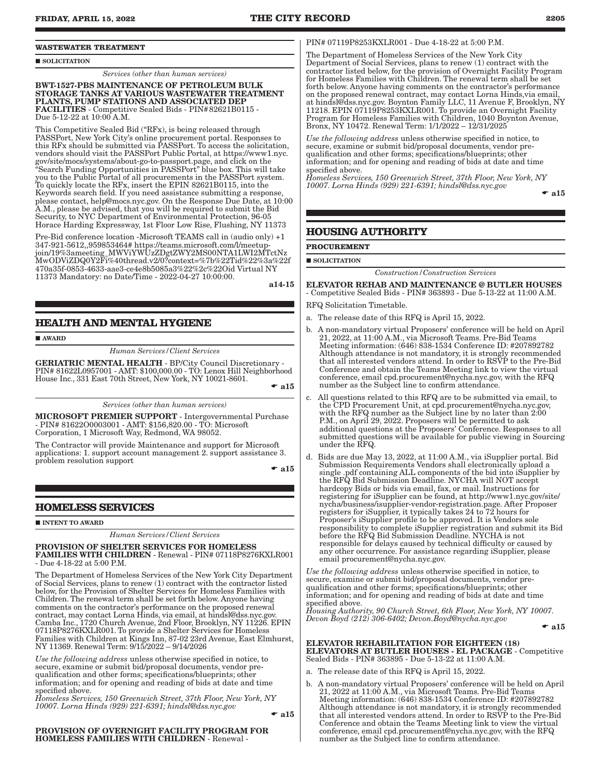#### **WASTEWATER TREATMENT**

#### **SOLICITATION**

*Services (other than human services)*

BWT-1527-PBS MAINTENANCE OF PETROLEUM BULK STORAGE TANKS AT VARIOUS WASTEWATER TREATMENT PLANTS, PUMP STATIONS AND ASSOCIATED DEP FACILITIES - Competitive Sealed Bids - PIN#82621B0115 - Due 5-12-22 at 10:00 A.M.

This Competitive Sealed Bid ("RFx), is being released through PASSPort, New York City's online procurement portal. Responses to this RFx should be submitted via PASSPort. To access the solicitation, vendors should visit the PASSPort Public Portal, at https://www1.nyc. gov/site/mocs/systems/about-go-to-passport.page, and click on the "Search Funding Opportunities in PASSPort" blue box. This will take you to the Public Portal of all procurements in the PASSPort system. To quickly locate the RFx, insert the EPIN 82621B0115, into the Keywords search field. If you need assistance submitting a response, please contact, help@mocs.nyc.gov. On the Response Due Date, at 10:00 A.M., please be advised, that you will be required to submit the Bid Security, to NYC Department of Environmental Protection, 96-05 Horace Harding Expressway, 1st Floor Low Rise, Flushing, NY 11373

Pre-Bid conference location -Microsoft TEAMS call in (audio only) +1 347-921-5612,,959853464# https://teams.microsoft.com/l/meetupjoin/19%3ameeting\_MWViYWUzZDgtZWY2MS00NTA1LWI2MTctNz MwODViZDQ0Y2Fi%40thread.v2/0?context=%7b%22Tid%22%3a%22f 470a35f-0853-4633-aae3-ce4e8b5085a3%22%2c%22Oid Virtual NY 11373 Mandatory: no Date/Time - 2022-04-27 10:00:00.

a14-15

### **HEALTH AND MENTAL HYGIENE**

**AWARD** 

*Human Services/Client Services*

GERIATRIC MENTAL HEALTH - BP/City Council Discretionary - PIN# 81622L0957001 - AMT: \$100,000.00 - TO: Lenox Hill Neighborhood House Inc., 331 East 70th Street, New York, NY 10021-8601.  $\bullet$  a15

*Services (other than human services)*

MICROSOFT PREMIER SUPPORT - Intergovernmental Purchase - PIN# 81622O0003001 - AMT: \$156,820.00 - TO: Microsoft Corporation, 1 Microsoft Way, Redmond, WA 98052.

The Contractor will provide Maintenance and support for Microsoft applications: 1. support account management 2. support assistance 3. problem resolution support

 $\bullet$  a15

### **HOMELESS SERVICES**

#### **INTENT TO AWARD**

*Human Services/Client Services*

#### PROVISION OF SHELTER SERVICES FOR HOMELESS

FAMILIES WITH CHILDREN - Renewal - PIN# 07118P8276KXLR001 - Due 4-18-22 at 5:00 P.M.

The Department of Homeless Services of the New York City Department of Social Services, plans to renew (1) contract with the contractor listed below, for the Provision of Shelter Services for Homeless Families with Children. The renewal term shall be set forth below. Anyone having comments on the contractor's performance on the proposed renewal contract, may contact Lorna Hinds, via email, at hindsl@dss.nyc.gov. Camba Inc., 1720 Church Avenue, 2nd Floor, Brooklyn, NY 11226. EPIN 07118P8276KXLR001. To provide a Shelter Services for Homeless Families with Children at Kings Inn, 87-02 23rd Avenue, East Elmhurst, NY 11369. Renewal Term: 9/15/2022 – 9/14/2026

*Use the following address* unless otherwise specified in notice, to secure, examine or submit bid/proposal documents, vendor prequalification and other forms; specifications/blueprints; other information; and for opening and reading of bids at date and time specified above.

*Homeless Services, 150 Greenwich Street, 37th Floor, New York, NY 10007. Lorna Hinds (929) 221-6391; hindsl@dss.nyc.gov*

 $\bullet$  a15

### PROVISION OF OVERNIGHT FACILITY PROGRAM FOR HOMELESS FAMILIES WITH CHILDREN - Renewal -

#### PIN# 07119P8253KXLR001 - Due 4-18-22 at 5:00 P.M.

The Department of Homeless Services of the New York City Department of Social Services, plans to renew (1) contract with the contractor listed below, for the provision of Overnight Facility Program for Homeless Families with Children. The renewal term shall be set forth below. Anyone having comments on the contractor's performance on the proposed renewal contract, may contact Lorna Hinds,via email, at hindsl@dss.nyc.gov. Boynton Family LLC, 11 Avenue F, Brooklyn, NY 11218. EPIN 07119P8253KXLR001. To provide an Overnight Facility Program for Homeless Families with Children, 1040 Boynton Avenue, Bronx, NY 10472. Renewal Term: 1/1/2022 – 12/31/2025

*Use the following address* unless otherwise specified in notice, to secure, examine or submit bid/proposal documents, vendor prequalification and other forms; specifications/blueprints; other information; and for opening and reading of bids at date and time specified above.

*Homeless Services, 150 Greenwich Street, 37th Floor, New York, NY 10007. Lorna Hinds (929) 221-6391; hindsl@dss.nyc.gov*

 $\bullet$  a15

### **HOUSING AUTHORITY**

**PROCUREMENT**

**SOLICITATION** 

*Construction/Construction Services*

### ELEVATOR REHAB AND MAINTENANCE @ BUTLER HOUSES

- Competitive Sealed Bids - PIN# 363893 - Due 5-13-22 at 11:00 A.M.

RFQ Solicitation Timetable.

- a. The release date of this RFQ is April 15, 2022.
- b. A non-mandatory virtual Proposers' conference will be held on April 21, 2022, at 11:00 A.M., via Microsoft Teams. Pre-Bid Teams Meeting information: (646) 838-1534 Conference ID: #207892782 Although attendance is not mandatory, it is strongly recommended that all interested vendors attend. In order to RSVP to the Pre-Bid Conference and obtain the Teams Meeting link to view the virtual conference, email cpd.procurement@nycha.nyc.gov, with the RFQ number as the Subject line to confirm attendance.
- c. All questions related to this RFQ are to be submitted via email, to the CPD Procurement Unit, at cpd.procurement@nycha.nyc.gov, with the RFQ number as the Subject line by no later than 2:00 P.M., on April 29, 2022. Proposers will be permitted to ask additional questions at the Proposers' Conference. Responses to all submitted questions will be available for public viewing in Sourcing under the RFQ.
- d. Bids are due May 13, 2022, at 11:00 A.M., via iSupplier portal. Bid Submission Requirements Vendors shall electronically upload a single .pdf containing ALL components of the bid into iSupplier by the RFQ Bid Submission Deadline. NYCHA will NOT accept hardcopy Bids or bids via email, fax, or mail. Instructions for registering for iSupplier can be found, at http://www1.nyc.gov/site/ nycha/business/isupplier-vendor-registration.page. After Proposer registers for iSupplier, it typically takes 24 to 72 hours for Proposer's iSupplier profile to be approved. It is Vendors sole responsibility to complete iSupplier registration and submit its Bid before the RFQ Bid Submission Deadline. NYCHA is not responsible for delays caused by technical difficulty or caused by any other occurrence. For assistance regarding iSupplier, please email procurement@nycha.nyc.gov.

*Use the following address* unless otherwise specified in notice, to secure, examine or submit bid/proposal documents, vendor prequalification and other forms; specifications/blueprints; other information; and for opening and reading of bids at date and time specified above.

*Housing Authority, 90 Church Street, 6th Floor, New York, NY 10007. Devon Boyd (212) 306-6402; Devon.Boyd@nycha.nyc.gov*

 $\bullet$  a15

- ELEVATOR REHABILITATION FOR EIGHTEEN (18) ELEVATORS AT BUTLER HOUSES - EL PACKAGE - Competitive Sealed Bids - PIN# 363895 - Due 5-13-22 at 11:00 A.M.
- a. The release date of this RFQ is April 15, 2022.
- b. A non-mandatory virtual Proposers' conference will be held on April 21, 2022 at 11:00 A.M., via Microsoft Teams. Pre-Bid Teams Meeting information: (646) 838-1534 Conference ID: #207892782 Although attendance is not mandatory, it is strongly recommended that all interested vendors attend. In order to RSVP to the Pre-Bid Conference and obtain the Teams Meeting link to view the virtual conference, email cpd.procurement@nycha.nyc.gov, with the RFQ number as the Subject line to confirm attendance.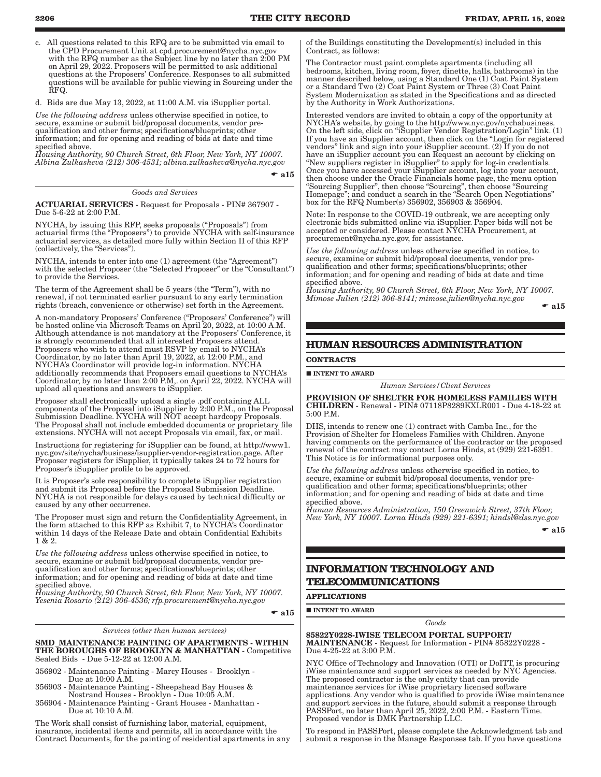c. All questions related to this RFQ are to be submitted via email to the CPD Procurement Unit at cpd.procurement@nycha.nyc.gov with the RFQ number as the Subject line by no later than 2:00 PM on April 29, 2022. Proposers will be permitted to ask additional questions at the Proposers' Conference. Responses to all submitted questions will be available for public viewing in Sourcing under the RFQ.

d. Bids are due May 13, 2022, at 11:00 A.M. via iSupplier portal.

*Use the following address* unless otherwise specified in notice, to secure, examine or submit bid/proposal documents, vendor prequalification and other forms; specifications/blueprints; other information; and for opening and reading of bids at date and time specified above.

*Housing Authority, 90 Church Street, 6th Floor, New York, NY 10007. Albina Zulkasheva (212) 306-4531; albina.zulkasheva@nycha.nyc.gov*

 $\bullet$  a15

### *Goods and Services*

ACTUARIAL SERVICES - Request for Proposals - PIN# 367907 - Due 5-6-22 at 2:00 P.M.

NYCHA, by issuing this RFP, seeks proposals ("Proposals") from actuarial firms (the "Proposers") to provide NYCHA with self-insurance actuarial services, as detailed more fully within Section II of this RFP (collectively, the "Services").

NYCHA, intends to enter into one (1) agreement (the "Agreement") with the selected Proposer (the "Selected Proposer" or the "Consultant") to provide the Services.

The term of the Agreement shall be 5 years (the "Term"), with no renewal, if not terminated earlier pursuant to any early termination rights (breach, convenience or otherwise) set forth in the Agreement.

A non-mandatory Proposers' Conference ("Proposers' Conference") will be hosted online via Microsoft Teams on April 20, 2022, at 10:00 A.M. Although attendance is not mandatory at the Proposers' Conference, it is strongly recommended that all interested Proposers attend. Proposers who wish to attend must RSVP by email to NYCHA's Coordinator, by no later than April 19, 2022, at 12:00 P.M., and NYCHA's Coordinator will provide log-in information. NYCHA additionally recommends that Proposers email questions to NYCHA's Coordinator, by no later than 2:00 P.M,. on April 22, 2022. NYCHA will upload all questions and answers to iSupplier.

Proposer shall electronically upload a single .pdf containing ALL components of the Proposal into iSupplier by 2:00 P.M., on the Proposal Submission Deadline. NYCHA will NOT accept hardcopy Proposals. The Proposal shall not include embedded documents or proprietary file extensions. NYCHA will not accept Proposals via email, fax, or mail.

Instructions for registering for iSupplier can be found, at http://www1. nyc.gov/site/nycha/business/isupplier-vendor-registration.page. After Proposer registers for iSupplier, it typically takes 24 to 72 hours for Proposer's iSupplier profile to be approved.

It is Proposer's sole responsibility to complete iSupplier registration and submit its Proposal before the Proposal Submission Deadline. NYCHA is not responsible for delays caused by technical difficulty or caused by any other occurrence.

The Proposer must sign and return the Confidentiality Agreement, in the form attached to this RFP as Exhibit 7, to NYCHA's Coordinator within 14 days of the Release Date and obtain Confidential Exhibits 1 & 2.

*Use the following address* unless otherwise specified in notice, to secure, examine or submit bid/proposal documents, vendor prequalification and other forms; specifications/blueprints; other information; and for opening and reading of bids at date and time specified above.

*Housing Authority, 90 Church Street, 6th Floor, New York, NY 10007. Yesenia Rosario (212) 306-4536; rfp.procurement@nycha.nyc.gov*

 $\bullet$  a15

*Services (other than human services)*

SMD\_MAINTENANCE PAINTING OF APARTMENTS - WITHIN THE BOROUGHS OF BROOKLYN & MANHATTAN - Competitive Sealed Bids - Due 5-12-22 at 12:00 A.M.

356902 - Maintenance Painting - Marcy Houses - Brooklyn - Due at 10:00 A.M.

- 356903 Maintenance Painting Sheepshead Bay Houses & Nostrand Houses - Brooklyn - Due 10:05 A.M.
- 356904 Maintenance Painting Grant Houses Manhattan Due at 10:10 A.M.

The Work shall consist of furnishing labor, material, equipment, insurance, incidental items and permits, all in accordance with the Contract Documents, for the painting of residential apartments in any of the Buildings constituting the Development(s) included in this Contract, as follows:

The Contractor must paint complete apartments (including all bedrooms, kitchen, living room, foyer, dinette, halls, bathrooms) in the manner described below, using a Standard One (1) Coat Paint System or a Standard Two (2) Coat Paint System or Three (3) Coat Paint System Modernization as stated in the Specifications and as directed by the Authority in Work Authorizations.

Interested vendors are invited to obtain a copy of the opportunity at NYCHA's website, by going to the http://www.nyc.gov/nychabusiness. On the left side, click on "iSupplier Vendor Registration/Login" link. (1) If you have an iSupplier account, then click on the "Login for registered vendors" link and sign into your iSupplier account. (2) If you do not have an iSupplier account you can Request an account by clicking on "New suppliers register in iSupplier" to apply for log-in credentials. Once you have accessed your iSupplier account, log into your account, then choose under the Oracle Financials home page, the menu option "Sourcing Supplier", then choose "Sourcing", then choose "Sourcing Homepage"; and conduct a search in the "Search Open Negotiations" box for the RFQ Number(s) 356902, 356903 & 356904.

Note: In response to the COVID-19 outbreak, we are accepting only electronic bids submitted online via iSupplier. Paper bids will not be accepted or considered. Please contact NYCHA Procurement, at procurement@nycha.nyc.gov, for assistance.

*Use the following address* unless otherwise specified in notice, to secure, examine or submit bid/proposal documents, vendor prequalification and other forms; specifications/blueprints; other information; and for opening and reading of bids at date and time specified above.

*Housing Authority, 90 Church Street, 6th Floor, New York, NY 10007. Mimose Julien (212) 306-8141; mimose.julien@nycha.nyc.gov*

 $\bullet$  al<sub>5</sub>

### **HUMAN RESOURCES ADMINISTRATION**

#### **CONTRACTS**

**INTENT TO AWARD** 

*Human Services/Client Services*

PROVISION OF SHELTER FOR HOMELESS FAMILIES WITH CHILDREN - Renewal - PIN# 07118P8289KXLR001 - Due 4-18-22 at 5:00 P.M.

DHS, intends to renew one (1) contract with Camba Inc., for the Provision of Shelter for Homeless Families with Children. Anyone having comments on the performance of the contractor or the proposed renewal of the contract may contact Lorna Hinds, at (929) 221-6391. This Notice is for informational purposes only.

*Use the following address* unless otherwise specified in notice, to secure, examine or submit bid/proposal documents, vendor prequalification and other forms; specifications/blueprints; other information; and for opening and reading of bids at date and time specified above.

*Human Resources Administration, 150 Greenwich Street, 37th Floor, New York, NY 10007. Lorna Hinds (929) 221-6391; hindsl@dss.nyc.gov*

 $\bullet$  al5

### **INFORMATION TECHNOLOGY AND TELECOMMUNICATIONS**

### **APPLICATIONS**

 $\blacksquare$ INTENT TO AWARD

*Goods*

85822Y0228-IWISE TELECOM PORTAL SUPPORT/ MAINTENANCE - Request for Information - PIN# 85822Y0228 - Due 4-25-22 at 3:00 P.M.

NYC Office of Technology and Innovation (OTI) or DoITT, is procuring iWise maintenance and support services as needed by NYC Agencies. The proposed contractor is the only entity that can provide maintenance services for iWise proprietary licensed software applications. Any vendor who is qualified to provide iWise maintenance and support services in the future, should submit a response through PASSPort, no later than April 25, 2022, 2:00 P.M. - Eastern Time. Proposed vendor is DMK Partnership LLC.

To respond in PASSPort, please complete the Acknowledgment tab and submit a response in the Manage Responses tab. If you have questions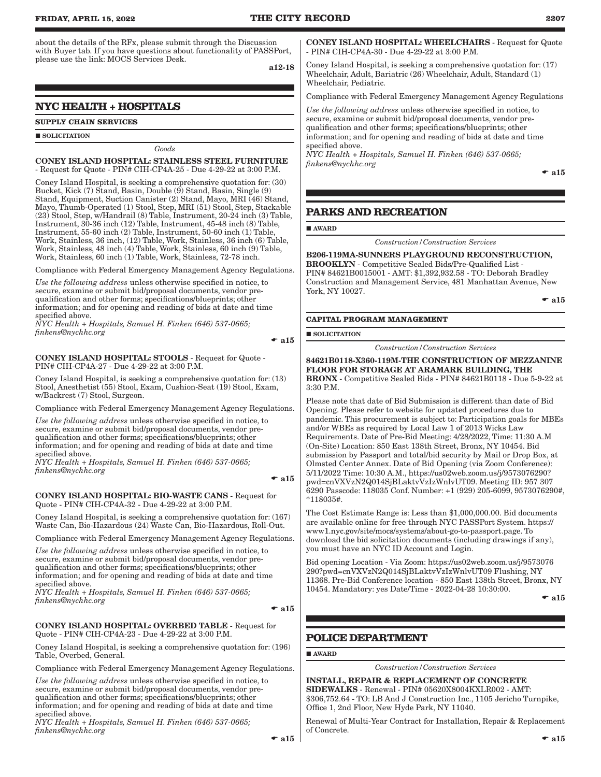about the details of the RFx, please submit through the Discussion with Buyer tab. If you have questions about functionality of PASSPort, please use the link: MOCS Services Desk.

a12-18

### **NYC HEALTH + HOSPITALS**

#### **SUPPLY CHAIN SERVICES**

#### **SOLICITATION**

### *Goods*

CONEY ISLAND HOSPITAL: STAINLESS STEEL FURNITURE - Request for Quote - PIN# CIH-CP4A-25 - Due 4-29-22 at 3:00 P.M.

Coney Island Hospital, is seeking a comprehensive quotation for: (30) Bucket, Kick (7) Stand, Basin, Double (9) Stand, Basin, Single (9) Stand, Equipment, Suction Canister (2) Stand, Mayo, MRI (46) Stand, Mayo, Thumb-Operated (1) Stool, Step, MRI (51) Stool, Step, Stackable (23) Stool, Step, w/Handrail (8) Table, Instrument, 20-24 inch (3) Table, Instrument, 30-36 inch (12) Table, Instrument, 45-48 inch (8) Table, Instrument, 55-60 inch (2) Table, Instrument, 50-60 inch (1) Table, Work, Stainless, 36 inch, (12) Table, Work, Stainless, 36 inch (6) Table, Work, Stainless, 48 inch (4) Table, Work, Stainless, 60 inch (9) Table, Work, Stainless, 60 inch (1) Table, Work, Stainless, 72-78 inch.

Compliance with Federal Emergency Management Agency Regulations.

*Use the following address* unless otherwise specified in notice, to secure, examine or submit bid/proposal documents, vendor prequalification and other forms; specifications/blueprints; other information; and for opening and reading of bids at date and time specified above.

*NYC Health + Hospitals, Samuel H. Finken (646) 537-0665; finkens@nychhc.org*

 $\bullet$  al5

CONEY ISLAND HOSPITAL: STOOLS - Request for Quote - PIN# CIH-CP4A-27 - Due 4-29-22 at 3:00 P.M.

Coney Island Hospital, is seeking a comprehensive quotation for: (13) Stool, Anesthetist (55) Stool, Exam, Cushion-Seat (19) Stool, Exam, w/Backrest (7) Stool, Surgeon.

Compliance with Federal Emergency Management Agency Regulations.

*Use the following address* unless otherwise specified in notice, to secure, examine or submit bid/proposal documents, vendor prequalification and other forms; specifications/blueprints; other information; and for opening and reading of bids at date and time specified above.

*NYC Health + Hospitals, Samuel H. Finken (646) 537-0665; finkens@nychhc.org*

 $\bullet$  a15

#### CONEY ISLAND HOSPITAL: BIO-WASTE CANS - Request for Quote - PIN# CIH-CP4A-32 - Due 4-29-22 at 3:00 P.M.

Coney Island Hospital, is seeking a comprehensive quotation for: (167) Waste Can, Bio-Hazardous (24) Waste Can, Bio-Hazardous, Roll-Out.

Compliance with Federal Emergency Management Agency Regulations.

*Use the following address* unless otherwise specified in notice, to secure, examine or submit bid/proposal documents, vendor prequalification and other forms; specifications/blueprints; other information; and for opening and reading of bids at date and time specified above.

*NYC Health + Hospitals, Samuel H. Finken (646) 537-0665; finkens@nychhc.org*

 $\bullet$  a15

#### CONEY ISLAND HOSPITAL: OVERBED TABLE - Request for Quote - PIN# CIH-CP4A-23 - Due 4-29-22 at 3:00 P.M.

Coney Island Hospital, is seeking a comprehensive quotation for: (196) Table, Overbed, General.

Compliance with Federal Emergency Management Agency Regulations.

*Use the following address* unless otherwise specified in notice, to secure, examine or submit bid/proposal documents, vendor prequalification and other forms; specifications/blueprints; other information; and for opening and reading of bids at date and time specified above.

*NYC Health + Hospitals, Samuel H. Finken (646) 537-0665; finkens@nychhc.org*

 $\bullet$  a15

CONEY ISLAND HOSPITAL: WHEELCHAIRS - Request for Quote - PIN# CIH-CP4A-30 - Due 4-29-22 at 3:00 P.M.

Coney Island Hospital, is seeking a comprehensive quotation for: (17) Wheelchair, Adult, Bariatric (26) Wheelchair, Adult, Standard (1) Wheelchair, Pediatric.

Compliance with Federal Emergency Management Agency Regulations

*Use the following address* unless otherwise specified in notice, to secure, examine or submit bid/proposal documents, vendor prequalification and other forms; specifications/blueprints; other information; and for opening and reading of bids at date and time specified above.

*NYC Health + Hospitals, Samuel H. Finken (646) 537-0665; finkens@nychhc.org*

 $\bullet$  a15

### **PARKS AND RECREATION**

**AWARD** 

*Construction/Construction Services*

B206-119MA-SUNNERS PLAYGROUND RECONSTRUCTION, BROOKLYN - Competitive Sealed Bids/Pre-Qualified List - PIN# 84621B0015001 - AMT: \$1,392,932.58 - TO: Deborah Bradley Construction and Management Service, 481 Manhattan Avenue, New York, NY 10027.

 $\bullet$  al<sub>5</sub>

### **CAPITAL PROGRAM MANAGEMENT**

SOLICITATION

*Construction/Construction Services*

84621B0118-X360-119M-THE CONSTRUCTION OF MEZZANINE FLOOR FOR STORAGE AT ARAMARK BUILDING, THE BRONX - Competitive Sealed Bids - PIN# 84621B0118 - Due 5-9-22 at 3:30 P.M.

Please note that date of Bid Submission is different than date of Bid Opening. Please refer to website for updated procedures due to pandemic. This procurement is subject to: Participation goals for MBEs and/or WBEs as required by Local Law 1 of 2013 Wicks Law Requirements. Date of Pre-Bid Meeting: 4/28/2022, Time: 11:30 A.M (On-Site) Location: 850 East 138th Street, Bronx, NY 10454. Bid submission by Passport and total/bid security by Mail or Drop Box, at Olmsted Center Annex. Date of Bid Opening (via Zoom Conference): 5/11/2022 Time: 10:30 A.M., https://us02web.zoom.us/j/9573076290? pwd=cnVXVzN2Q014SjBLaktvVzIzWnlvUT09. Meeting ID: 957 307 6290 Passcode: 118035 Conf. Number: +1 (929) 205-6099, 9573076290#, \*118035#.

The Cost Estimate Range is: Less than \$1,000,000.00. Bid documents are available online for free through NYC PASSPort System. https:// www1.nyc.gov/site/mocs/systems/about-go-to-passport.page. To download the bid solicitation documents (including drawings if any), you must have an NYC ID Account and Login.

Bid opening Location - Via Zoom: https://us02web.zoom.us/j/9573076 290?pwd=cnVXVzN2Q014SjBLaktvVzIzWnlvUT09 Flushing, NY 11368. Pre-Bid Conference location - 850 East 138th Street, Bronx, NY 10454. Mandatory: yes Date/Time - 2022-04-28 10:30:00.

 $\bullet$  a15

### **POLICE DEPARTMENT**

**AWARD** 

*Construction/Construction Services*

INSTALL, REPAIR & REPLACEMENT OF CONCRETE SIDEWALKS - Renewal - PIN# 05620X8004KXLR002 - AMT: \$306,752.64 - TO: LB And J Construction Inc., 1105 Jericho Turnpike, Office 1, 2nd Floor, New Hyde Park, NY 11040.

Renewal of Multi-Year Contract for Installation, Repair & Replacement of Concrete.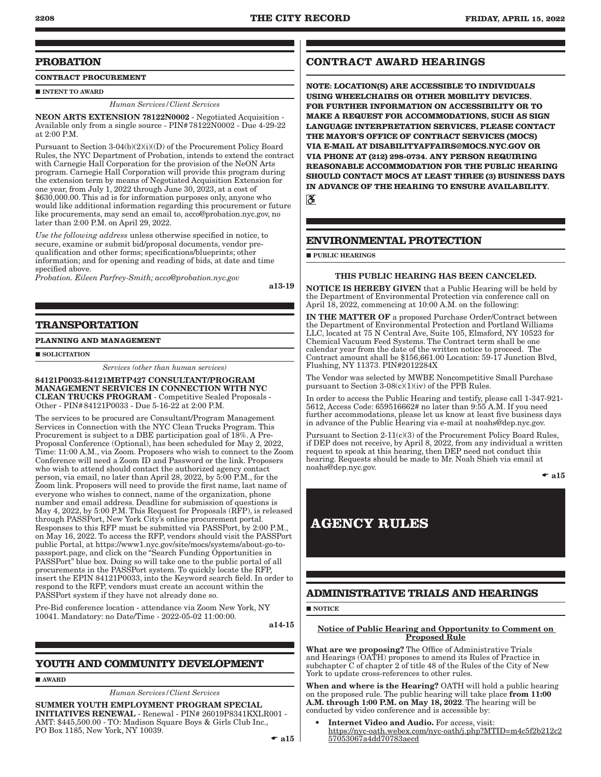### **PROBATION**

**CONTRACT PROCUREMENT**

INTENT TO AWARD

*Human Services/Client Services*

NEON ARTS EXTENSION 78122N0002 - Negotiated Acquisition - Available only from a single source - PIN#78122N0002 - Due 4-29-22 at 2:00 P.M.

Pursuant to Section 3-04(b)(2)(i)((D) of the Procurement Policy Board Rules, the NYC Department of Probation, intends to extend the contract with Carnegie Hall Corporation for the provision of the NeON Arts program. Carnegie Hall Corporation will provide this program during the extension term by means of Negotiated Acquisition Extension for one year, from July 1, 2022 through June 30, 2023, at a cost of \$630,000.00. This ad is for information purposes only, anyone who would like additional information regarding this procurement or future like procurements, may send an email to, acco@probation.nyc.gov, no later than 2:00 P.M. on April 29, 2022.

*Use the following address* unless otherwise specified in notice, to secure, examine or submit bid/proposal documents, vendor prequalification and other forms; specifications/blueprints; other information; and for opening and reading of bids, at date and time specified above.

*Probation. Eileen Parfrey-Smith; acco@probation.nyc.gov*

a13-19

### **TRANSPORTATION**

### **PLANNING AND MANAGEMENT**

 $\blacksquare$  SOLICITATION

*Services (other than human services)*

84121P0033-84121MBTP427 CONSULTANT/PROGRAM MANAGEMENT SERVICES IN CONNECTION WITH NYC CLEAN TRUCKS PROGRAM - Competitive Sealed Proposals - Other - PIN#84121P0033 - Due 5-16-22 at 2:00 P.M.

The services to be procured are Consultant/Program Management Services in Connection with the NYC Clean Trucks Program. This Procurement is subject to a DBE participation goal of 18%. A Pre-Proposal Conference (Optional), has been scheduled for May 2, 2022, Time: 11:00 A.M., via Zoom. Proposers who wish to connect to the Zoom Conference will need a Zoom ID and Password or the link. Proposers who wish to attend should contact the authorized agency contact person, via email, no later than April 28, 2022, by 5:00 P.M., for the Zoom link. Proposers will need to provide the first name, last name of everyone who wishes to connect, name of the organization, phone number and email address. Deadline for submission of questions is May 4, 2022, by 5:00 P.M. This Request for Proposals (RFP), is released through PASSPort, New York City's online procurement portal. Responses to this RFP must be submitted via PASSPort, by 2:00 P.M., on May 16, 2022. To access the RFP, vendors should visit the PASSPort public Portal, at https://www1.nyc.gov/site/mocs/systems/about-go-topassport.page, and click on the "Search Funding Opportunities in PASSPort" blue box. Doing so will take one to the public portal of all procurements in the PASSPort system. To quickly locate the RFP, insert the EPIN 84121P0033, into the Keyword search field. In order to respond to the RFP, vendors must create an account within the PASSPort system if they have not already done so.

Pre-Bid conference location - attendance via Zoom New York, NY 10041. Mandatory: no Date/Time - 2022-05-02 11:00:00.

a14-15

### **YOUTH AND COMMUNITY DEVELOPMENT**

**AWARD** 

*Human Services/Client Services*

SUMMER YOUTH EMPLOYMENT PROGRAM SPECIAL INITIATIVES RENEWAL - Renewal - PIN# 26019P8341KXLR001 - AMT: \$445,500.00 - TO: Madison Square Boys & Girls Club Inc., PO Box 1185, New York, NY 10039.

 $\bullet$  a15

### **CONTRACT AWARD HEARINGS**

**NOTE: LOCATION(S) ARE ACCESSIBLE TO INDIVIDUALS USING WHEELCHAIRS OR OTHER MOBILITY DEVICES. FOR FURTHER INFORMATION ON ACCESSIBILITY OR TO MAKE A REQUEST FOR ACCOMMODATIONS, SUCH AS SIGN LANGUAGE INTERPRETATION SERVICES, PLEASE CONTACT THE MAYOR'S OFFICE OF CONTRACT SERVICES (MOCS) VIA E-MAIL AT DISABILITYAFFAIRS@MOCS.NYC.GOV OR VIA PHONE AT (212) 298-0734. ANY PERSON REQUIRING REASONABLE ACCOMMODATION FOR THE PUBLIC HEARING SHOULD CONTACT MOCS AT LEAST THREE (3) BUSINESS DAYS IN ADVANCE OF THE HEARING TO ENSURE AVAILABILITY.**  $\overline{\mathcal{C}}$ 

### **ENVIRONMENTAL PROTECTION**

**PUBLIC HEARINGS** 

### THIS PUBLIC HEARING HAS BEEN CANCELED.

NOTICE IS HEREBY GIVEN that a Public Hearing will be held by the Department of Environmental Protection via conference call on April 18, 2022, commencing at 10:00 A.M. on the following:

IN THE MATTER OF a proposed Purchase Order/Contract between the Department of Environmental Protection and Portland Williams LLC, located at 75 N Central Ave, Suite 105, Elmsford, NY 10523 for Chemical Vacuum Feed Systems. The Contract term shall be one calendar year from the date of the written notice to proceed. The Contract amount shall be \$156,661.00 Location: 59-17 Junction Blvd, Flushing, NY 11373. PIN#2012284X

The Vendor was selected by MWBE Noncompetitive Small Purchase pursuant to Section  $3-08(c)(1)(iv)$  of the PPB Rules.

In order to access the Public Hearing and testify, please call 1-347-921- 5612, Access Code: 659516662# no later than 9:55 A.M. If you need further accommodations, please let us know at least five business days in advance of the Public Hearing via e-mail at noahs@dep.nyc.gov.

Pursuant to Section 2-11(c)(3) of the Procurement Policy Board Rules, if DEP does not receive, by April 8, 2022, from any individual a written request to speak at this hearing, then DEP need not conduct this hearing. Requests should be made to Mr. Noah Shieh via email at noahs@dep.nyc.gov.

 $\bullet$  a15

# **AGENCY RULES**

### **ADMINISTRATIVE TRIALS AND HEARINGS**

**NOTICE** 

### Notice of Public Hearing and Opportunity to Comment on Proposed Rule

What are we proposing? The Office of Administrative Trials and Hearings (OATH) proposes to amend its Rules of Practice in subchapter C of chapter 2 of title 48 of the Rules of the City of New York to update cross-references to other rules.

When and where is the Hearing? OATH will hold a public hearing on the proposed rule. The public hearing will take place from 11:00 A.M. through 1:00 P.M. on May 18, 2022. The hearing will be conducted by video conference and is accessible by:

• Internet Video and Audio. For access, visit: https://nyc-oath.webex.com/nyc-oath/j.php?MTID=m4c5f2b212c2 57053067a4dd70783aecd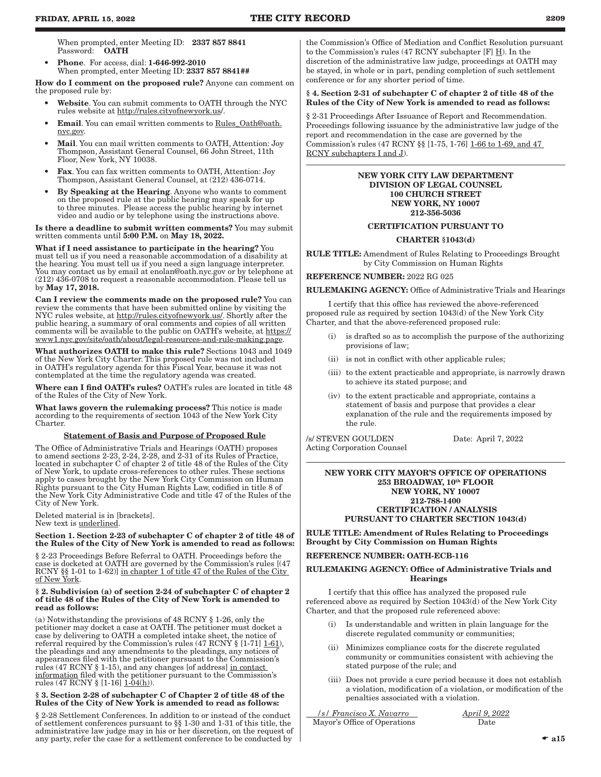When prompted, enter Meeting ID: 2337 857 8841 Password: OATH

• Phone. For access, dial: 1-646-992-2010 When prompted, enter Meeting ID: 2337 857 8841##

How do I comment on the proposed rule? Anyone can comment on the proposed rule by:

- Website. You can submit comments to OATH through the NYC rules website at http://rules.cityofnewyork.us/.
- Email. You can email written comments to Rules\_Oath@oath. nyc.gov.
- Mail. You can mail written comments to OATH, Attention: Joy Thompson, Assistant General Counsel, 66 John Street, 11th Floor, New York, NY 10038.
- Fax. You can fax written comments to OATH, Attention: Joy Thompson, Assistant General Counsel, at (212) 436-0714.
- By Speaking at the Hearing. Anyone who wants to comment on the proposed rule at the public hearing may speak for up to three minutes. Please access the public hearing by internet video and audio or by telephone using the instructions above.

Is there a deadline to submit written comments? You may submit written comments until 5:00 P.M. on May 18, 2022.

What if I need assistance to participate in the hearing? You must tell us if you need a reasonable accommodation of a disability at the hearing. You must tell us if you need a sign language interpreter. You may contact us by email at enolan@oath.nyc.gov or by telephone at (212) 436-0708 to request a reasonable accommodation. Please tell us by May 17, 2018.

Can I review the comments made on the proposed rule? You can review the comments that have been submitted online by visiting the NYC rules website, at http://rules.cityofnewyork.us/. Shortly after the public hearing, a summary of oral comments and copies of all written comments will be available to the public on OATH's website, at https:// www1.nyc.gov/site/oath/about/legal-resources-and-rule-making.page.

What authorizes OATH to make this rule? Sections 1043 and 1049 of the New York City Charter. This proposed rule was not included in OATH's regulatory agenda for this Fiscal Year, because it was not contemplated at the time the regulatory agenda was created.

Where can I find OATH's rules? OATH's rules are located in title 48 of the Rules of the City of New York.

What laws govern the rulemaking process? This notice is made according to the requirements of section 1043 of the New York City Charter.

### Statement of Basis and Purpose of Proposed Rule

The Office of Administrative Trials and Hearings (OATH) proposes to amend sections 2-23, 2-24, 2-28, and 2-31 of its Rules of Practice, located in subchapter C of chapter 2 of title 48 of the Rules of the City of New York, to update cross-references to other rules. These sections apply to cases brought by the New York City Commission on Human Rights pursuant to the City Human Rights Law, codified in title 8 of the New York City Administrative Code and title 47 of the Rules of the City of New York.

Deleted material is in [brackets]. New text is underlined.

#### Section 1. Section 2-23 of subchapter C of chapter 2 of title 48 of the Rules of the City of New York is amended to read as follows:

§ 2-23 Proceedings Before Referral to OATH. Proceedings before the case is docketed at OATH are governed by the Commission's rules [(47 RCNY §§ 1-01 to 1-62)] in chapter 1 of title 47 of the Rules of the City of New York.

#### § 2. Subdivision (a) of section 2-24 of subchapter C of chapter 2 of title 48 of the Rules of the City of New York is amended to read as follows:

(a) Notwithstanding the provisions of 48 RCNY § 1-26, only the petitioner may docket a case at OATH. The petitioner must docket a case by delivering to OATH a completed intake sheet, the notice of referral required by the Commission's rules  $(47 RCN\% [1-71] \underline{1-61})$ , the pleadings and any amendments to the pleadings, any notices of appearances filed with the petitioner pursuant to the Commission's rules (47 RCNY § 1-15), and any changes [of address] in contact information filed with the petitioner pursuant to the Commission's rules (47 RCNY  $\S$  [1-16]  $1-04(h)$ ).

### § 3. Section 2-28 of subchapter C of Chapter 2 of title 48 of the Rules of the City of New York is amended to read as follows:

§ 2-28 Settlement Conferences. In addition to or instead of the conduct of settlement conferences pursuant to §§ 1-30 and 1-31 of this title, the administrative law judge may in his or her discretion, on the request of any party, refer the case for a settlement conference to be conducted by

the Commission's Office of Mediation and Conflict Resolution pursuant to the Commission's rules (47 RCNY subchapter [F] H). In the discretion of the administrative law judge, proceedings at OATH may be stayed, in whole or in part, pending completion of such settlement conference or for any shorter period of time.

### § 4. Section 2-31 of subchapter C of chapter 2 of title 48 of the Rules of the City of New York is amended to read as follows:

§ 2-31 Proceedings After Issuance of Report and Recommendation. Proceedings following issuance by the administrative law judge of the report and recommendation in the case are governed by the Commission's rules (47 RCNY §§ [1-75, 1-76] 1-66 to 1-69, and 47 RCNY subchapters I and J).

### NEW YORK CITY LAW DEPARTMENT DIVISION OF LEGAL COUNSEL 100 CHURCH STREET NEW YORK, NY 10007 212-356-5036

### CERTIFICATION PURSUANT TO

### CHARTER §1043(d)

RULE TITLE: Amendment of Rules Relating to Proceedings Brought by City Commission on Human Rights

REFERENCE NUMBER: 2022 RG 025

RULEMAKING AGENCY: Office of Administrative Trials and Hearings

I certify that this office has reviewed the above-referenced proposed rule as required by section 1043(d) of the New York City Charter, and that the above-referenced proposed rule:

- is drafted so as to accomplish the purpose of the authorizing provisions of law;
- (ii) is not in conflict with other applicable rules;
- (iii) to the extent practicable and appropriate, is narrowly drawn to achieve its stated purpose; and
- (iv) to the extent practicable and appropriate, contains a statement of basis and purpose that provides a clear explanation of the rule and the requirements imposed by the rule.

/s/ STEVEN GOULDEN Date: April 7, 2022 Acting Corporation Counsel

#### NEW YORK CITY MAYOR'S OFFICE OF OPERATIONS 253 BROADWAY, 10th FLOOR NEW YORK, NY 10007 212-788-1400 CERTIFICATION / ANALYSIS PURSUANT TO CHARTER SECTION 1043(d)

RULE TITLE: Amendment of Rules Relating to Proceedings Brought by City Commission on Human Rights

### REFERENCE NUMBER: OATH-ECB-116

### RULEMAKING AGENCY: Office of Administrative Trials and Hearings

I certify that this office has analyzed the proposed rule referenced above as required by Section 1043(d) of the New York City Charter, and that the proposed rule referenced above:

- (i) Is understandable and written in plain language for the discrete regulated community or communities;
- (ii) Minimizes compliance costs for the discrete regulated community or communities consistent with achieving the stated purpose of the rule; and
- (iii) Does not provide a cure period because it does not establish a violation, modification of a violation, or modification of the penalties associated with a violation.

 */s/ Francisco X. Navarro April 9, 2022* Mayor's Office of Operations Date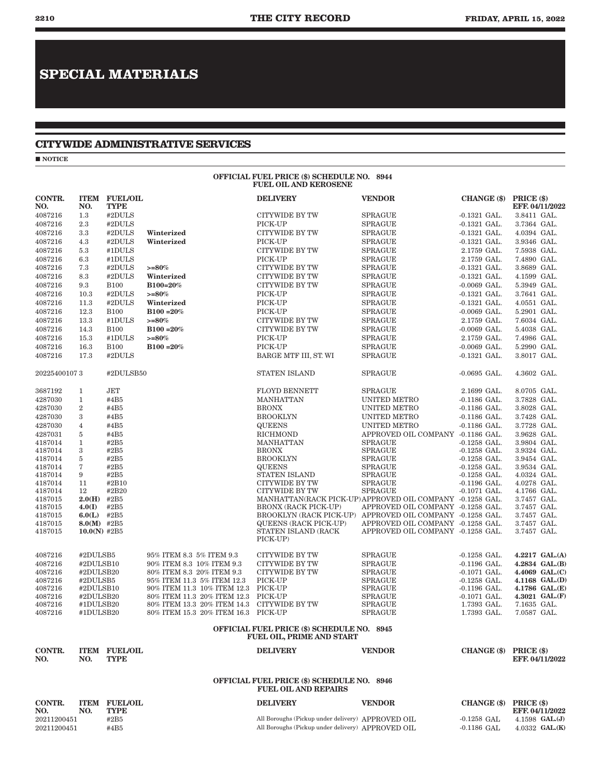# **SPECIAL MATERIALS**

### **CITYWIDE ADMINISTRATIVE SERVICES**

 $\blacksquare$  NOTICE

#### OFFICIAL FUEL PRICE (\$) SCHEDULE NO. 8944 FUEL OIL AND KEROSENE

| CONTR.<br>NO.      | NO.              | <b>ITEM FUEL/OIL</b><br><b>TYPE</b> |                                         | <b>DELIVERY</b>                                                                  | <b>VENDOR</b>                     | CHANGE (\$) PRICE (\$)           | EFF. 04/11/2022            |
|--------------------|------------------|-------------------------------------|-----------------------------------------|----------------------------------------------------------------------------------|-----------------------------------|----------------------------------|----------------------------|
| 4087216            | $1.3\,$          | #2DULS                              |                                         | CITYWIDE BY TW                                                                   | <b>SPRAGUE</b>                    | $-0.1321$ GAL.                   | 3.8411 GAL.                |
| 4087216            | 2.3              | #2DULS                              |                                         | PICK-UP                                                                          | <b>SPRAGUE</b>                    | $-0.1321$ GAL.                   | 3.7364 GAL.                |
| 4087216            | 3.3              | #2DULS                              | Winterized                              | CITYWIDE BY TW                                                                   | <b>SPRAGUE</b>                    | $-0.1321$ GAL.                   | 4.0394 GAL.                |
| 4087216            | 4.3              | #2DULS                              | Winterized                              | PICK-UP                                                                          | SPRAGUE                           | $-0.1321$ GAL.                   | 3.9346 GAL.                |
| 4087216            | 5.3              | #1DULS                              |                                         | CITYWIDE BY TW                                                                   | <b>SPRAGUE</b>                    | 2.1759 GAL.                      | 7.5938 GAL.                |
| 4087216            | 6.3              | #1DULS                              |                                         | PICK-UP                                                                          | <b>SPRAGUE</b>                    | 2.1759 GAL.                      | 7.4890 GAL.                |
| 4087216            | 7.3              | #2DULS                              | $>= 80\%$                               | CITYWIDE BY TW                                                                   | <b>SPRAGUE</b>                    | $-0.1321$ GAL.                   | 3.8689 GAL.                |
| 4087216            | 8.3              | #2DULS                              | Winterized                              | CITYWIDE BY TW                                                                   | <b>SPRAGUE</b>                    | $-0.1321$ GAL.                   | 4.1599 GAL.                |
| 4087216            | 9.3              | <b>B100</b>                         | B100=20%                                | <b>CITYWIDE BY TW</b>                                                            | <b>SPRAGUE</b>                    | $-0.0069$ GAL.                   | 5.3949 GAL.                |
| 4087216            | 10.3             | #2DULS                              | $>= 80\%$                               | PICK-UP                                                                          | <b>SPRAGUE</b>                    | $-0.1321$ GAL.                   | 3.7641 GAL.                |
| 4087216            | 11.3             | #2DULS                              | Winterized                              | PICK-UP                                                                          | <b>SPRAGUE</b>                    | $-0.1321$ GAL.                   | 4.0551 GAL.                |
| 4087216            | 12.3             | <b>B100</b>                         | $B100 = 20%$                            | PICK-UP                                                                          | <b>SPRAGUE</b>                    | $-0.0069$ GAL.                   | 5.2901 GAL.                |
| 4087216            | 13.3             | #1DULS                              | $>= 80\%$                               | CITYWIDE BY TW                                                                   | <b>SPRAGUE</b>                    | 2.1759 GAL.                      | 7.6034 GAL.                |
| 4087216            | 14.3             | <b>B100</b>                         | $B100 = 20%$                            | CITYWIDE BY TW                                                                   | <b>SPRAGUE</b>                    | $-0.0069$ GAL.                   | 5.4038 GAL.                |
| 4087216            | 15.3             | #1DULS                              | $>= 80\%$                               | PICK-UP                                                                          | <b>SPRAGUE</b>                    | 2.1759 GAL.                      | 7.4986 GAL.                |
| 4087216            | 16.3             | <b>B100</b>                         | $B100 = 20%$                            | PICK-UP                                                                          | <b>SPRAGUE</b>                    | $-0.0069$ GAL.                   | 5.2990 GAL.                |
| 4087216            | 17.3             | #2DULS                              |                                         | BARGE MTF III, ST. WI                                                            | <b>SPRAGUE</b>                    | $-0.1321$ GAL.                   | 3.8017 GAL.                |
| 202254001073       |                  | #2DULSB50                           |                                         | <b>STATEN ISLAND</b>                                                             | <b>SPRAGUE</b>                    | $-0.0695$ GAL.                   | 4.3602 GAL.                |
| 3687192            | $\mathbf{1}$     | JET                                 |                                         | <b>FLOYD BENNETT</b>                                                             | <b>SPRAGUE</b>                    | 2.1699 GAL.                      | 8.0705 GAL.                |
| 4287030            | $\mathbf{1}$     | #4B5                                |                                         | <b>MANHATTAN</b>                                                                 | <b>UNITED METRO</b>               | $-0.1186$ GAL.                   | 3.7828 GAL.                |
| 4287030            | $\boldsymbol{2}$ | #4B5                                |                                         | <b>BRONX</b>                                                                     | UNITED METRO                      | $-0.1186$ GAL.                   | 3.8028 GAL.                |
| 4287030            | 3                | #4B5                                |                                         | <b>BROOKLYN</b>                                                                  | UNITED METRO                      | $-0.1186$ GAL.                   | 3.7428 GAL.                |
| 4287030            | $\overline{4}$   | #4B5                                |                                         | <b>QUEENS</b>                                                                    | UNITED METRO                      | $-0.1186$ GAL.                   | 3.7728 GAL.                |
| 4287031            | 5                | #4B5                                |                                         | <b>RICHMOND</b>                                                                  | APPROVED OIL COMPANY -0.1186 GAL. |                                  | 3.9628 GAL.                |
| 4187014            | $\mathbf{1}$     | #2B5                                |                                         | <b>MANHATTAN</b>                                                                 | <b>SPRAGUE</b>                    | $-0.1258$ GAL.                   | 3.9804 GAL.                |
| 4187014            | 3                | #2B5                                |                                         | <b>BRONX</b>                                                                     | <b>SPRAGUE</b>                    | $-0.1258$ GAL.                   | 3.9324 GAL.                |
| 4187014            | 5                | #2B5                                |                                         | <b>BROOKLYN</b>                                                                  | <b>SPRAGUE</b>                    | $-0.1258$ GAL.                   | 3.9454 GAL.<br>3.9534 GAL. |
| 4187014<br>4187014 | 7<br>9           | #2B5<br>#2B5                        |                                         | <b>QUEENS</b><br>STATEN ISLAND                                                   | <b>SPRAGUE</b><br><b>SPRAGUE</b>  | $-0.1258$ GAL.<br>$-0.1258$ GAL. | 4.0324 GAL.                |
| 4187014            | 11               | #2B10                               |                                         | CITYWIDE BY TW                                                                   | <b>SPRAGUE</b>                    | $-0.1196$ GAL.                   | 4.0278 GAL.                |
| 4187014            | 12               | #2B20                               |                                         | CITYWIDE BY TW                                                                   | <b>SPRAGUE</b>                    | $-0.1071$ GAL.                   | 4.1766 GAL.                |
| 4187015            | 2.0(H)           | #2B5                                |                                         | MANHATTAN(RACK PICK-UP) APPROVED OIL COMPANY -0.1258 GAL.                        |                                   |                                  | 3.7457 GAL.                |
| 4187015            | 4.0(I)           | #2B5                                |                                         | <b>BRONX (RACK PICK-UP)</b>                                                      | APPROVED OIL COMPANY -0.1258 GAL. |                                  | 3.7457 GAL.                |
| 4187015            | 6.0(L)           | #2B5                                |                                         | BROOKLYN (RACK PICK-UP) APPROVED OIL COMPANY -0.1258 GAL.                        |                                   |                                  | 3.7457 GAL.                |
| 4187015            | $8.0(M)$ #2B5    |                                     |                                         | <b>QUEENS (RACK PICK-UP)</b>                                                     | APPROVED OIL COMPANY -0.1258 GAL. |                                  | 3.7457 GAL.                |
| 4187015            | $10.0(N)$ #2B5   |                                     |                                         | STATEN ISLAND (RACK<br>PICK-UP)                                                  | APPROVED OIL COMPANY -0.1258 GAL. |                                  | 3.7457 GAL.                |
| 4087216            | #2DULSB5         |                                     | 95% ITEM 8.3 5% ITEM 9.3                | CITYWIDE BY TW                                                                   | <b>SPRAGUE</b>                    | $-0.1258$ GAL.                   | 4.2217 $GAL.(A)$           |
| 4087216            | #2DULSB10        |                                     | 90% ITEM 8.3 10% ITEM 9.3               | <b>CITYWIDE BY TW</b>                                                            | <b>SPRAGUE</b>                    | $-0.1196$ GAL.                   | 4.2834 GAL.(B)             |
| 4087216            | #2DULSB20        |                                     | $80\%$ ITEM $8.3\;$ $20\%$ ITEM $9.3\;$ | CITYWIDE BY TW                                                                   | <b>SPRAGUE</b>                    | $-0.1071$ GAL.                   | 4.4069 GAL.(C)             |
| 4087216            | #2DULSB5         |                                     | 95% ITEM 11.3 5% ITEM 12.3              | PICK-UP                                                                          | <b>SPRAGUE</b>                    | $-0.1258$ GAL.                   | 4.1168 GAL.(D)             |
| 4087216            | #2DULSB10        |                                     | 90% ITEM 11.3 10% ITEM 12.3 PICK-UP     |                                                                                  | <b>SPRAGUE</b>                    | $-0.1196$ GAL.                   | 4.1786 GAL.(E)             |
| 4087216            | #2DULSB20        |                                     | 80% ITEM 11.3 20% ITEM 12.3 PICK-UP     |                                                                                  | <b>SPRAGUE</b>                    | $-0.1071$ GAL.                   | 4.3021 GAL.(F)             |
| 4087216            | #1DULSB20        |                                     | 80% ITEM 13.3 20% ITEM 14.3             | <b>CITYWIDE BY TW</b>                                                            | <b>SPRAGUE</b>                    | 1.7393 GAL.                      | 7.1635 GAL.                |
| 4087216            | #1DULSB20        |                                     | 80% ITEM 15.3 20% ITEM 16.3 PICK-UP     |                                                                                  | <b>SPRAGUE</b>                    | 1.7393 GAL.                      | 7.0587 GAL.                |
|                    |                  |                                     |                                         | <b>OFFICIAL FUEL PRICE (\$) SCHEDULE NO. 8945</b><br>FUEL OIL, PRIME AND START   |                                   |                                  |                            |
| CONTR.<br>NO.      | NO.              | <b>ITEM FUEL/OIL</b><br><b>TYPE</b> |                                         | <b>DELIVERY</b>                                                                  | <b>VENDOR</b>                     | CHANGE (\$) PRICE (\$)           | EFF. 04/11/2022            |
|                    |                  |                                     |                                         |                                                                                  |                                   |                                  |                            |
|                    |                  |                                     |                                         | <b>OFFICIAL FUEL PRICE (\$) SCHEDULE NO. 8946</b><br><b>FUEL OIL AND REPAIRS</b> |                                   |                                  |                            |
| CONTR.<br>NO.      | NO.              | <b>ITEM FUEL/OIL</b><br>TYPE        |                                         | <b>DELIVERY</b>                                                                  | <b>VENDOR</b>                     | CHANGE (\$) PRICE (\$)           | EFF. 04/11/2022            |
| 20211200451        |                  | #2B5                                |                                         | All Boroughs (Pickup under delivery) APPROVED OIL                                |                                   | $-0.1258$ GAL                    | 4.1598 $GAL.(J)$           |

20211200451 #2B5 #2B5 All Boroughs (Pickup under delivery) APPROVED OIL -0.1258 GAL 4.1598 GAL.(J)<br>20211200451 #4B5 All Boroughs (Pickup under delivery) APPROVED OIL -0.1186 GAL 4.0332 GAL.(K)

All Boroughs (Pickup under delivery)  $\,$  APPROVED OIL  $\,$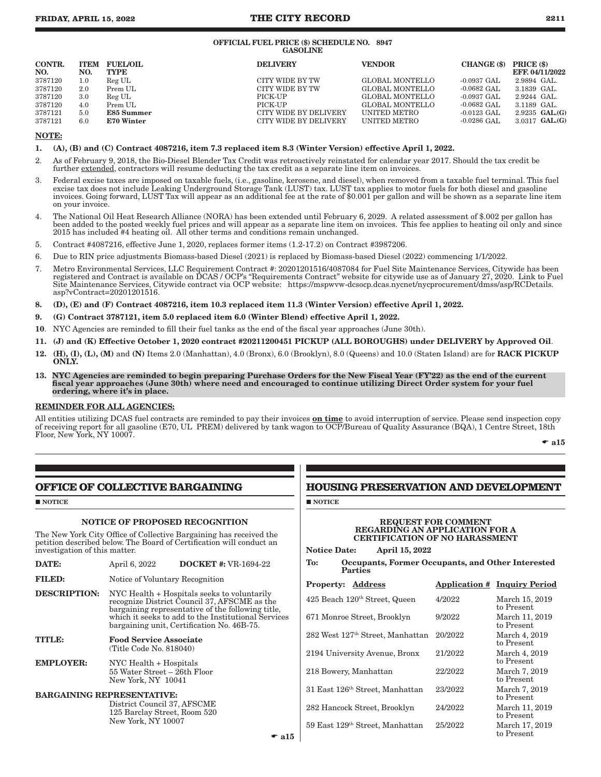### **FRIDAY, APRIL 15, 2022 THE CITY RECORD 2211**

#### OFFICIAL FUEL PRICE (\$) SCHEDULE NO. 8947 GASOLINE

| CONTR.<br>NO. | NO.     | <b>ITEM FUEL/OIL</b><br><b>TYPE</b> | <b>DELIVERY</b>       | <b>VENDOR</b>       | CHANGE (\$)           | PRICE (\$)<br>EFF, 04/11/2022 |
|---------------|---------|-------------------------------------|-----------------------|---------------------|-----------------------|-------------------------------|
| 3787120       | $1.0\,$ | Reg UL                              | CITY WIDE BY TW       | GLOBAL MONTELLO     | $-0.0937 \text{ GAL}$ | 2.9894 GAL                    |
| 3787120       | 2.0     | Prem UL                             | CITY WIDE BY TW       | GLOBAL MONTELLO     | $-0.0682$ GAL         | 3.1839 GAL.                   |
| 3787120       | 3.0     | Reg UL                              | PICK-UP               | GLOBAL MONTELLO     | $-0.0937$ GAL         | $2.9244$ GAL.                 |
| 3787120       | 4.0     | Prem UL                             | PICK-UP               | GLOBAL MONTELLO     | $-0.0682$ GAL         | 3.1189 GAL.                   |
| 3787121       | 5.0     | E85 Summer                          | CITY WIDE BY DELIVERY | <b>UNITED METRO</b> | $-0.0123$ GAL         | $2.9235$ GAL. $(G)$           |
| 3787121       | 6.0     | <b>E70 Winter</b>                   | CITY WIDE BY DELIVERY | <b>UNITED METRO</b> | $-0.0286$ GAL         | $3.0317$ GAL. $(G)$           |

### NOTE:

- 1. (A), (B) and (C) Contract 4087216, item 7.3 replaced item 8.3 (Winter Version) effective April 1, 2022.
- 2. As of February 9, 2018, the Bio-Diesel Blender Tax Credit was retroactively reinstated for calendar year 2017. Should the tax credit be further extended, contractors will resume deducting the tax credit as a separate line item on invoices.
- 3. Federal excise taxes are imposed on taxable fuels, (i.e., gasoline, kerosene, and diesel), when removed from a taxable fuel terminal. This fuel excise tax does not include Leaking Underground Storage Tank (LUST) tax. LUST tax applies to motor fuels for both diesel and gasoline invoices. Going forward, LUST Tax will appear as an additional fee at the rate of \$0.001 per gallon and will be shown as a separate line item on your invoice.
- 4. The National Oil Heat Research Alliance (NORA) has been extended until February 6, 2029. A related assessment of \$.002 per gallon has been added to the posted weekly fuel prices and will appear as a separate line item on invoices. This fee applies to heating oil only and since 2015 has included #4 heating oil. All other terms and conditions remain unchanged.
- 5. Contract #4087216, effective June 1, 2020, replaces former items (1.2-17.2) on Contract #3987206.
- 6. Due to RIN price adjustments Biomass-based Diesel (2021) is replaced by Biomass-based Diesel (2022) commencing 1/1/2022.
- 7. Metro Environmental Services, LLC Requirement Contract #: 20201201516/4087084 for Fuel Site Maintenance Services, Citywide has been registered and Contract is available on DCAS / OCP's "Requirements Contract" website for citywide use as of January 27, 2020. Link to Fuel Site Maintenance Services, Citywide contract via OCP website: https://mspwvw-dcsocp.dcas.nycnet/nycprocurement/dmss/asp/RCDetails. asp?vContract=20201201516.
- 8. (D), (E) and (F) Contract 4087216, item 10.3 replaced item 11.3 (Winter Version) effective April 1, 2022.
- 9. (G) Contract 3787121, item 5.0 replaced item 6.0 (Winter Blend) effective April 1, 2022.
- 10. NYC Agencies are reminded to fill their fuel tanks as the end of the fiscal year approaches (June 30th).
- 11. (J) and (K) Effective October 1, 2020 contract #20211200451 PICKUP (ALL BOROUGHS) under DELIVERY by Approved Oil.
- 12. (H), (I), (L), (M) and (N) Items 2.0 (Manhattan), 4.0 (Bronx), 6.0 (Brooklyn), 8.0 (Queens) and 10.0 (Staten Island) are for RACK PICKUP **ONLY.**
- 13. NYC Agencies are reminded to begin preparing Purchase Orders for the New Fiscal Year (FY'22) as the end of the current fiscal year approaches (June 30th) where need and encouraged to continue utilizing Direct Order system for your fuel ordering, where it's in place.

### REMINDER FOR ALL AGENCIES:

All entities utilizing DCAS fuel contracts are reminded to pay their invoices on time to avoid interruption of service. Please send inspection copy of receiving report for all gasoline (E70, UL PREM) delivered by tank wagon to OCP/Bureau of Quality Assurance (BQA), 1 Centre Street, 18th Floor, New York, NY 10007.

 $\bullet$  a15

### **OFFICE OF COLLECTIVE BARGAINING**

#### **NOTICE**

### NOTICE OF PROPOSED RECOGNITION

The New York City Office of Collective Bargaining has received the petition described below. The Board of Certification will conduct an investigation of this matter.

| .             | 1101110, 2022                   | $10001$ $111111$ $11111001122$                                                                                                                                                                                             |
|---------------|---------------------------------|----------------------------------------------------------------------------------------------------------------------------------------------------------------------------------------------------------------------------|
| <b>FILED:</b> | Notice of Voluntary Recognition |                                                                                                                                                                                                                            |
|               |                                 | <b>DESCRIPTION:</b> NYC Health + Hospitals seeks to voluntarily<br>recognize District Council 37, AFSCME as the<br>bargaining representative of the following title,<br>which it seeks to add to the Institutional Service |

 $\mathbf{DATE:}$  April 6, 2022 DOCKET #: VR-1694-22

### which it seeks to add to the Institutional Services bargaining unit, Certification No. 46B-75. TITLE: Food Service Associate (Title Code No. 818040)

EMPLOYER: NYC Health + Hospitals 55 Water Street – 26th Floor New York, NY 10041

BARGAINING REPRESENTATIVE: District Council 37, AFSCME 125 Barclay Street, Room 520 New York, NY 10007

### **HOUSING PRESERVATION AND DEVELOPMENT**

**NOTICE** 

#### REQUEST FOR COMMENT REGARDING AN APPLICATION FOR A CERTIFICATION OF NO HARASSMENT  $A_{\text{max}}(1, 15, 200)$

| ivolice Date:<br>April 19, 2022                                            |         |                                     |
|----------------------------------------------------------------------------|---------|-------------------------------------|
| To:<br>Occupants, Former Occupants, and Other Interested<br><b>Parties</b> |         |                                     |
| <b>Property: Address</b>                                                   |         | <b>Application # Inquiry Period</b> |
| 425 Beach 120th Street, Queen                                              | 4/2022  | March 15, 2019<br>to Present        |
| 671 Monroe Street, Brooklyn                                                | 9/2022  | March 11, 2019<br>to Present        |
| 282 West 127th Street, Manhattan                                           | 20/2022 | March 4, 2019<br>to Present         |
| 2194 University Avenue, Bronx                                              | 21/2022 | March 4, 2019<br>to Present         |
| 218 Bowery, Manhattan                                                      | 22/2022 | March 7, 2019<br>to Present         |
| 31 East 126 <sup>th</sup> Street, Manhattan                                | 23/2022 | March 7, 2019<br>to Present         |
| 282 Hancock Street, Brooklyn                                               | 24/2022 | March 11, 2019<br>to Present        |
| 59 East 129th Street, Manhattan                                            | 25/2022 | March 17, 2019<br>to Present        |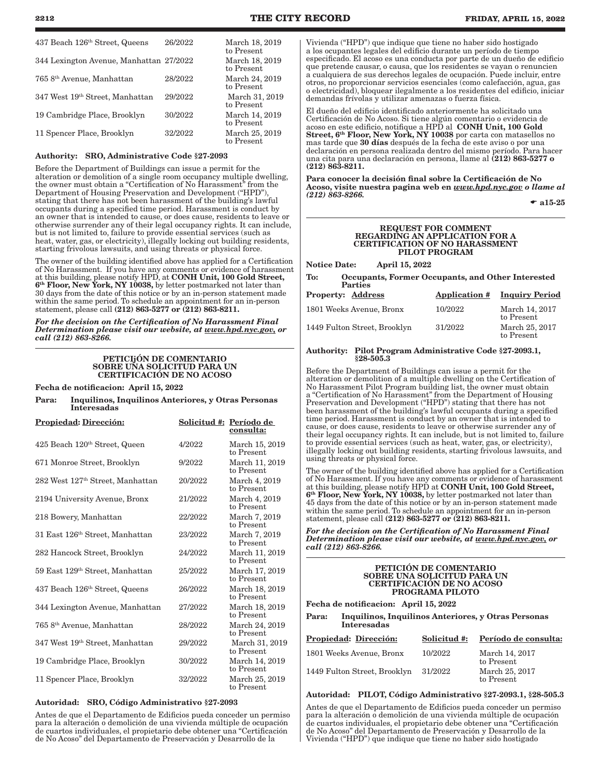| 437 Beach 126 <sup>th</sup> Street, Queens | 26/2022 | March 18, 2019<br>to Present |
|--------------------------------------------|---------|------------------------------|
| 344 Lexington Avenue, Manhattan 27/2022    |         | March 18, 2019<br>to Present |
| 765 8 <sup>th</sup> Avenue, Manhattan      | 28/2022 | March 24, 2019<br>to Present |
| 347 West 19th Street, Manhattan            | 29/2022 | March 31, 2019<br>to Present |
| 19 Cambridge Place, Brooklyn               | 30/2022 | March 14, 2019<br>to Present |
| 11 Spencer Place, Brooklyn                 | 32/2022 | March 25, 2019<br>to Present |

#### Authority: SRO, Administrative Code §27-2093

Before the Department of Buildings can issue a permit for the alteration or demolition of a single room occupancy multiple dwelling, the owner must obtain a "Certification of No Harassment" from the Department of Housing Preservation and Development ("HPD"), stating that there has not been harassment of the building's lawful occupants during a specified time period. Harassment is conduct by an owner that is intended to cause, or does cause, residents to leave or otherwise surrender any of their legal occupancy rights. It can include, but is not limited to, failure to provide essential services (such as heat, water, gas, or electricity), illegally locking out building residents, starting frivolous lawsuits, and using threats or physical force.

The owner of the building identified above has applied for a Certification of No Harassment. If you have any comments or evidence of harassment at this building, please notify HPD, at CONH Unit, 100 Gold Street, 6<sup>th</sup> Floor, New York, NY 10038, by letter postmarked not later than 30 days from the date of this notice or by an in-person statement made within the same period. To schedule an appointment for an in-person statement, please call (212) 863-5277 or (212) 863-8211.

*For the decision on the Certification of No Harassment Final Determination please visit our website, at www.hpd.nyc.gov, or call (212) 863-8266.*

#### PETICIjÓN DE COMENTARIO SOBRE UNA SOLICITUD PARA UN CERTIFICACIÓN DE NO ACOSO

Fecha de notificacion: April 15, 2022

Para: Inquilinos, Inquilinos Anteriores, y Otras Personas Interesadas

| <b>Propiedad: Dirección:</b>                 |         | Solicitud #: Período de<br>consulta: |
|----------------------------------------------|---------|--------------------------------------|
| 425 Beach 120th Street, Queen                | 4/2022  | March 15, 2019<br>to Present         |
| 671 Monroe Street, Brooklyn                  | 9/2022  | March 11, 2019<br>to Present         |
| 282 West 127 <sup>th</sup> Street, Manhattan | 20/2022 | March 4, 2019<br>to Present          |
| 2194 University Avenue, Bronx                | 21/2022 | March 4, 2019<br>to Present          |
| 218 Bowery, Manhattan                        | 22/2022 | March 7, 2019<br>to Present          |
| 31 East 126 <sup>th</sup> Street, Manhattan  | 23/2022 | March 7, 2019<br>to Present          |
| 282 Hancock Street, Brooklyn                 | 24/2022 | March 11, 2019<br>to Present         |
| 59 East 129 <sup>th</sup> Street, Manhattan  | 25/2022 | March 17, 2019<br>to Present         |
| 437 Beach 126 <sup>th</sup> Street, Queens   | 26/2022 | March 18, 2019<br>to Present         |
| 344 Lexington Avenue, Manhattan              | 27/2022 | March 18, 2019<br>to Present         |
| 765 8 <sup>th</sup> Avenue, Manhattan        | 28/2022 | March 24, 2019<br>to Present         |
| 347 West 19th Street, Manhattan              | 29/2022 | March 31, 2019<br>to Present         |
| 19 Cambridge Place, Brooklyn                 | 30/2022 | March 14, 2019<br>to Present         |
| 11 Spencer Place, Brooklyn                   | 32/2022 | March 25, 2019<br>to Present         |

#### Autoridad: SRO, Código Administrativo §27-2093

Antes de que el Departamento de Edificios pueda conceder un permiso para la alteración o demolición de una vivienda múltiple de ocupación de cuartos individuales, el propietario debe obtener una "Certificación de No Acoso" del Departamento de Preservación y Desarrollo de la

Vivienda ("HPD") que indique que tiene no haber sido hostigado a los ocupantes legales del edificio durante un período de tiempo especificado. El acoso es una conducta por parte de un dueño de edificio que pretende causar, o causa, que los residentes se vayan o renuncien a cualquiera de sus derechos legales de ocupación. Puede incluir, entre otros, no proporcionar servicios esenciales (como calefacción, agua, gas o electricidad), bloquear ilegalmente a los residentes del edificio, iniciar demandas frívolas y utilizar amenazas o fuerza física.

El dueño del edificio identificado anteriormente ha solicitado una Certificación de No Acoso. Si tiene algún comentario o evidencia de acoso en este edificio, notifique a HPD al CONH Unit, 100 Gold Street, 6<sup>th</sup> Floor, New York, NY 10038 por carta con matasellos no mas tarde que 30 días después de la fecha de este aviso o por una declaración en persona realizada dentro del mismo período. Para hacer una cita para una declaración en persona, llame al (212) 863-5277 o (212) 863-8211.

Para conocer la decisión final sobre la Certificación de No Acoso, visite nuestra pagina web en *www.hpd.nyc.gov o llame al (212) 863-8266.*

 $\bullet$  a15-25

#### REQUEST FOR COMMENT REGARDING AN APPLICATION FOR A CERTIFICATION OF NO HARASSMENT PILOT PROGRAM

Notice Date: April 15, 2022

To: Occupants, Former Occupants, and Other Interested **Parties** 

| <b>Property: Address</b>     | Application # | <b>Inquiry Period</b>        |
|------------------------------|---------------|------------------------------|
| 1801 Weeks Avenue, Bronx     | 10/2022       | March 14, 2017<br>to Present |
| 1449 Fulton Street, Brooklyn | 31/2022       | March 25, 2017<br>to Present |

#### Authority: Pilot Program Administrative Code §27-2093.1, §28-505.3

Before the Department of Buildings can issue a permit for the alteration or demolition of a multiple dwelling on the Certification of No Harassment Pilot Program building list, the owner must obtain a "Certification of No Harassment" from the Department of Housing Preservation and Development ("HPD") stating that there has not been harassment of the building's lawful occupants during a specified time period. Harassment is conduct by an owner that is intended to cause, or does cause, residents to leave or otherwise surrender any of their legal occupancy rights. It can include, but is not limited to, failure to provide essential services (such as heat, water, gas, or electricity), illegally locking out building residents, starting frivolous lawsuits, and using threats or physical force.

The owner of the building identified above has applied for a Certification of No Harassment. If you have any comments or evidence of harassment at this building, please notify HPD at CONH Unit, 100 Gold Street,  $6<sup>th</sup>$  Floor, New York, NY 10038, by letter postmarked not later than 45 days from the date of this notice or by an in-person statement made within the same period. To schedule an appointment for an in-person statement, please call (212) 863-5277 or (212) 863-8211.

*For the decision on the Certification of No Harassment Final Determination please visit our website, at www.hpd.nyc.gov, or call (212) 863-8266.*

#### PETICIÓN DE COMENTARIO SOBRE UNA SOLICITUD PARA UN CERTIFICACIÓN DE NO ACOSO PROGRAMA PILOTO

Fecha de notificacion: April 15, 2022

Para: Inquilinos, Inquilinos Anteriores, y Otras Personas Interesadas

| Propiedad: Dirección:        | Solicitud #: | Período de consulta:         |
|------------------------------|--------------|------------------------------|
| 1801 Weeks Avenue, Bronx     | 10/2022      | March 14, 2017<br>to Present |
| 1449 Fulton Street, Brooklyn | 31/2022      | March 25, 2017<br>to Present |

### Autoridad: PILOT, Código Administrativo §27-2093.1, §28-505.3

Antes de que el Departamento de Edificios pueda conceder un permiso para la alteración o demolición de una vivienda múltiple de ocupación de cuartos individuales, el propietario debe obtener una "Certificación de No Acoso" del Departamento de Preservación y Desarrollo de la Vivienda ("HPD") que indique que tiene no haber sido hostigado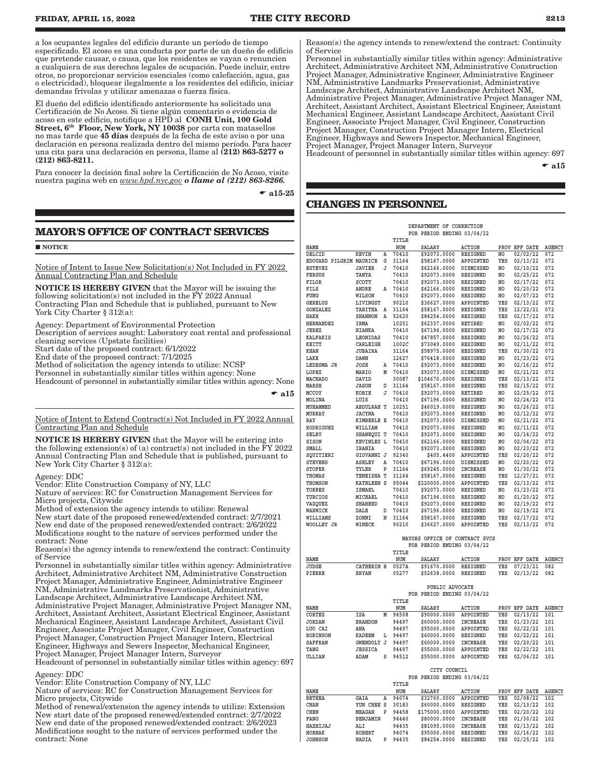a los ocupantes legales del edificio durante un período de tiempo especificado. El acoso es una conducta por parte de un dueño de edificio que pretende causar, o causa, que los residentes se vayan o renuncien a cualquiera de sus derechos legales de ocupación. Puede incluir, entre otros, no proporcionar servicios esenciales (como calefacción, agua, gas o electricidad), bloquear ilegalmente a los residentes del edificio, iniciar demandas frívolas y utilizar amenazas o fuerza física.

El dueño del edificio identificado anteriormente ha solicitado una Certificación de No Acoso. Si tiene algún comentario o evidencia de acoso en este edificio, notifique a HPD al CONH Unit, 100 Gold Street, 6<sup>th</sup> Floor, New York, NY 10038 por carta con matasellos no mas tarde que 45 días después de la fecha de este aviso o por una declaración en persona realizada dentro del mismo período. Para hacer una cita para una declaración en persona, llame al (212) 863-5277 o (212) 863-8211.

Para conocer la decisión final sobre la Certificación de No Acoso, visite nuestra pagina web en *www.hpd.nyc.gov o llame al (212) 863-8266.*

 $\bullet$  a15-25

Reason(s) the agency intends to renew/extend the contract: Continuity of Service

Personnel in substantially similar titles within agency: Administrative Architect, Administrative Architect NM, Administrative Construction Project Manager, Administrative Engineer, Administrative Engineer NM, Administrative Landmarks Preservationist, Administrative Landscape Architect, Administrative Landscape Architect NM, Administrative Project Manager, Administrative Project Manager NM, Architect, Assistant Architect, Assistant Electrical Engineer, Assistant Mechanical Engineer, Assistant Landscape Architect, Assistant Civil Engineer, Associate Project Manager, Civil Engineer, Construction Project Manager, Construction Project Manager Intern, Electrical Engineer, Highways and Sewers Inspector, Mechanical Engineer, Project Manager, Project Manager Intern, Surveyor

Headcount of personnel in substantially similar titles within agency: 697  $\bullet$  a15

### **CHANGES IN PERSONNEL**

### **MAYOR'S OFFICE OF CONTRACT SERVICES**

**NOTICE** 

Notice of Intent to Issue New Solicitation(s) Not Included in FY 2022 Annual Contracting Plan and Schedule

NOTICE IS HEREBY GIVEN that the Mayor will be issuing the following solicitation(s) not included in the FY 2022 Annual Contracting Plan and Schedule that is published, pursuant to New York City Charter § 312(a):

Agency: Department of Environmental Protection

Description of services sought: Laboratory coat rental and professional cleaning services (Upstate facilities)

Start date of the proposed contract: 6/1/2022

End date of the proposed contract: 7/1/2025

Method of solicitation the agency intends to utilize: NCSP

Personnel in substantially similar titles within agency: None

Headcount of personnel in substantially similar titles within agency: None

 $\bullet$  al5

Notice of Intent to Extend Contract(s) Not Included in FY 2022 Annual Contracting Plan and Schedule

NOTICE IS HEREBY GIVEN that the Mayor will be entering into the following extension(s) of (a) contract(s) not included in the  $\overline{Y}Y$  2022 Annual Contracting Plan and Schedule that is published, pursuant to New York City Charter § 312(a):

Agency: DDC

Vendor: Elite Construction Company of NY, LLC

Nature of services: RC for Construction Management Services for Micro projects, Citywide

Method of extension the agency intends to utilize: Renewal

New start date of the proposed renewed/extended contract: 2/7/2021 New end date of the proposed renewed/extended contract: 2/6/2022 Modifications sought to the nature of services performed under the contract: None

Reason(s) the agency intends to renew/extend the contract: Continuity of Service

Personnel in substantially similar titles within agency: Administrative Architect, Administrative Architect NM, Administrative Construction Project Manager, Administrative Engineer, Administrative Engineer NM, Administrative Landmarks Preservationist, Administrative Landscape Architect, Administrative Landscape Architect NM, Administrative Project Manager, Administrative Project Manager NM, Architect, Assistant Architect, Assistant Electrical Engineer, Assistant Mechanical Engineer, Assistant Landscape Architect, Assistant Civil Engineer, Associate Project Manager, Civil Engineer, Construction Project Manager, Construction Project Manager Intern, Electrical Engineer, Highways and Sewers Inspector, Mechanical Engineer, Project Manager, Project Manager Intern, Surveyor

Headcount of personnel in substantially similar titles within agency: 697 Agency: DDC

Vendor: Elite Construction Company of NY, LLC

Nature of services: RC for Construction Management Services for Micro projects, Citywide

Method of renewal/extension the agency intends to utilize: Extension New start date of the proposed renewed/extended contract: 2/7/2022 New end date of the proposed renewed/extended contract: 2/6/2023 Modifications sought to the nature of services performed under the contract: None

|                         |                   |   |       | FOR PERIOD ENDING 03/04/22 |                  |     |               |               |
|-------------------------|-------------------|---|-------|----------------------------|------------------|-----|---------------|---------------|
|                         |                   |   | TITLE |                            |                  |     |               |               |
| NAME                    |                   |   | NUM   | <b>SALARY</b>              | <b>ACTION</b>    |     | PROV EFF DATE | <b>AGENCY</b> |
| DELCID                  | <b>KEVIN</b>      | А | 70410 | \$92073.0000               | <b>RESIGNED</b>  | NO. | 02/02/22      | 072           |
| EDOUARD PILGRIM MAURICE |                   | G | 31164 | \$58167.0000               | APPOINTED        | YES | 02/13/22      | 072           |
| <b>ESTEVEZ</b>          | <b>JAVIER</b>     | J | 70410 | \$62166.0000               | <b>DISMISSED</b> | NO. | 02/10/22      | 072           |
| <b>FERGUS</b>           | TANYA             |   | 70410 | \$92073.0000               | RESIGNED         | NO. | 02/25/22      | 072           |
| <b>FILOR</b>            | SCOTT             |   | 70410 | \$92073.0000               | RESIGNED         | NO. | 02/17/22      | 072           |
| FILS                    | ANDRE             | Α | 70410 | \$62166.0000               | RESIGNED         | NO  | 02/20/22      | 072           |
| FUNG                    | WILSON            |   | 70410 | \$92073.0000               | RESIGNED         | NO  | 02/07/22      | 072           |
| <b>GERELUS</b>          | LIVINGST          |   | 90210 | \$36627.0000               | APPOINTED        | YES | 02/13/22      | 072           |
| <b>GONZALEZ</b>         | TABITHA           | Α | 31164 | \$58167.0000               | <b>RESIGNED</b>  | YES | 12/22/21      | 072           |
| <b>HAKH</b>             | <b>SHANNON</b>    | Α | 52620 | \$84254.0000               | RESIGNED         | YES | 02/17/22      | 072           |
| <b>HERNANDEZ</b>        | IRMA              |   | 10251 | \$62337.0000               | RETIRED          | NO  | 02/02/22      | 072           |
| JEREZ                   | <b>HIANKA</b>     |   | 70410 | \$67196.0000               | <b>RESIGNED</b>  | NO. | 02/17/22      | 072           |
| <b>KALFAKIS</b>         | LEONIDAS          |   | 70410 | \$47857.0000               | <b>RESIGNED</b>  | NO  | 02/26/22      | 072           |
| KEITT                   | CARLEIGH          |   | 1002C | \$73049.0000               | RESIGNED         | NO  | 02/11/22      | 072           |
| KHAN                    | <b>JUBAIRA</b>    |   | 31164 | \$58975.0000               | RESIGNED         | YES | 01/30/22      | 072           |
| LAKE                    | <b>DAWN</b>       |   | 12627 | \$76418.0000               | <b>RESIGNED</b>  | NO  | 01/23/22      | 072           |
| LEDESMA JR              | <b>JOSE</b>       | А | 70410 | \$92073.0000               | RESIGNED         | NO  | 02/16/22      | 072           |
| LOPEZ                   | MARIO             | М | 70410 | \$92073.0000               | <b>DISMISSED</b> | NO. | 02/21/22      | 072           |
| <b>MACHADO</b>          | DAVID             |   | 30087 | \$104670.0000              | <b>RESIGNED</b>  | YES | 02/13/22      | 072           |
| MARSH                   | <b>JASON</b>      | D | 31164 | \$58167.0000               | RESIGNED         | YES | 02/15/22      | 072           |
| MCCOY                   | KOBIE             | J | 70410 | \$92073.0000               | RETIRED          | NO  | 02/25/22      | 072           |
| MOLINA                  | LUIS              |   | 70410 | \$67196.0000               | RESIGNED         | NO  | 02/24/22      | 072           |
| MUHAMMED                | <b>ABDULRAH T</b> |   | 10251 | \$46019.0000               | <b>RESIGNED</b>  | NO  | 02/26/22      | 072           |
| MURRAY                  | <b>JACYNA</b>     |   | 70410 | \$92073.0000               | RESIGNED         | NO  | 02/12/22      | 072           |
| RAY                     | <b>KIMBERLE E</b> |   | 70410 | \$92073.0000               | <b>DISMISSED</b> | NO  | 02/21/22      | 072           |
| <b>RODRIGUEZ</b>        | WILLIAM           |   | 70410 | \$92073.0000               | <b>RESIGNED</b>  | NO  | 02/11/22      | 072           |
| SELBY                   | SHANEQUI T        |   | 70410 | \$92073.0000               | <b>RESIGNED</b>  | NO  | 02/14/22      | 072           |
| SISON                   | <b>KEVINLES L</b> |   | 70410 | \$62166.0000               | RESIGNED         | NO  | 02/04/22      | 072           |
| SMALL                   | IRANIA            |   | 70410 | \$92073.0000               | <b>RESIGNED</b>  | NO  | 02/23/22      | 072           |
| SQUITIERI               | GIOVANNI J        |   | 92340 | \$405.4400                 | APPOINTED        | YES | 02/20/22      | 072           |
| <b>STEVENS</b>          | <b>ASHLEY</b>     | A | 70410 | \$67196.0000               | <b>DISMISSED</b> | NO  | 02/20/22      | 072           |
| <b>STOFER</b>           | TYLER             | P | 31164 | \$69245.0000               | <b>INCREASE</b>  | NO  | 01/30/22      | 072           |
| <b>THOMAS</b>           | TENEISHA T        |   | 31164 | \$58167.0000               | <b>RESIGNED</b>  | YES | 12/27/21      | 072           |
| <b>THOMSON</b>          | KATHLEEN S        |   | 95044 | \$220000.0000              | APPOINTED        | YES | 02/13/22      | 072           |
| <b>TORRES</b>           | <b>ISMAEL</b>     |   | 70410 | \$92073.0000               | <b>RESIGNED</b>  | NO  | 01/23/22      | 072           |
| <b>TURCIOS</b>          | MICHAEL           |   | 70410 | \$67196.0000               | RESIGNED         | NO  | 01/20/22      | 072           |
| VAZOUEZ                 | <b>SHAHEED</b>    |   | 70410 | \$92073.0000               | RESIGNED         | NO  | 02/19/22      | 072           |
| WARWICK                 | DALE              | D | 70410 | \$67196.0000               | RESIGNED         | NO  | 02/19/22      | 072           |
| WILLIAMS                | ZONNI             | N | 31164 | \$58167.0000               | RESIGNED         | YES | 02/17/22      | 072           |
| WOOLLEY JR              | WINECK            |   | 90210 | \$36627.0000               | APPOINTED        | YES | 02/13/22      | 072           |
|                         |                   |   |       |                            |                  |     |               |               |

#### **MAYORS OFFICE OF CONTRACT SVCS FOR PERIOD ENDING 03/04/22 TITLE**

| NAME            |                   |   | NUM   | <b>SALARY</b>              | <b>ACTION</b>    | PROV | EFF DATE      | AGENCY        |
|-----------------|-------------------|---|-------|----------------------------|------------------|------|---------------|---------------|
| JUDGE           | <b>CATHERIN B</b> |   | 0527A | \$91670.0000               | <b>RESIGNED</b>  | YES  | 07/23/21      | 082           |
| PIERRE          | <b>BRYAN</b>      |   | 05277 | \$52638.0000               | <b>RESIGNED</b>  | YES  | 02/13/22      | 082           |
|                 |                   |   |       |                            |                  |      |               |               |
|                 |                   |   |       | PUBLIC ADVOCATE            |                  |      |               |               |
|                 |                   |   |       | FOR PERIOD ENDING 03/04/22 |                  |      |               |               |
|                 |                   |   | TITLE |                            |                  |      |               |               |
| NAME            |                   |   | NUM   | <b>SALARY</b>              | <b>ACTION</b>    |      | PROV EFF DATE | <b>AGENCY</b> |
| <b>CORTEZ</b>   | <b>ISA</b>        | M | 94508 | \$90000.0000               | <b>APPOINTED</b> | YES  | 02/13/22      | 101           |
| <b>JORDAN</b>   | <b>BRANDON</b>    |   | 94497 | \$60000.0000               | <b>INCREASE</b>  | YES  | 01/23/22      | 101           |
| LUO CAI         | ANA               |   | 94497 | \$55000.0000               | APPOINTED        | YES  | 02/22/22      | 101           |
| <b>ROBINSON</b> | <b>KADEEM</b>     | L | 94497 | \$60000.0000               | <b>RESIGNED</b>  | YES  | 02/22/22      | 101           |
| <b>SAFFRAN</b>  | <b>GWENDOLY J</b> |   | 94497 | \$60000.0000               | <b>INCREASE</b>  | YES  | 02/20/22      | 101           |
| TANG            | <b>JESSICA</b>    |   | 94497 | \$55000.0000               | APPOINTED        | YES  | 02/22/22      | 101           |
| ULLIAN          | ADAM              | s | 94512 | \$55000.0000               | APPOINTED        | YES  | 02/06/22      | 101           |
|                 |                   |   |       |                            |                  |      |               |               |
|                 |                   |   |       | CITY COUNCIL               |                  |      |               |               |
|                 |                   |   |       | FOR PERIOD ENDING 03/04/22 |                  |      |               |               |
|                 |                   |   | TITLE |                            |                  |      |               |               |
| NAME            |                   |   | NUM   | <b>SALARY</b>              | <b>ACTION</b>    |      | PROV EFF DATE | <b>AGENCY</b> |
| <b>BETHEA</b>   | GAIA              | Α | 94074 | \$32760.0000               | APPOINTED        | YES  | 02/08/22      | 102           |
| <b>CHAN</b>     | YUN CHEE S        |   | 30183 | \$60000.0000               | <b>RESIGNED</b>  | YES  | 02/13/22      | 102           |
| <b>CHEN</b>     | <b>MEAGAN</b>     | P | 94458 | \$175000.0000              | <b>APPOINTED</b> | YES  | 02/20/22      | 102           |
| FANG            | <b>BENJAMIN</b>   |   | 94440 | \$80000.0000               | <b>INCREASE</b>  | YES  | 01/30/22      | 102           |
| HAXHIJAJ        | ALI               |   | 94435 | \$81095.0000               | <b>INCREASE</b>  | YES  | 02/13/22      | 102           |
| <b>HORNAK</b>   | <b>ROBERT</b>     |   | 94074 | \$95000.0000               | <b>RESIGNED</b>  | YES  | 02/16/22      | 102           |
| <b>JOHNSON</b>  | <b>NADIA</b>      | P | 94435 | \$84254.0000               | <b>RESIGNED</b>  | YES  | 02/25/22      | 102           |
|                 |                   |   |       |                            |                  |      |               |               |

 **DEPARTMENT OF CORRECTION**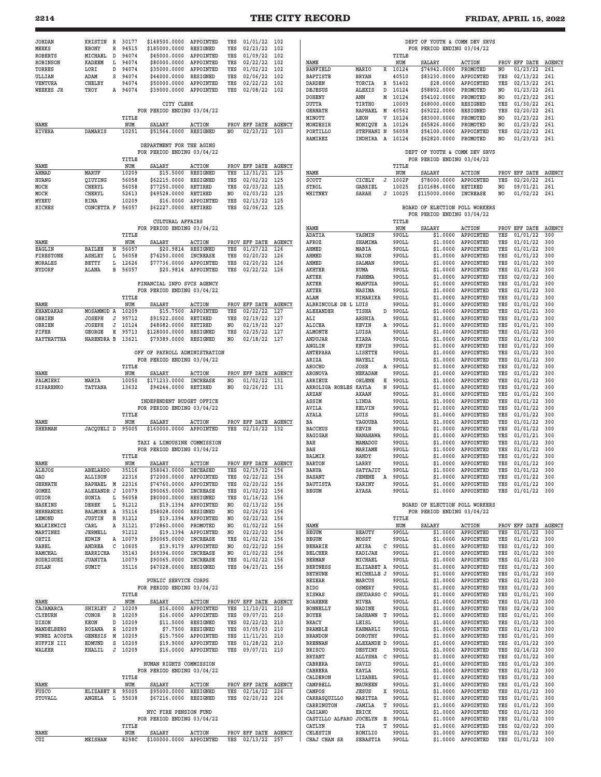| <b>JORDAN</b>               | KRISTIN                     | R 30177        | \$148500.0000                                               | APPOINTED                        | YES            | $01/01/22$ 102                   |                      |                                    |                                       |                | DEPT OF YOUTH & COMM DEV SRVS  |                                 |                |                      |               |
|-----------------------------|-----------------------------|----------------|-------------------------------------------------------------|----------------------------------|----------------|----------------------------------|----------------------|------------------------------------|---------------------------------------|----------------|--------------------------------|---------------------------------|----------------|----------------------|---------------|
| <b>MEEKS</b>                | EBONY<br>R                  | 94515          | \$185000.0000                                               | <b>RESIGNED</b>                  | YES            | 02/23/22                         | 102                  |                                    |                                       |                | FOR PERIOD ENDING 03/04/22     |                                 |                |                      |               |
| <b>ROBERTS</b>              | MICHAEL<br>D                | 94074          | \$45000.0000                                                | APPOINTED                        | YES            | 01/09/22                         | 102                  |                                    |                                       | TITLE          |                                |                                 |                |                      |               |
| ROBINSON                    | L<br><b>KADEEM</b>          | 94074          | \$80000.0000                                                | APPOINTED                        | YES            | 02/22/22                         | 102                  | NAME                               |                                       | NUM            | SALARY                         | <b>ACTION</b>                   |                | PROV EFF DATE AGENCY |               |
| TORRES<br>ULLIAN            | LORI<br>D<br>ADAM<br>s      | 94074<br>94074 | \$35000.0000<br>\$44000.0000                                | APPOINTED<br>RESIGNED            | YES<br>YES     | 01/02/22<br>02/06/22             | 102<br>102           | <b>BANFIELD</b><br><b>BAPTISTE</b> | MARIO<br>$\mathbb{R}$<br><b>BRYAN</b> | 10124<br>40510 | \$74942.0000<br>\$83230.0000   | PROMOTED<br>APPOINTED           | NO.<br>YES     | 01/23/22<br>02/13/22 | 261<br>261    |
| VENTURA                     | <b>CHELBY</b>               | 94074          | \$50000.0000                                                | APPOINTED                        | YES            | 02/22/22                         | 102                  | <b>DARDEN</b>                      | TORCIA<br>R                           | 51402          | \$28,0000                      | APPOINTED                       | YES            | 02/13/22             | 261           |
| WEEKES JR                   | TROY                        | A 94074        | \$39000.0000                                                | APPOINTED                        | YES            | $02/08/22$ 102                   |                      | DEJESUS                            | <b>ALEXIS</b><br>D                    | 10124          | \$58802.0000                   | PROMOTED                        | NO.            | 01/23/22             | 261           |
|                             |                             |                |                                                             |                                  |                |                                  |                      | <b>DOHENY</b>                      | ANN<br>М                              | 10124          | \$54102.0000                   | PROMOTED                        | N0             | 01/23/22             | 261           |
|                             |                             |                | CITY CLERK                                                  |                                  |                |                                  |                      | DUTTA                              | <b>TIRTHO</b>                         | 10009          | \$68000.0000                   | RESIGNED                        | YES            | 01/30/22             | 261           |
|                             |                             |                | FOR PERIOD ENDING 03/04/22                                  |                                  |                |                                  |                      | <b>GERNATH</b>                     | M<br>RAPHAEL                          | 40562          | \$69222.0000                   | RESIGNED                        | YES            | 02/20/22             | 261           |
|                             |                             | TITLE          |                                                             |                                  |                |                                  |                      | MINOTT                             | LEON<br>V                             | 10124          | \$83000.0000                   | PROMOTED                        | NO.            | 01/23/22             | 261           |
| NAME                        |                             | NUM<br>10251   | SALARY                                                      | <b>ACTION</b><br><b>RESIGNED</b> | NO.            | PROV EFF DATE AGENCY             |                      | MONDESIR<br>PORTILLO               | MONIQUE<br>A                          | 10124          | \$65826.0000<br>\$54100.0000   | PROMOTED<br>APPOINTED           | NO<br>YES      | 01/23/22<br>02/22/22 | 261<br>261    |
| RIVERA                      | DAMARIS                     |                | \$51564.0000                                                |                                  |                | 02/23/22                         | 103                  | RAMIREZ                            | STEPHANI N<br>INDHIRA A 10124         | 56058          | \$62820.0000                   | PROMOTED                        | N <sub>O</sub> | 01/23/22             | 261           |
|                             |                             |                | DEPARTMENT FOR THE AGING                                    |                                  |                |                                  |                      |                                    |                                       |                |                                |                                 |                |                      |               |
|                             |                             |                | FOR PERIOD ENDING 03/04/22                                  |                                  |                |                                  |                      |                                    |                                       |                | DEPT OF YOUTH & COMM DEV SRVS  |                                 |                |                      |               |
|                             |                             | TITLE          |                                                             |                                  |                |                                  |                      |                                    |                                       |                | FOR PERIOD ENDING 03/04/22     |                                 |                |                      |               |
| NAME                        |                             | NUM            | SALARY                                                      | <b>ACTION</b>                    |                | PROV EFF DATE                    | <b>AGENCY</b>        |                                    |                                       | TITLE          |                                |                                 |                |                      |               |
| AHMAD                       | MARUF                       | 10209          | \$15,5000                                                   | RESIGNED                         | YES            | 12/31/21                         | 125                  | NAME                               |                                       | NUM            | <b>SALARY</b>                  | <b>ACTION</b>                   | PROV           | EFF DATE AGENCY      |               |
| HUANG<br>MOCH               | QIUYING<br><b>CHERYL</b>    | 56058<br>56058 | \$62215.0000<br>\$77250.0000                                | RESIGNED<br>RETIRED              | YES<br>YES     | 02/02/22                         | 125<br>125           | SCOTT<br>STROL                     | CICELY<br>J<br><b>GABRIEL</b>         | 1002F<br>10025 | \$78000.0000<br>\$101686.0000  | APPOINTED<br>RETIRED            | YES<br>NO      | 02/20/22             | 261<br>261    |
| MOCH                        | CHERYL                      | 52613          | \$49528.0000                                                | RETIRED                          | NO             | 02/03/22<br>02/03/22             | 125                  | WHITNEY                            | SARAH<br>J                            | 10025          | \$115000.0000                  | <b>INCREASE</b>                 | N0             | 09/01/21<br>01/02/22 | 261           |
| MYEKU                       | RINA                        | 10209          | \$16.0000                                                   | APPOINTED                        | YES            | 02/13/22                         | 125                  |                                    |                                       |                |                                |                                 |                |                      |               |
| RICHES                      | CONCETTA F                  | 56057          | \$62227.0000                                                | RETIRED                          | YES            | $02/06/22$ 125                   |                      |                                    |                                       |                | BOARD OF ELECTION POLL WORKERS |                                 |                |                      |               |
|                             |                             |                |                                                             |                                  |                |                                  |                      |                                    |                                       |                | FOR PERIOD ENDING 03/04/22     |                                 |                |                      |               |
|                             |                             |                | <b>CULTURAL AFFAIRS</b>                                     |                                  |                |                                  |                      |                                    |                                       | TITLE          |                                |                                 |                |                      |               |
|                             |                             |                | FOR PERIOD ENDING 03/04/22                                  |                                  |                |                                  |                      | NAME                               |                                       | NUM            | <b>SALARY</b>                  | <b>ACTION</b>                   |                | PROV EFF DATE        | <b>AGENCY</b> |
| NAME                        |                             | TITLE<br>NUM   | SALARY                                                      | <b>ACTION</b>                    | PROV           | EFF DATE                         | AGENCY               | ADATIA<br>AFROZ                    | YASMIN<br>SHAMIMA                     | 9POLL<br>9POLL | \$1.0000<br>\$1,0000           | APPOINTED<br>APPOINTED          | YES<br>YES     | 01/01/22<br>01/01/22 | 300<br>300    |
| <b>EAGLIN</b>               | <b>BAILEE</b><br>N          | 56057          | \$20.9814                                                   | RESIGNED                         | YES            | 01/27/22                         | 126                  | AHMED                              | MABIA                                 | 9POLL          | \$1.0000                       | APPOINTED                       | YES            | 01/01/22             | 300           |
| <b>FIRESTONE</b>            | <b>ASHLEY</b><br>Ŀ          | 56058          | \$74250.0000                                                | INCREASE                         | YES            | 02/20/22                         | 126                  | AHMED                              | NAION                                 | 9POLL          | \$1.0000                       | APPOINTED                       | YES            | 01/01/22             | 300           |
| MORALES                     | Ŀ<br>BETTY                  | 12626          | \$77736.0000                                                | APPOINTED                        | YES            | 02/20/22                         | 126                  | AHMED                              | SALMAN                                | 9POLL          | \$1,0000                       | APPOINTED                       | YES            | 01/01/22             | 300           |
| NYDORF                      | ALANA<br>В                  | 56057          | \$20.9814                                                   | APPOINTED                        | YES            | 02/22/22                         | 126                  | <b>AKHTER</b>                      | RUMA                                  | 9POLL          | \$1.0000                       | APPOINTED                       | YES            | 01/01/22             | 300           |
|                             |                             |                |                                                             |                                  |                |                                  |                      | <b>AKTER</b>                       | <b>FAHEMA</b>                         | 9POLL          | \$1.0000                       | APPOINTED                       | YES            | 02/02/22             | 300           |
|                             |                             |                | FINANCIAL INFO SVCS AGENCY                                  |                                  |                |                                  |                      | AKTER                              | MAHFUZA                               | 9POLL          | \$1,0000                       | APPOINTED                       | YES            | 01/01/22             | 300           |
|                             |                             |                | FOR PERIOD ENDING 03/04/22                                  |                                  |                |                                  |                      | AKTER                              | NASIMA                                | 9POLL          | \$1.0000                       | APPOINTED<br>APPOINTED          | YES            | 01/01/22             | 300           |
| NAME                        |                             | TITLE<br>NUM   | <b>SALARY</b>                                               | <b>ACTION</b>                    |                | PROV EFF DATE AGENCY             |                      | ALAM<br>ALBRINCOLE DE L LUIS       | NIHARIKA                              | 9POLL<br>9POLL | \$1.0000<br>\$1.0000           | APPOINTED                       | YES<br>YES     | 01/01/22<br>01/01/22 | 300<br>300    |
| <b>KHANDAKAR</b>            | MOSAMMOD A                  | 10209          | \$15.7500                                                   | APPOINTED                        | YES            | 02/22/22                         | 127                  | <b>ALEXANDER</b>                   | TISHA<br>D                            | 9POLL          | \$1.0000                       | APPOINTED                       | YES            | 01/01/21             | 300           |
| OBRIEN                      | JOSEPH<br>J                 | 95712          | \$91522.0000                                                | RETIRED                          | YES            | 02/19/22                         | 127                  | ALI                                | ARSHIA                                | 9POLL          | \$1,0000                       | APPOINTED                       | YES            | 01/01/22             | 300           |
| OBRIEN                      | <b>JOSEPH</b><br>J          | 10124          | \$48082.0000                                                | RETIRED                          | NO.            | 02/19/22                         | 127                  | ALICEA                             | KEVIN<br>Α                            | 9POLL          | \$1.0000                       | APPOINTED                       | YES            | 01/01/21             | 300           |
| PIFER                       | GEORGE<br>Е                 | 95713          | \$128000.0000                                               | RESIGNED                         | YES            | 02/25/22                         | 127                  | <b>ALMONTE</b>                     | LUISA                                 | 9POLL          | \$1.0000                       | APPOINTED                       | YES            | 01/01/22             | 300           |
| RAYTHATTHA                  | NARENDRA B 13621            |                | \$79389.0000                                                | RESIGNED                         | N <sub>O</sub> | $02/18/22$ 127                   |                      | ANDUJAR                            | KIARA                                 | 9POLL          | \$1.0000                       | APPOINTED                       | YES            | 01/01/22             | 300           |
|                             |                             |                |                                                             |                                  |                |                                  |                      | ANGLIN                             | KEVIN                                 | 9POLL          | \$1.0000                       | APPOINTED                       | YES            | 01/01/22             | 300           |
|                             |                             |                | OFF OF PAYROLL ADMINISTRATION<br>FOR PERIOD ENDING 03/04/22 |                                  |                |                                  |                      | ANTEPARA<br>ARIZA                  | LISETTE<br>NAYELI                     | 9POLL<br>9POLL | \$1.0000<br>\$1.0000           | APPOINTED<br>APPOINTED          | YES<br>YES     | 01/01/22<br>01/01/22 | 300<br>300    |
|                             |                             | TITLE          |                                                             |                                  |                |                                  |                      | AROCHO                             | JOSE<br>Α                             | 9POLL          | \$1.0000                       | APPOINTED                       | YES            | 01/01/22             | 300           |
| NAME                        |                             | NUM            | SALARY                                                      | <b>ACTION</b>                    | PROV           | EFF DATE AGENCY                  |                      | ARONOVA                            | NEKADAM                               | 9POLL          | \$1.0000                       | APPOINTED                       | YES            | 01/01/22             | 300           |
| PALMIERI                    | MARIA                       | 10050          | \$171233.0000                                               | <b>INCREASE</b>                  | N <sub>O</sub> | 01/02/22                         | 131                  | ARRIEUX                            | ORLENE<br>Е                           | 9POLL          | \$1.0000                       | APPOINTED                       | YES            | 01/01/22             | 300           |
| SIPARENKO                   | TATYANA                     | 13632          | \$94244.0000                                                | RETIRED                          | N <sub>O</sub> | $02/26/22$ 131                   |                      | ARROLIGA ROBLES KAYLA              | N                                     | 9POLL          | \$1.0000                       | APPOINTED                       | YES            | 01/01/22             | 300           |
|                             |                             |                |                                                             |                                  |                |                                  |                      | ARZAN                              | AXAAN                                 | 9POLL          | \$1.0000                       | APPOINTED                       | YES            | 01/01/22             | 300           |
|                             |                             |                | INDEPENDENT BUDGET OFFICE                                   |                                  |                |                                  |                      | ASSIM                              | LINDA                                 | 9POLL          | \$1,0000                       | APPOINTED                       | YES            | 01/01/22             | 300           |
|                             |                             | TITLE          | FOR PERIOD ENDING 03/04/22                                  |                                  |                |                                  |                      | AVILA<br>AYALA                     | <b>KELVIN</b><br>LUIS                 | 9POLL<br>9POLL | \$1.0000<br>\$1.0000           | APPOINTED<br>APPOINTED          | YES<br>YES     | 01/01/22<br>01/01/22 | 300<br>300    |
| NAME                        |                             | NUM            | SALARY                                                      | <b>ACTION</b>                    |                | PROV EFF DATE AGENCY             |                      | BA                                 | YAGOUBA                               | 9POLL          | \$1,0000                       | APPOINTED                       | YES            | 01/01/22             | 300           |
| <b>SHERMAN</b>              | JACQUELI D                  | 95005          | \$160000.0000                                               | APPOINTED                        | YES            | 02/10/22                         | 132                  | <b>BACCHUS</b>                     | KEVIN                                 | 9POLL          | \$1.0000                       | APPOINTED                       | YES            | 01/01/22             | 300           |
|                             |                             |                |                                                             |                                  |                |                                  |                      | <b>BAGIGAH</b>                     | NANAHAWA                              | 9POLL          | \$1.0000                       | APPOINTED                       | YES            | 01/01/21             | 300           |
|                             |                             |                | TAXI & LIMOUSINE COMMISSION                                 |                                  |                |                                  |                      | BAH                                | MAMADOU                               | 9POLL          | \$1,0000                       | APPOINTED                       | YES            | 01/01/22             | 300           |
|                             |                             |                | FOR PERIOD ENDING 03/04/22                                  |                                  |                |                                  |                      | BAH                                | MARIAME                               | 9POLL          | \$1,0000                       | APPOINTED                       | YES            | 01/01/22             | 300           |
|                             |                             | TITLE          |                                                             |                                  |                | PROV EFF DATE                    |                      | <b>BALMIR</b>                      | RANDY                                 | 9POLL          | \$1,0000                       | APPOINTED<br>APPOINTED          | YES            | 01/01/22             | 300           |
| NAME<br><b>ALEJOS</b>       | <b>ABELARDO</b>             | NUM<br>35116   | SALARY<br>\$58043.0000                                      | <b>ACTION</b><br><b>DECEASED</b> | YES            | 02/19/22                         | <b>AGENCY</b><br>156 | <b>BARTON</b><br>BARUA             | LARRY<br>SATYAJIT                     | 9POLL<br>9POLL | \$1.0000<br>\$1.0000           | APPOINTED                       | YES<br>YES     | 01/01/22<br>01/01/22 | 300<br>300    |
| GAU                         | <b>ALLISON</b>              | 22316          | \$72000.0000 APPOINTED                                      |                                  | YES            | $02/22/22$ 156                   |                      | <b>BASANT</b>                      | JENENE                                | 9POLL          |                                | \$1.0000 APPOINTED              | YES            | $01/01/22$ 300       |               |
| <b>GERNATH</b>              | RAPHAEL M 22316             |                | \$74760.0000 APPOINTED                                      |                                  | YES            | $02/20/22$ 156                   |                      | <b>BAUTISTA</b>                    | KARINY                                | 9POLL          |                                | \$1.0000 APPOINTED              | YES            | $01/01/22$ 300       |               |
| GOMEZ                       | ALEXANDR J                  | 10079          | \$90065.0000                                                | <b>INCREASE</b>                  | YES            | $01/02/22$ 156                   |                      | BEGUM                              | AYASA                                 | 9POLL          | \$1.0000                       | APPOINTED                       | YES            | $01/01/22$ 300       |               |
| GUIOR                       | L<br>SONIA                  | 56058          | \$80000.0000                                                | RESIGNED                         | YES            | $01/16/22$ 156                   |                      |                                    |                                       |                |                                |                                 |                |                      |               |
| <b>HASKINS</b>              | DEREK<br>L                  | 91212          |                                                             | \$19.1394 APPOINTED              | NO.            | 02/13/22 156                     |                      |                                    |                                       |                | BOARD OF ELECTION POLL WORKERS |                                 |                |                      |               |
| <b>HERNANDEZ</b><br>LEMOND  | BALMORE<br>A<br>Н<br>JUSTIN | 35116<br>91212 | \$58028.0000                                                | RESIGNED<br>\$19.1394 APPOINTED  | NO<br>N0       | $02/26/22$ 156<br>$02/22/22$ 156 |                      |                                    |                                       | TITLE          | FOR PERIOD ENDING 03/04/22     |                                 |                |                      |               |
| MALKIEWICZ                  | CARL                        | A 31121        | \$72860.0000                                                | PROMOTED                         | NO.            | $01/02/22$ 156                   |                      | NAME                               |                                       | NUM            | SALARY                         | <b>ACTION</b>                   |                | PROV EFF DATE AGENCY |               |
| MARTINEZ                    | JERMELL                     | 91212          | \$19.1394                                                   | APPOINTED                        | NO             | 02/22/22                         | 156                  | BEGUM                              | <b>BEAUTY</b>                         | 9POLL          |                                | \$1.0000 APPOINTED              | YES            | 01/01/22             | 300           |
| ORTIZ                       | EDWIN                       | A 10079        | \$90065.0000                                                | <b>INCREASE</b>                  | YES            | $01/02/22$ 156                   |                      | BEGUM                              | MOSST                                 | 9POLL          |                                | \$1.0000 APPOINTED              | YES            | $01/01/22$ 300       |               |
| RABEL                       | ANDREA<br>С                 | 10605          | \$19.9179                                                   | APPOINTED                        | NO.            | 02/22/22 156                     |                      | <b>BEHARIE</b>                     | AKIRA<br>с                            | 9POLL          | \$1.0000                       | APPOINTED                       | YES            | 01/01/22             | 300           |
| RAMCHAL<br>RODRIGUEZ        | HARRICHA<br><b>JUANITA</b>  | 35143<br>10079 | \$69394.0000<br>\$90065.0000                                | INCREASE<br><b>INCREASE</b>      | NO.<br>YES     | $01/02/22$ 156<br>$01/02/22$ 156 |                      | <b>BELCHER</b><br><b>BERMAN</b>    | KADIJAH<br>MICHAEL                    | 9POLL<br>9POLL | \$1,0000<br>\$1,0000           | APPOINTED<br>APPOINTED          | YES<br>YES     | 01/01/22<br>01/01/22 | 300<br>300    |
| SULAN                       | SUMIT                       | 35116          | \$47028.0000                                                | RESIGNED                         | YES            | 04/23/21 156                     |                      | <b>BERTNESS</b>                    | ELIZABET A                            | 9POLL          | \$1.0000                       | APPOINTED                       | YES            | 01/01/22             | 300           |
|                             |                             |                |                                                             |                                  |                |                                  |                      | <b>BETHUNE</b>                     | MICHELLE J                            | 9POLL          | \$1.0000                       | APPOINTED                       | YES            | 01/01/22             | 300           |
|                             |                             |                | PUBLIC SERVICE CORPS                                        |                                  |                |                                  |                      | <b>BEZEAR</b>                      | MARCUS                                | 9POLL          | \$1.0000                       | APPOINTED                       | YES            | 01/01/22             | 300           |
|                             |                             |                | FOR PERIOD ENDING 03/04/22                                  |                                  |                |                                  |                      | <b>BIDO</b>                        | OSMERY                                | 9POLL          | \$1.0000                       | APPOINTED                       | YES            | 01/01/22             | 300           |
|                             |                             | TITLE          |                                                             |                                  |                |                                  |                      | <b>BISWAS</b>                      | SHUDARSO C                            | 9POLL          | \$1.0000                       | APPOINTED                       | YES            | 01/01/21             | 300           |
| NAME                        |                             | NUM            | SALARY                                                      | <b>ACTION</b>                    |                | PROV EFF DATE AGENCY             |                      | <b>BOAHENE</b>                     | <b>NIVEA</b>                          | 9POLL          |                                | \$1.0000 APPOINTED              | YES            | 01/01/22             | 300           |
| CAJAMARCA<br><b>CLYBURN</b> | SHIRLEY<br>J<br>R           | 10209          | \$16.0000                                                   | APPOINTED<br>\$16.0000 APPOINTED | YES<br>YES     | 11/10/21                         | 210                  | <b>BONNELLY</b><br><b>BOYER</b>    | NADINE                                | 9POLL          | \$1.0000                       | APPOINTED<br>\$1.0000 APPOINTED | YES<br>YES     | 02/24/22             | 300<br>300    |
| DIXON                       | CONOR<br>KEON<br>D          | 10209<br>10209 | \$11.5000                                                   | RESIGNED                         | YES            | 09/07/21 210<br>02/22/22         | 210                  | BRACY                              | DASHAWN T<br>LEISL                    | 9POLL<br>9POLL | \$1,0000                       | APPOINTED                       | YES            | 01/01/21<br>01/01/22 | 300           |
| MANDELBERG                  | ROZANA<br>R                 | 10209          | \$7.7500                                                    | RESIGNED                         | YES            | 03/05/03                         | 210                  | <b>BRAMBLE</b>                     | KAHMARLI                              | 9POLL          | \$1.0000                       | APPOINTED                       | YES            | 01/01/22             | 300           |
| NUNEZ ACOSTA                | GENESIS<br>M                | 10209          |                                                             | \$15.7500 APPOINTED              | YES            | 11/11/21 210                     |                      | <b>BRANDON</b>                     | <b>DOROTHY</b>                        | 9POLL          |                                | \$1.0000 APPOINTED              | YES            | $01/01/21$ 300       |               |
| <b>RUFFIN III</b>           | <b>EDMUND</b><br>s          | 10209          | \$19,9000                                                   | APPOINTED                        | YES            | $01/28/22$ 210                   |                      | <b>BRENNAN</b>                     | ALEXANDE D                            | 9POLL          | \$1,0000                       | APPOINTED                       | YES            | 01/01/22             | 300           |
| WALKER                      | KHALIL                      | $J$ 10209      | \$16.0000                                                   | APPOINTED                        | YES            | 09/07/21 210                     |                      | <b>BRISCO</b>                      | DESTINY                               | 9POLL          | \$1.0000                       | APPOINTED                       | YES            | 02/14/22             | 300           |
|                             |                             |                |                                                             |                                  |                |                                  |                      | <b>BRYANT</b>                      | ALLYSHA C                             | 9POLL          |                                | \$1.0000 APPOINTED              | YES            | 01/01/22             | 300           |
|                             |                             |                | HUMAN RIGHTS COMMISSION<br>FOR PERIOD ENDING 03/04/22       |                                  |                |                                  |                      | CABRERA<br>CABRERA                 | DAVID<br>KAYLA                        | 9POLL<br>9POLL | \$1.0000                       | \$1.0000 APPOINTED<br>APPOINTED | YES<br>YES     | 01/01/22<br>01/01/22 | 300<br>300    |
|                             |                             | TITLE          |                                                             |                                  |                |                                  |                      | CALDERON                           | LIZABEL                               | 9POLL          | \$1.0000                       | APPOINTED                       | YES            | 01/01/22             | 300           |
| NAME                        |                             | NUM            | SALARY                                                      | <b>ACTION</b>                    |                | PROV EFF DATE AGENCY             |                      | CAMPBELL                           | MAUREEN                               | 9POLL          |                                | \$1.0000 APPOINTED              | YES            | 01/01/22             | 300           |
| <b>FUSCO</b>                | ELIZABET R                  | 95005          | \$95000.0000                                                | RESIGNED                         | YES            | 02/14/22                         | 226                  | CAMPOS                             | JESUS<br>X                            | 9POLL          | \$1.0000                       | APPOINTED                       | YES            | 01/01/22             | 300           |
| STOVALL                     | <b>ANGELA</b><br>L          | 55038          | \$67216.0000 RESIGNED                                       |                                  | YES            | 02/20/22 226                     |                      | CARRASQUILLO                       | MARITZA                               | 9POLL          | \$1.0000                       | APPOINTED                       | YES            | 01/01/21             | 300           |
|                             |                             |                |                                                             |                                  |                |                                  |                      | CARRINGTON                         | JAMILA<br>т                           | 9POLL          | \$1.0000                       | APPOINTED                       | YES            | 01/01/22             | 300           |
|                             |                             |                | NYC FIRE PENSION FUND                                       |                                  |                |                                  |                      | CASIANO                            | ERICK                                 | 9POLL          | \$1.0000                       | APPOINTED                       | YES            | 01/01/22             | 300           |
|                             |                             | TITLE          | FOR PERIOD ENDING 03/04/22                                  |                                  |                |                                  |                      | CASTILLO ALFARO JOCELYN<br>CATLYN  | Е<br>TIA<br>т                         | 9POLL<br>9POLL | \$1.0000                       | \$1.0000 APPOINTED<br>APPOINTED | YES<br>YES     | 01/01/22<br>02/02/22 | 300<br>300    |
| NAME                        |                             | NUM            | SALARY                                                      | <b>ACTION</b>                    |                | PROV EFF DATE AGENCY             |                      | CELESTIN                           | ROMILIO                               | 9POLL          | \$1.0000                       | APPOINTED                       | YES            | 01/01/22             | 300           |
| CUI                         | MEISHAN                     | 8298C          | \$100000.0000 APPOINTED                                     |                                  | YES            | $02/13/22$ 257                   |                      | CHAJ CHAN SR                       | SEBASTIA                              | 9POLL          |                                | \$1.0000 APPOINTED              | YES            | 01/01/22 300         |               |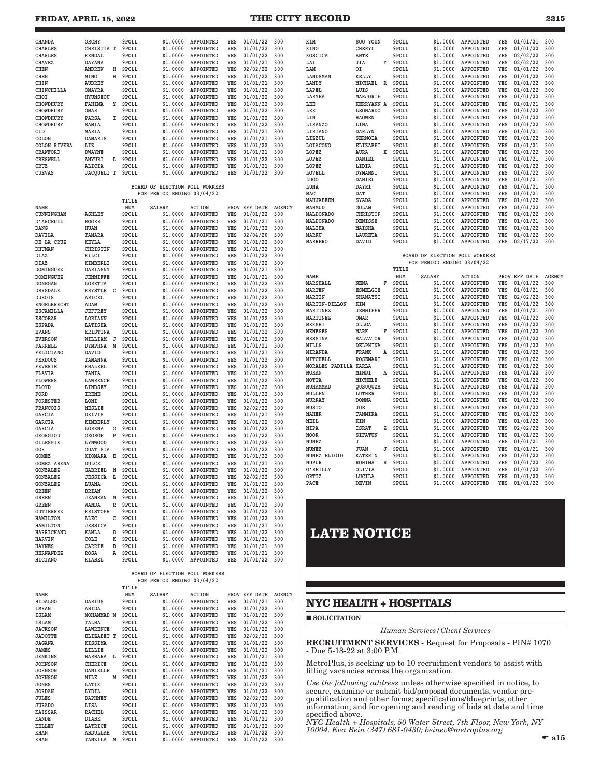### **FRIDAY, APRIL 15, 2022 THE CITY RECORD 2215**

| <b>CHANDA</b>       | ORCHY             |    | 9POLL | \$1.0000 | APPOINTED        | YES | 01/01/22 | 300 |
|---------------------|-------------------|----|-------|----------|------------------|-----|----------|-----|
| <b>CHARLES</b>      | CHRISTIA T        |    | 9POLL | \$1,0000 | APPOINTED        | YES | 01/01/22 | 300 |
| <b>CHARLES</b>      | <b>KENDAL</b>     |    | 9POLL | \$1.0000 | APPOINTED        | YES | 01/01/22 | 300 |
| <b>CHAVEZ</b>       | <b>DAYANA</b>     |    | 9POLL | \$1.0000 | APPOINTED        | YES | 01/01/21 | 300 |
| <b>CHEN</b>         | <b>ANDREW</b>     | н  | 9POLL | \$1,0000 | APPOINTED        | YES | 02/02/22 | 300 |
| <b>CHEN</b>         | MING              | н  | 9POLL | \$1,0000 | APPOINTED        | YES | 01/01/22 | 300 |
| CHIN                | <b>AUDREY</b>     |    | 9POLL | \$1,0000 | APPOINTED        | YES | 01/01/21 | 300 |
| CHINCHILLA          | <b>OMAYRA</b>     |    | 9POLL | \$1.0000 | APPOINTED        | YES | 01/01/22 | 300 |
| CHOI                | <b>HYUNSEOU</b>   |    | 9POLL | \$1.0000 | APPOINTED        | YES | 01/01/22 | 300 |
| <b>CHOWDHURY</b>    | <b>FAHIMA</b>     | Υ  | 9POLL | \$1,0000 | APPOINTED        | YES | 01/01/22 | 300 |
| <b>CHOWDHURY</b>    | OMAR              |    | 9POLL | \$1,0000 | <b>APPOINTED</b> | YES | 01/01/22 | 300 |
| <b>CHOWDHURY</b>    | PARSA             | T. | 9POLL | \$1.0000 | APPOINTED        | YES | 01/01/22 | 300 |
| <b>CHOWDHURY</b>    | SAMIA             |    | 9POLL | \$1,0000 | APPOINTED        | YES | 01/01/22 | 300 |
| CID                 | MARIA             |    | 9POLL | \$1,0000 | APPOINTED        | YES | 01/01/21 | 300 |
| COLON               | <b>DAMARIS</b>    |    | 9POLL | \$1,0000 | APPOINTED        | YES | 01/01/21 | 300 |
| <b>COLON RIVERA</b> | LIZ               |    | 9POLL | \$1,0000 | APPOINTED        | YES | 01/01/22 | 300 |
| <b>CRAWFORD</b>     | <b>DWAYNE</b>     |    | 9POLL | \$1.0000 | APPOINTED        | YES | 01/01/21 | 300 |
| CRESWELL            | ANYURI            | L  | 9POLL | \$1.0000 | APPOINTED        | YES | 01/01/22 | 300 |
| CRUZ                | ALICIA            |    | 9POLL | \$1,0000 | APPOINTED        | YES | 01/01/21 | 300 |
| <b>CUEVAS</b>       | <b>JACQUELI T</b> |    | 9POLL | \$1.0000 | APPOINTED        | YES | 01/01/22 | 300 |
|                     |                   |    |       |          |                  |     |          |     |
|                     |                   |    |       |          |                  |     |          |     |

### **BOARD OF ELECTION POLL WORKERS** FOR PERIOD ENDING 03/04/22

|                    |                 |   | TITLE |               |                  |     |               |               |
|--------------------|-----------------|---|-------|---------------|------------------|-----|---------------|---------------|
| <b>NAME</b>        |                 |   | NUM   | <b>SALARY</b> | <b>ACTION</b>    |     | PROV EFF DATE | <b>AGENCY</b> |
| CUNNINGHAM         | <b>ASHLEY</b>   |   | 9POLL | \$1.0000      | <b>APPOINTED</b> | YES | 01/01/22      | 300           |
| D'ARCEUIL          | <b>ROGER</b>    |   | 9POLL | \$1.0000      | APPOINTED        | YES | 01/01/21      | 300           |
| DANG               | <b>HUAN</b>     |   | 9POLL | \$1.0000      | APPOINTED        | YES | 01/01/22      | 300           |
| <b>DAVILA</b>      | TAMARA          |   | 9POLL | \$1,0000      | APPOINTED        | YES | 02/04/20      | 300           |
| DE LA CRUZ         | <b>KEYLA</b>    |   | 9POLL | \$1,0000      | APPOINTED        | YES | 01/01/22      | 300           |
| DHUMAN             | CHRISTIN        |   | 9POLL | \$1.0000      | APPOINTED        | YES | 01/01/22      | 300           |
| <b>DIAZ</b>        | KILCI           |   | 9POLL | \$1.0000      | APPOINTED        | YES | 01/01/22      | 300           |
| <b>DIAZ</b>        | KIMBERLI        |   | 9POLL | \$1.0000      | APPOINTED        | YES | 01/01/22      | 300           |
| <b>DOMINGUEZ</b>   | <b>DARIASNY</b> |   | 9POLL | \$1.0000      | APPOINTED        | YES | 01/01/21      | 300           |
| <b>DOMINGUEZ</b>   | <b>JENNIFFE</b> |   | 9POLL | \$1,0000      | APPOINTED        | YES | 01/01/21      | 300           |
| <b>DONEGAN</b>     | LORETTA         |   | 9POLL | \$1.0000      | APPOINTED        | YES | 01/01/22      | 300           |
| <b>DRYSDALE</b>    | <b>KRYSTLE</b>  | C | 9POLL | \$1.0000      | APPOINTED        | YES | 01/01/22      | 300           |
| <b>DUBOIS</b>      | ARICEL          |   | 9POLL | \$1.0000      | APPOINTED        | YES | 01/01/22      | 300           |
| <b>ENGELBRECHT</b> | ADAM            |   | 9POLL | \$1,0000      | APPOINTED        | YES | 01/01/22      | 300           |
| ESCAMILLA          | <b>JEFFREY</b>  |   | 9POLL | \$1.0000      | APPOINTED        | YES | 01/01/22      | 300           |
| <b>ESCOBAR</b>     | LORIANN         |   | 9POLL | \$1.0000      | <b>APPOINTED</b> | YES | 01/01/22      | 300           |
| <b>ESPADA</b>      | LATISHA         |   | 9POLL | \$1.0000      | APPOINTED        | YES | 01/01/22      | 300           |
| <b>EVANS</b>       | <b>KRISTINA</b> |   | 9POLL | \$1.0000      | APPOINTED        | YES | 01/01/22      | 300           |
| <b>EVERSON</b>     | WILLIAM         | J | 9POLL | \$1,0000      | APPOINTED        | YES | 01/01/22      | 300           |
| FARRELL            | <b>DYMPHNA</b>  | M | 9POLL | \$1.0000      | APPOINTED        | YES | 01/01/21      | 300           |
| <b>FELICIANO</b>   | DAVID           |   | 9POLL | \$1,0000      | APPOINTED        | YES | 01/01/21      | 300           |
| <b>FERDOUS</b>     | TAMANNA         |   | 9POLL | \$1.0000      | APPOINTED        | YES | 01/01/22      | 300           |
| <b>FEVERIE</b>     | <b>KHALEEL</b>  |   | 9POLL | \$1.0000      | APPOINTED        | YES | 01/01/22      | 300           |
| <b>FLAVIA</b>      | TANIA           |   | 9POLL | \$1.0000      | APPOINTED        | YES | 01/01/22      | 300           |
| <b>FLOWERS</b>     | LAWRENCE        |   | 9POLL | \$1,0000      | APPOINTED        | YES | 01/01/22      | 300           |
| FLOYD              | LINDSEY         |   | 9POLL | \$1,0000      | APPOINTED        | YES | 01/01/22      | 300           |
| FORD               | <b>IRENE</b>    |   | 9POLL | \$1.0000      | APPOINTED        | YES | 01/01/22      | 300           |
| <b>FORESTER</b>    | LONI            |   | 9POLL | \$1.0000      | APPOINTED        | YES | 01/01/22      | 300           |
| FRANCOIS           | <b>NESLIE</b>   |   | 9POLL | \$1.0000      | APPOINTED        | YES | 02/02/22      | 300           |
| <b>GARCIA</b>      | <b>DEIVIS</b>   |   | 9POLL | \$1,0000      | APPOINTED        | YES | 01/01/21      | 300           |
| <b>GARCIA</b>      | <b>KIMBERLY</b> |   | 9POLL | \$1,0000      | APPOINTED        | YES | 01/01/22      | 300           |
| GARCIA             | LORENA          | G | 9POLL | \$1.0000      | APPOINTED        | YES | 01/01/22      | 300           |
| <b>GEORGIOU</b>    | <b>GEORGE</b>   | P | 9POLL | \$1,0000      | APPOINTED        | YES | 01/01/22      | 300           |
| <b>GILESPIE</b>    | LYNWOOD         |   | 9POLL | \$1.0000      | APPOINTED        | YES | 01/01/22      | 300           |
| GOH                | <b>GUAT SIA</b> |   | 9POLL | \$1,0000      | APPOINTED        | YES | 01/01/22      | 300           |
| <b>GOMEZ</b>       | XIOMARA         | E | 9POLL | \$1,0000      | APPOINTED        | YES | 01/01/22      | 300           |
| <b>GOMEZ ARENA</b> | DULCE           |   | 9POLL | \$1.0000      | APPOINTED        | YES | 01/01/21      | 300           |
| GONZALEZ           | <b>GABRIEL</b>  | N | 9POLL | \$1.0000      | APPOINTED        | YES | 01/01/22      | 300           |
| <b>GONZALEZ</b>    | <b>JESSICA</b>  | L | 9POLL | \$1.0000      | APPOINTED        | YES | 02/02/22      | 300           |
| <b>GONZALEZ</b>    | LUANA           |   | 9POLL | \$1.0000      | APPOINTED        | YES | 01/01/22      | 300           |
| <b>GREEN</b>       | <b>BRIAN</b>    |   | 9POLL | \$1,0000      | APPOINTED        | YES | 01/01/22      | 300           |
| GREEN              | <b>JEANEAN</b>  | N | 9POLL | \$1.0000      | APPOINTED        | YES | 01/01/21      | 300           |
| <b>GREEN</b>       | WANDA           | R | 9POLL | \$1.0000      | APPOINTED        | YES | 01/01/22      | 300           |
| <b>GUTIERREZ</b>   | <b>KRISTOPH</b> |   | 9POLL | \$1.0000      | APPOINTED        | YES | 01/01/22      | 300           |
| <b>HAMILTON</b>    | ALEC            | C | 9POLL | \$1.0000      | APPOINTED        | YES | 01/01/22      | 300           |
| <b>HAMILTON</b>    | <b>JESSICA</b>  |   | 9POLL | \$1,0000      | APPOINTED        | YES | 01/01/21      | 300           |
| HARRICHAND         | KAMLA           | D | 9POLL | \$1.0000      | <b>APPOINTED</b> | YES | 01/01/22      | 300           |
| <b>HARVIN</b>      | COLE            | K | 9POLL | \$1.0000      | APPOINTED        | YES | 01/01/21      | 300           |
| <b>HAYNES</b>      | CARRIE          | B | 9POLL | \$1.0000      | APPOINTED        | YES | 01/01/21      | 300           |
| <b>HERNANDEZ</b>   | <b>ROSA</b>     | A | 9POLL | \$1,0000      | APPOINTED        | YES | 01/01/21      | 300           |
| <b>HICIANO</b>     | <b>KIABEL</b>   |   | 9POLL | \$1.0000      | APPOINTED        | YES | 01/01/22      | 300           |
|                    |                 |   |       |               |                  |     |               |               |

### **BOARD OF ELECTION POLL WORKERS FOR PERIOD ENDING 03/04/22**

|                |                 |   | TITLE |               |               |      |                 |               |
|----------------|-----------------|---|-------|---------------|---------------|------|-----------------|---------------|
| NAME           |                 |   | NUM   | <b>SALARY</b> | <b>ACTION</b> | PROV | <b>EFF DATE</b> | <b>AGENCY</b> |
| <b>HIDALGO</b> | <b>DARIUS</b>   |   | 9POLL | \$1.0000      | APPOINTED     | YES  | 01/01/21        | 300           |
| IMRAN          | ABIDA           |   | 9POLL | \$1,0000      | APPOINTED     | YES  | 01/01/22        | 300           |
| <b>ISLAM</b>   | MOHAMMAD        | M | 9POLL | \$1,0000      | APPOINTED     | YES  | 01/01/22        | 300           |
| <b>ISLAM</b>   | TALHA           |   | 9POLL | \$1,0000      | APPOINTED     | YES  | 01/01/22        | 300           |
| <b>JACKSON</b> | <b>LAWRENCE</b> |   | 9POLL | \$1,0000      | APPOINTED     | YES  | 01/01/22        | 300           |
| <b>JADOTTE</b> | ELIZABET T      |   | 9POLL | \$1,0000      | APPOINTED     | YES  | 02/02/22        | 300           |
| <b>JAGANA</b>  | KISSIMA         |   | 9POLL | \$1,0000      | APPOINTED     | YES  | 01/01/22        | 300           |
| <b>JAMES</b>   | LILLIE          |   | 9POLL | \$1,0000      | APPOINTED     | YES  | 01/01/22        | 300           |
| <b>JENKINS</b> | <b>BARBARA</b>  | L | 9POLL | \$1,0000      | APPOINTED     | YES  | 01/01/21        | 300           |
| <b>JOHNSON</b> | CHERICE         |   | 9POLL | \$1.0000      | APPOINTED     | YES  | 01/01/22        | 300           |
| <b>JOHNSON</b> | <b>DANIELLE</b> |   | 9POLL | \$1,0000      | APPOINTED     | YES  | 01/01/21        | 300           |
| <b>JOHNSON</b> | NILE            | M | 9POLL | \$1,0000      | APPOINTED     | YES  | 01/01/22        | 300           |
| <b>JONES</b>   | LATIK           |   | 9POLL | \$1,0000      | APPOINTED     | YES  | 01/01/22        | 300           |
| <b>JORDAN</b>  | LYDIA           |   | 9POLL | \$1,0000      | APPOINTED     | YES  | 01/01/22        | 300           |
| JULES          | <b>DAPHNEY</b>  |   | 9POLL | \$1.0000      | APPOINTED     | YES  | 02/02/22        | 300           |
| <b>JURADO</b>  | LISA            |   | 9POLL | \$1,0000      | APPOINTED     | YES  | 01/01/22        | 300           |
| <b>KAISSAR</b> | <b>RACHEL</b>   |   | 9POLL | \$1,0000      | APPOINTED     | YES  | 01/01/22        | 300           |
| KANDE          | <b>DIABE</b>    |   | 9POLL | \$1,0000      | APPOINTED     | YES  | 01/01/21        | 300           |
| <b>KELLEY</b>  | LATRICE         |   | 9POLL | \$1,0000      | APPOINTED     | YES  | 01/01/22        | 300           |
| KHAN           | <b>ABDULLAH</b> |   | 9POLL | \$1,0000      | APPOINTED     | YES  | 01/01/22        | 300           |
| KHAN           | TANZILA         | M | 9POLL | \$1,0000      | APPOINTED     | YES  | 01/01/22        | 300           |

| KIM             | SOO YOUN          |   | 9POLL | \$1.0000 | APPOINTED        | YES | 01/01/21 | 300 |
|-----------------|-------------------|---|-------|----------|------------------|-----|----------|-----|
| KING            | <b>CHERYL</b>     |   | 9POLL | \$1,0000 | <b>APPOINTED</b> | YES | 01/01/22 | 300 |
| KOSCICA         | ANTE              |   | 9POLL | \$1,0000 | APPOINTED        | YES | 02/02/22 | 300 |
| LAI             | JIA               | Y | 9POLL | \$1,0000 | APPOINTED        | YES | 02/02/22 | 300 |
| LAM             | OI                |   | 9POLL | \$1,0000 | <b>APPOINTED</b> | YES | 01/01/22 | 300 |
| LANDSMAN        | KELLY             |   | 9POLL | \$1,0000 | <b>APPOINTED</b> | YES | 01/01/22 | 300 |
| LANDY           | MICHAEL           | R | 9POLL | \$1,0000 | APPOINTED        | YES | 01/01/22 | 300 |
| LAPEL           | LUIS              |   | 9POLL | \$1,0000 | APPOINTED        | YES | 01/01/22 | 300 |
| LARYEA          | MARJORIE          |   | 9POLL | \$1,0000 | APPOINTED        | YES | 01/01/22 | 300 |
| LEE             | <b>KERRYANN A</b> |   | 9POLL | \$1,0000 | APPOINTED        | YES | 01/01/21 | 300 |
| LEE             | <b>LEONARDO</b>   |   | 9POLL | \$1.0000 | APPOINTED        | YES | 01/01/22 | 300 |
| LIN             | <b>HAOWEN</b>     |   | 9POLL | \$1,0000 | APPOINTED        | YES | 01/01/22 | 300 |
| LIRANZO         | LINA              |   | 9POLL | \$1,0000 | APPOINTED        | YES | 01/01/22 | 300 |
| LIRIANO         | <b>DARLYN</b>     |   | 9POLL | \$1,0000 | APPOINTED        | YES | 01/01/21 | 300 |
| LIZZUL          | <b>SERNOIA</b>    |   | 9POLL | \$1,0000 | APPOINTED        | YES | 01/01/22 | 300 |
| <b>LOIACONO</b> | <b>ELIZABET</b>   |   | 9POLL | \$1,0000 | APPOINTED        | YES | 01/01/21 | 300 |
| LOPEZ           | AURA              | x | 9POLL | \$1,0000 | APPOINTED        | YES | 01/01/22 | 300 |
| LOPEZ           | DANIEL            |   | 9POLL | \$1,0000 | APPOINTED        | YES | 01/01/21 | 300 |
| LOPEZ           | LIDIA             |   | 9POLL | \$1,0000 | APPOINTED        | YES | 01/01/22 | 300 |
| LOVELL          | <b>DYMANNI</b>    |   | 9POLL | \$1,0000 | APPOINTED        | YES | 01/01/22 | 300 |
| LUGO            | DANIEL            |   | 9POLL | \$1,0000 | APPOINTED        | YES | 01/01/21 | 300 |
| LUNA            | DAYRI             |   | 9POLL | \$1,0000 | <b>APPOINTED</b> | YES | 01/01/21 | 300 |
| MAC             | DAT               |   | 9POLL | \$1,0000 | APPOINTED        | YES | 01/01/21 | 300 |
| MAHJABEEN       | <b>SYADA</b>      |   | 9POLL | \$1,0000 | APPOINTED        | YES | 01/01/22 | 300 |
| MAHMUD          | GOLAM             |   | 9POLL | \$1,0000 | APPOINTED        | YES | 01/01/22 | 300 |
| MALDONADO       | <b>CHRISTOP</b>   |   | 9POLL | \$1,0000 | APPOINTED        | YES | 01/01/22 | 300 |
| MALDONADO       | <b>DENISSE</b>    |   | 9POLL | \$1,0000 | APPOINTED        | YES | 01/01/21 | 300 |
| MALIHA          | MAISHA            |   | 9POLL | \$1.0000 | APPOINTED        | YES | 01/01/22 | 300 |
| MARKU           | <b>LAURETA</b>    |   | 9POLL | \$1,0000 | <b>APPOINTED</b> | YES | 01/01/22 | 300 |
| MARRERO         | DAVID             |   | 9POLL | \$1,0000 | APPOINTED        | YES | 02/17/22 | 300 |
|                 |                   |   |       |          |                  |     |          |     |

#### **BOARD OF ELECTION POLL WORKERS FOR PERIOD ENDING 03/04/22**

|                       |                 |    | TITLE |               |                  |      |                 |               |
|-----------------------|-----------------|----|-------|---------------|------------------|------|-----------------|---------------|
| <b>NAME</b>           |                 |    | NUM   | <b>SALARY</b> | <b>ACTION</b>    | PROV | <b>EFF DATE</b> | <b>AGENCY</b> |
| MARSHALL              | <b>NENA</b>     | R  | 9POLL | \$1,0000      | APPOINTED        | YES  | 01/01/22        | 300           |
| <b>MARTEN</b>         | <b>ESMELGIE</b> |    | 9POLL | \$1,0000      | APPOINTED        | YES  | 01/01/21        | 300           |
| <b>MARTIN</b>         | <b>SHANAYSI</b> |    | 9POLL | \$1,0000      | <b>APPOINTED</b> | YES  | 02/02/22        | 300           |
| MARTIN-DILLON         | KIM             |    | 9POLL | \$1,0000      | APPOINTED        | YES  | 01/01/22        | 300           |
| <b>MARTINEZ</b>       | <b>JENNIFER</b> |    | 9POLL | \$1,0000      | APPOINTED        | YES  | 01/01/21        | 300           |
| <b>MARTINEZ</b>       | OMAR            |    | 9POLL | \$1,0000      | APPOINTED        | YES  | 01/01/22        | 300           |
| <b>MEKSHI</b>         | OLLGA           |    | 9POLL | \$1,0000      | <b>APPOINTED</b> | YES  | 01/01/22        | 300           |
| <b>MENESES</b>        | MARK            | F  | 9POLL | \$1,0000      | APPOINTED        | YES  | 01/01/22        | 300           |
| <b>MESSINA</b>        | <b>SALVATOR</b> |    | 9POLL | \$1,0000      | APPOINTED        | YES  | 01/01/22        | 300           |
| MILLS                 | <b>DELPHINA</b> |    | 9POLL | \$1,0000      | <b>APPOINTED</b> | YES  | 01/01/22        | 300           |
| <b>MIRANDA</b>        | FRANK           | Α  | 9POLL | \$1,0000      | APPOINTED        | YES  | 01/01/22        | 300           |
| MITCHELL              | <b>ROSEMARI</b> |    | 9POLL | \$1,0000      | APPOINTED        | YES  | 01/01/22        | 300           |
| MORALES PADILLA KARLA |                 |    | 9POLL | \$1,0000      | APPOINTED        | YES  | 01/01/22        | 300           |
| MORAN                 | MINDI           | Α  | 9POLL | \$1,0000      | APPOINTED        | YES  | 01/01/22        | 300           |
| MOTTA                 | MICHELE         |    | 9POLL | \$1,0000      | <b>APPOINTED</b> | YES  | 01/01/22        | 300           |
| MUHAMMAD              | OUSUOUZA        |    | 9POLL | \$1,0000      | <b>APPOINTED</b> | YES  | 01/01/22        | 300           |
| MULLEN                | LUTHER          |    | 9POLL | \$1,0000      | APPOINTED        | YES  | 01/01/22        | 300           |
| <b>MURRAY</b>         | <b>DONNA</b>    |    | 9POLL | \$1,0000      | APPOINTED        | YES  | 01/01/22        | 300           |
| MUSTO                 | <b>JOE</b>      |    | 9POLL | \$1,0000      | APPOINTED        | YES  | 01/01/22        | 300           |
| <b>NAHER</b>          | TANMIRA         |    | 9POLL | \$1,0000      | <b>APPOINTED</b> | YES  | 01/01/22        | 300           |
| <b>NEIL</b>           | KIN             |    | 9POLL | \$1,0000      | APPOINTED        | YES  | 01/01/22        | 300           |
| <b>NIPA</b>           | <b>ISRAT</b>    | 7. | 9POLL | \$1,0000      | APPOINTED        | YES  | 02/02/22        | 300           |
| <b>NOOR</b>           | <b>SIFATUN</b>  |    | 9POLL | \$1,0000      | APPOINTED        | YES  | 01/01/22        | 300           |
| NUNEZ                 | J               |    | 9POLL | \$1,0000      | APPOINTED        | YES  | 01/01/21        | 300           |
| <b>NUNEZ</b>          | <b>JUAN</b>     | J  | 9POLL | \$1,0000      | APPOINTED        | YES  | 01/01/21        | 300           |
| NUNEZ ELIGIO          | <b>KATERIN</b>  |    | 9POLL | \$1,0000      | APPOINTED        | YES  | 01/01/22        | 300           |
| NUPUR                 | <b>ROHIMA</b>   | R  | 9POLL | \$1,0000      | APPOINTED        | YES  | 01/01/22        | 300           |
| O'REILLY              | OLIVIA          |    | 9POLL | \$1,0000      | APPOINTED        | YES  | 01/01/22        | 300           |
| ORTIZ                 | LUCILA          |    | 9POLL | \$1,0000      | APPOINTED        | YES  | 01/01/22        | 300           |
| PACE                  | <b>DEVIN</b>    |    | 9POLL | \$1,0000      | <b>APPOINTED</b> | YES  | 01/01/22        | 300           |

# **LATE NOTICE**

### **NYC HEALTH + HOSPITALS**

SOLICITATION

*Human Services/Client Services*

RECRUITMENT SERVICES - Request for Proposals - PIN# 1070 - Due 5-18-22 at 3:00 P.M.

MetroPlus, is seeking up to 10 recruitment vendors to assist with filling vacancies across the organization.

*Use the following address* unless otherwise specified in notice, to secure, examine or submit bid/proposal documents, vendor prequalification and other forms; specifications/blueprints; other information; and for opening and reading of bids at date and time specified above.

*NYC Health + Hospitals, 50 Water Street, 7th Floor, New York, NY 10004. Eva Bein (347) 681-0430; beinev@metroplus.org*